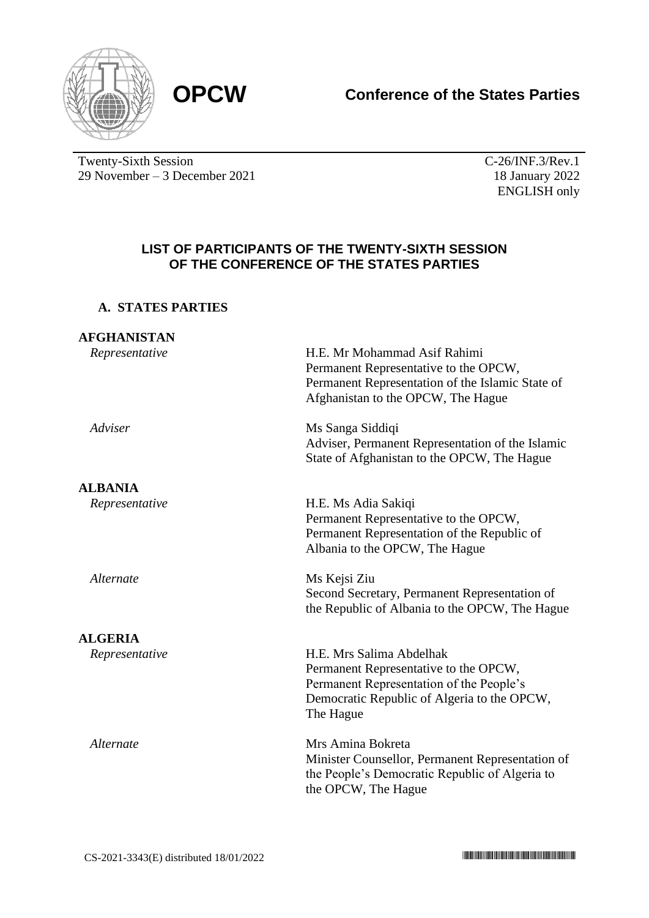

# **OPCW Conference of the States Parties**

Twenty-Sixth Session 29 November – 3 December 2021 C-26/INF.3/Rev.1 18 January 2022 ENGLISH only

### **LIST OF PARTICIPANTS OF THE TWENTY-SIXTH SESSION OF THE CONFERENCE OF THE STATES PARTIES**

# **A. STATES PARTIES**

| <b>AFGHANISTAN</b> |                                                                                                                                                                           |
|--------------------|---------------------------------------------------------------------------------------------------------------------------------------------------------------------------|
| Representative     | H.E. Mr Mohammad Asif Rahimi<br>Permanent Representative to the OPCW,<br>Permanent Representation of the Islamic State of<br>Afghanistan to the OPCW, The Hague           |
| Adviser            | Ms Sanga Siddiqi<br>Adviser, Permanent Representation of the Islamic<br>State of Afghanistan to the OPCW, The Hague                                                       |
| <b>ALBANIA</b>     |                                                                                                                                                                           |
| Representative     | H.E. Ms Adia Sakiqi<br>Permanent Representative to the OPCW,<br>Permanent Representation of the Republic of<br>Albania to the OPCW, The Hague                             |
| Alternate          | Ms Kejsi Ziu<br>Second Secretary, Permanent Representation of<br>the Republic of Albania to the OPCW, The Hague                                                           |
| <b>ALGERIA</b>     |                                                                                                                                                                           |
| Representative     | H.E. Mrs Salima Abdelhak<br>Permanent Representative to the OPCW,<br>Permanent Representation of the People's<br>Democratic Republic of Algeria to the OPCW,<br>The Hague |
| Alternate          | Mrs Amina Bokreta<br>Minister Counsellor, Permanent Representation of<br>the People's Democratic Republic of Algeria to<br>the OPCW, The Hague                            |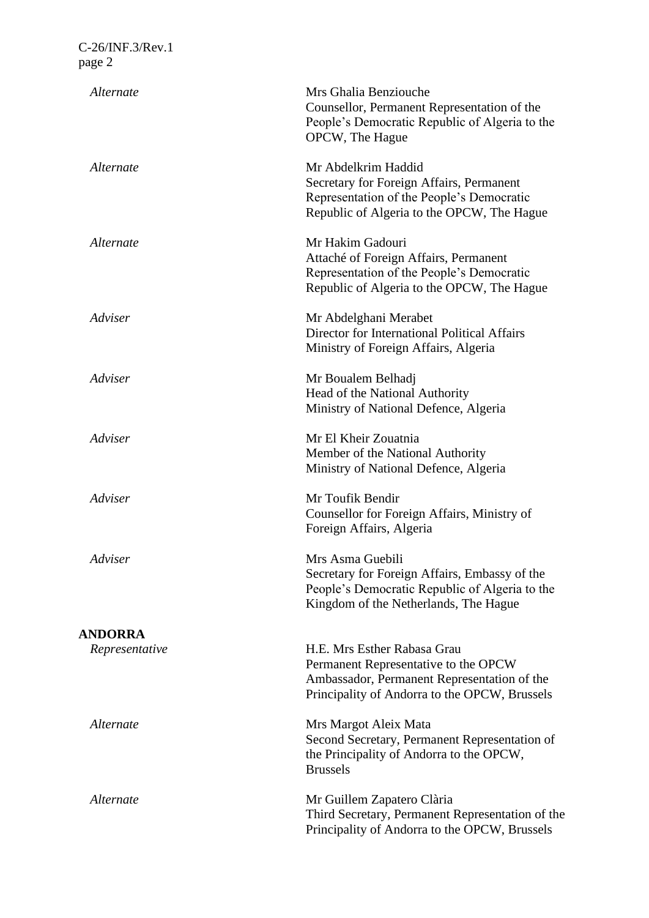| Alternate      | Mrs Ghalia Benziouche<br>Counsellor, Permanent Representation of the<br>People's Democratic Republic of Algeria to the<br>OPCW, The Hague                           |
|----------------|---------------------------------------------------------------------------------------------------------------------------------------------------------------------|
| Alternate      | Mr Abdelkrim Haddid<br>Secretary for Foreign Affairs, Permanent<br>Representation of the People's Democratic<br>Republic of Algeria to the OPCW, The Hague          |
| Alternate      | Mr Hakim Gadouri<br>Attaché of Foreign Affairs, Permanent<br>Representation of the People's Democratic<br>Republic of Algeria to the OPCW, The Hague                |
| Adviser        | Mr Abdelghani Merabet<br>Director for International Political Affairs<br>Ministry of Foreign Affairs, Algeria                                                       |
| Adviser        | Mr Boualem Belhadj<br>Head of the National Authority<br>Ministry of National Defence, Algeria                                                                       |
| Adviser        | Mr El Kheir Zouatnia<br>Member of the National Authority<br>Ministry of National Defence, Algeria                                                                   |
| Adviser        | Mr Toufik Bendir<br>Counsellor for Foreign Affairs, Ministry of<br>Foreign Affairs, Algeria                                                                         |
| Adviser        | Mrs Asma Guebili<br>Secretary for Foreign Affairs, Embassy of the<br>People's Democratic Republic of Algeria to the<br>Kingdom of the Netherlands, The Hague        |
| <b>ANDORRA</b> |                                                                                                                                                                     |
| Representative | H.E. Mrs Esther Rabasa Grau<br>Permanent Representative to the OPCW<br>Ambassador, Permanent Representation of the<br>Principality of Andorra to the OPCW, Brussels |
| Alternate      | Mrs Margot Aleix Mata<br>Second Secretary, Permanent Representation of<br>the Principality of Andorra to the OPCW,<br><b>Brussels</b>                               |
| Alternate      | Mr Guillem Zapatero Clària<br>Third Secretary, Permanent Representation of the<br>Principality of Andorra to the OPCW, Brussels                                     |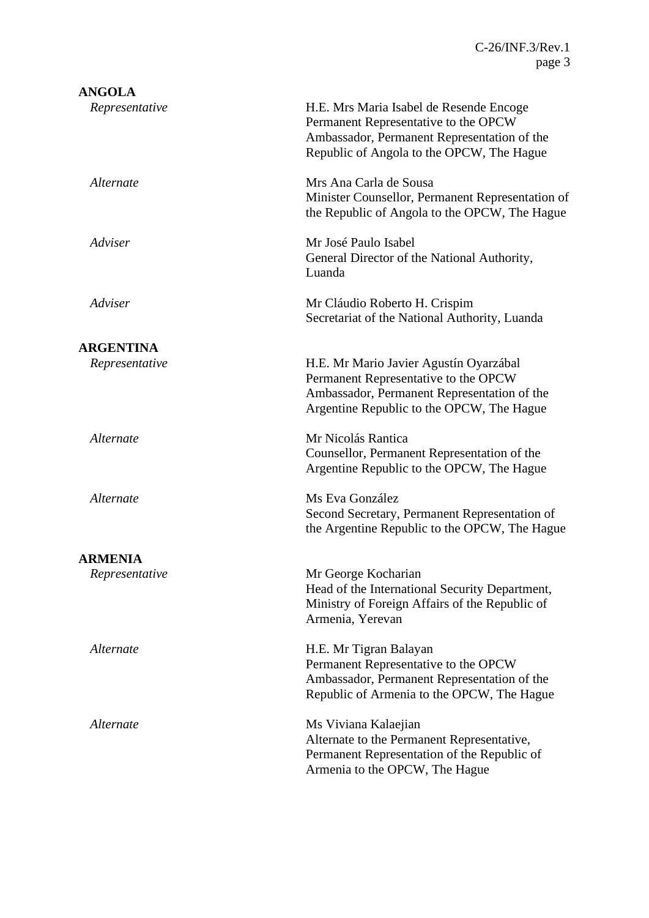| <b>ANGOLA</b>    |                                                                                                                                                                             |
|------------------|-----------------------------------------------------------------------------------------------------------------------------------------------------------------------------|
| Representative   | H.E. Mrs Maria Isabel de Resende Encoge<br>Permanent Representative to the OPCW<br>Ambassador, Permanent Representation of the<br>Republic of Angola to the OPCW, The Hague |
| Alternate        | Mrs Ana Carla de Sousa<br>Minister Counsellor, Permanent Representation of<br>the Republic of Angola to the OPCW, The Hague                                                 |
| Adviser          | Mr José Paulo Isabel<br>General Director of the National Authority,<br>Luanda                                                                                               |
| Adviser          | Mr Cláudio Roberto H. Crispim<br>Secretariat of the National Authority, Luanda                                                                                              |
| <b>ARGENTINA</b> |                                                                                                                                                                             |
| Representative   | H.E. Mr Mario Javier Agustín Oyarzábal<br>Permanent Representative to the OPCW<br>Ambassador, Permanent Representation of the<br>Argentine Republic to the OPCW, The Hague  |
| Alternate        | Mr Nicolás Rantica<br>Counsellor, Permanent Representation of the<br>Argentine Republic to the OPCW, The Hague                                                              |
| Alternate        | Ms Eva González<br>Second Secretary, Permanent Representation of<br>the Argentine Republic to the OPCW, The Hague                                                           |
| <b>ARMENIA</b>   |                                                                                                                                                                             |
| Representative   | Mr George Kocharian<br>Head of the International Security Department,<br>Ministry of Foreign Affairs of the Republic of<br>Armenia, Yerevan                                 |
| Alternate        | H.E. Mr Tigran Balayan<br>Permanent Representative to the OPCW<br>Ambassador, Permanent Representation of the<br>Republic of Armenia to the OPCW, The Hague                 |
| Alternate        | Ms Viviana Kalaejian<br>Alternate to the Permanent Representative,<br>Permanent Representation of the Republic of<br>Armenia to the OPCW, The Hague                         |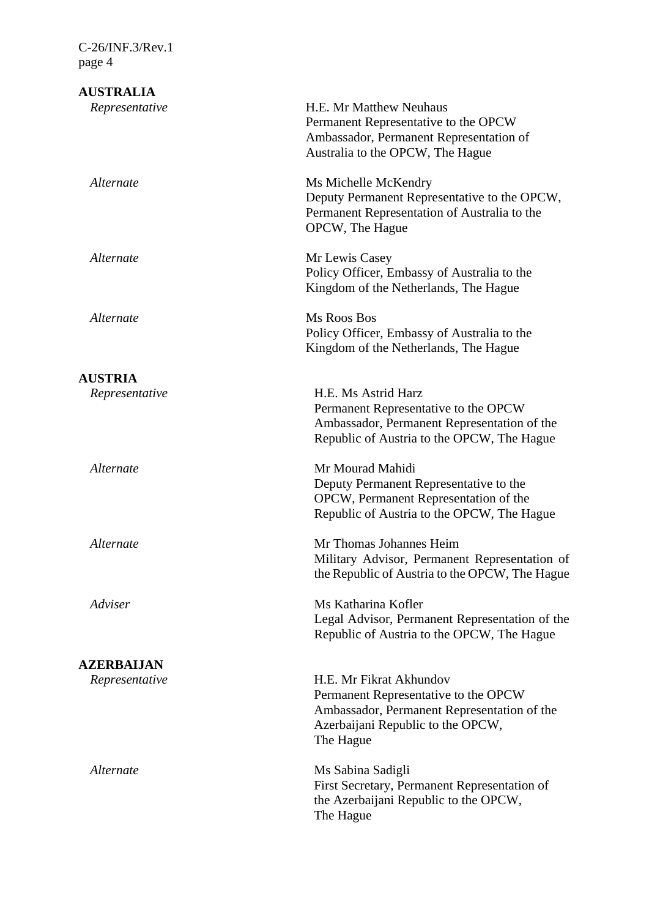| <b>AUSTRALIA</b>  |                                                                                                                                                                  |
|-------------------|------------------------------------------------------------------------------------------------------------------------------------------------------------------|
| Representative    | H.E. Mr Matthew Neuhaus<br>Permanent Representative to the OPCW<br>Ambassador, Permanent Representation of<br>Australia to the OPCW, The Hague                   |
| Alternate         | Ms Michelle McKendry<br>Deputy Permanent Representative to the OPCW,<br>Permanent Representation of Australia to the<br>OPCW, The Hague                          |
| Alternate         | Mr Lewis Casey<br>Policy Officer, Embassy of Australia to the<br>Kingdom of the Netherlands, The Hague                                                           |
| Alternate         | Ms Roos Bos<br>Policy Officer, Embassy of Australia to the<br>Kingdom of the Netherlands, The Hague                                                              |
| <b>AUSTRIA</b>    |                                                                                                                                                                  |
| Representative    | H.E. Ms Astrid Harz<br>Permanent Representative to the OPCW<br>Ambassador, Permanent Representation of the<br>Republic of Austria to the OPCW, The Hague         |
| Alternate         | Mr Mourad Mahidi<br>Deputy Permanent Representative to the<br>OPCW, Permanent Representation of the<br>Republic of Austria to the OPCW, The Hague                |
| Alternate         | Mr Thomas Johannes Heim<br>Military Advisor, Permanent Representation of<br>the Republic of Austria to the OPCW, The Hague                                       |
| Adviser           | Ms Katharina Kofler<br>Legal Advisor, Permanent Representation of the<br>Republic of Austria to the OPCW, The Hague                                              |
| <b>AZERBAIJAN</b> |                                                                                                                                                                  |
| Representative    | H.E. Mr Fikrat Akhundov<br>Permanent Representative to the OPCW<br>Ambassador, Permanent Representation of the<br>Azerbaijani Republic to the OPCW,<br>The Hague |
| Alternate         | Ms Sabina Sadigli<br>First Secretary, Permanent Representation of<br>the Azerbaijani Republic to the OPCW,<br>The Hague                                          |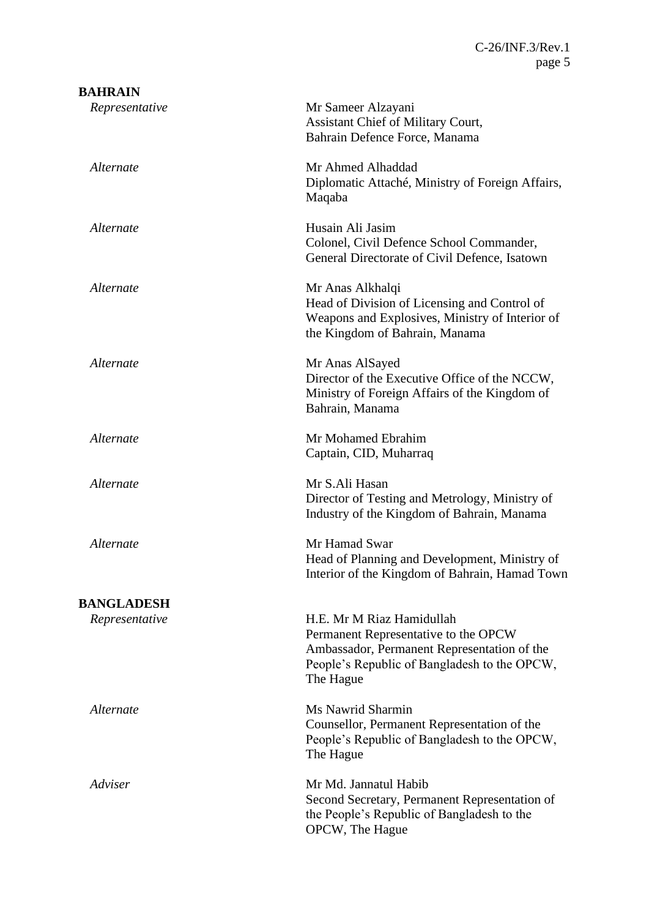| <b>BAHRAIN</b>    |                                                                                                                                                                               |
|-------------------|-------------------------------------------------------------------------------------------------------------------------------------------------------------------------------|
| Representative    | Mr Sameer Alzayani<br>Assistant Chief of Military Court,<br>Bahrain Defence Force, Manama                                                                                     |
| Alternate         | Mr Ahmed Alhaddad<br>Diplomatic Attaché, Ministry of Foreign Affairs,<br>Maqaba                                                                                               |
| Alternate         | Husain Ali Jasim<br>Colonel, Civil Defence School Commander,<br>General Directorate of Civil Defence, Isatown                                                                 |
| Alternate         | Mr Anas Alkhalqi<br>Head of Division of Licensing and Control of<br>Weapons and Explosives, Ministry of Interior of<br>the Kingdom of Bahrain, Manama                         |
| Alternate         | Mr Anas AlSayed<br>Director of the Executive Office of the NCCW,<br>Ministry of Foreign Affairs of the Kingdom of<br>Bahrain, Manama                                          |
| Alternate         | Mr Mohamed Ebrahim<br>Captain, CID, Muharraq                                                                                                                                  |
| Alternate         | Mr S.Ali Hasan<br>Director of Testing and Metrology, Ministry of<br>Industry of the Kingdom of Bahrain, Manama                                                                |
| Alternate         | Mr Hamad Swar<br>Head of Planning and Development, Ministry of<br>Interior of the Kingdom of Bahrain, Hamad Town                                                              |
| <b>BANGLADESH</b> |                                                                                                                                                                               |
| Representative    | H.E. Mr M Riaz Hamidullah<br>Permanent Representative to the OPCW<br>Ambassador, Permanent Representation of the<br>People's Republic of Bangladesh to the OPCW,<br>The Hague |
| Alternate         | Ms Nawrid Sharmin<br>Counsellor, Permanent Representation of the<br>People's Republic of Bangladesh to the OPCW,<br>The Hague                                                 |
| Adviser           | Mr Md. Jannatul Habib<br>Second Secretary, Permanent Representation of<br>the People's Republic of Bangladesh to the<br>OPCW, The Hague                                       |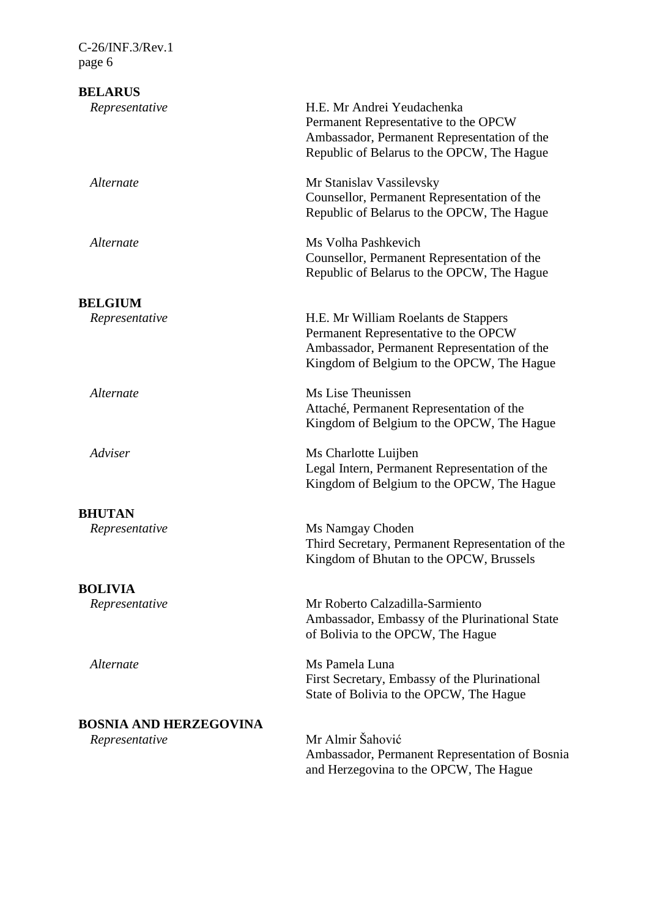**BELARUS** *Representative* H.E. Mr Andrei Yeudachenka Permanent Representative to the OPCW Ambassador, Permanent Representation of the Republic of Belarus to the OPCW, The Hague *Alternate* Mr Stanislav Vassilevsky Counsellor, Permanent Representation of the Republic of Belarus to the OPCW, The Hague *Alternate* Ms Volha Pashkevich Counsellor, Permanent Representation of the Republic of Belarus to the OPCW, The Hague **BELGIUM** *Representative* H.E. Mr William Roelants de Stappers Permanent Representative to the OPCW Ambassador, Permanent Representation of the Kingdom of Belgium to the OPCW, The Hague *Alternate* Ms Lise Theunissen Attaché, Permanent Representation of the Kingdom of Belgium to the OPCW, The Hague *Adviser* Ms Charlotte Luijben Legal Intern, Permanent Representation of the Kingdom of Belgium to the OPCW, The Hague **BHUTAN** *Representative* Ms Namgay Choden Third Secretary, Permanent Representation of the Kingdom of Bhutan to the OPCW, Brussels **BOLIVIA** *Representative* Mr Roberto Calzadilla-Sarmiento Ambassador, Embassy of the Plurinational State of Bolivia to the OPCW, The Hague *Alternate* Ms Pamela Luna First Secretary, Embassy of the Plurinational State of Bolivia to the OPCW, The Hague **BOSNIA AND HERZEGOVINA** *Representative* Mr Almir Šahović Ambassador, Permanent Representation of Bosnia and Herzegovina to the OPCW, The Hague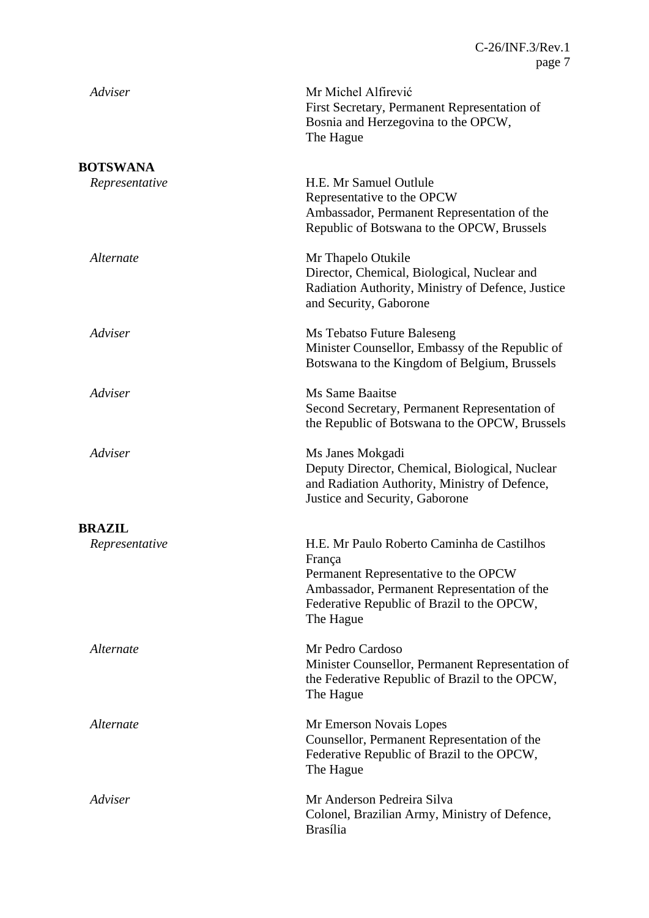| Adviser        | Mr Michel Alfirević<br>First Secretary, Permanent Representation of<br>Bosnia and Herzegovina to the OPCW,<br>The Hague                                                                                |
|----------------|--------------------------------------------------------------------------------------------------------------------------------------------------------------------------------------------------------|
| BOTSWANA       |                                                                                                                                                                                                        |
| Representative | H.E. Mr Samuel Outlule<br>Representative to the OPCW<br>Ambassador, Permanent Representation of the<br>Republic of Botswana to the OPCW, Brussels                                                      |
| Alternate      | Mr Thapelo Otukile<br>Director, Chemical, Biological, Nuclear and<br>Radiation Authority, Ministry of Defence, Justice<br>and Security, Gaborone                                                       |
| Adviser        | Ms Tebatso Future Baleseng<br>Minister Counsellor, Embassy of the Republic of<br>Botswana to the Kingdom of Belgium, Brussels                                                                          |
| Adviser        | <b>Ms Same Baaitse</b><br>Second Secretary, Permanent Representation of<br>the Republic of Botswana to the OPCW, Brussels                                                                              |
| Adviser        | Ms Janes Mokgadi<br>Deputy Director, Chemical, Biological, Nuclear<br>and Radiation Authority, Ministry of Defence,<br>Justice and Security, Gaborone                                                  |
| <b>BRAZIL</b>  |                                                                                                                                                                                                        |
| Representative | H.E. Mr Paulo Roberto Caminha de Castilhos<br>França<br>Permanent Representative to the OPCW<br>Ambassador, Permanent Representation of the<br>Federative Republic of Brazil to the OPCW,<br>The Hague |
| Alternate      | Mr Pedro Cardoso<br>Minister Counsellor, Permanent Representation of<br>the Federative Republic of Brazil to the OPCW,<br>The Hague                                                                    |
| Alternate      | Mr Emerson Novais Lopes<br>Counsellor, Permanent Representation of the<br>Federative Republic of Brazil to the OPCW,<br>The Hague                                                                      |
| Adviser        | Mr Anderson Pedreira Silva<br>Colonel, Brazilian Army, Ministry of Defence,<br><b>Brasília</b>                                                                                                         |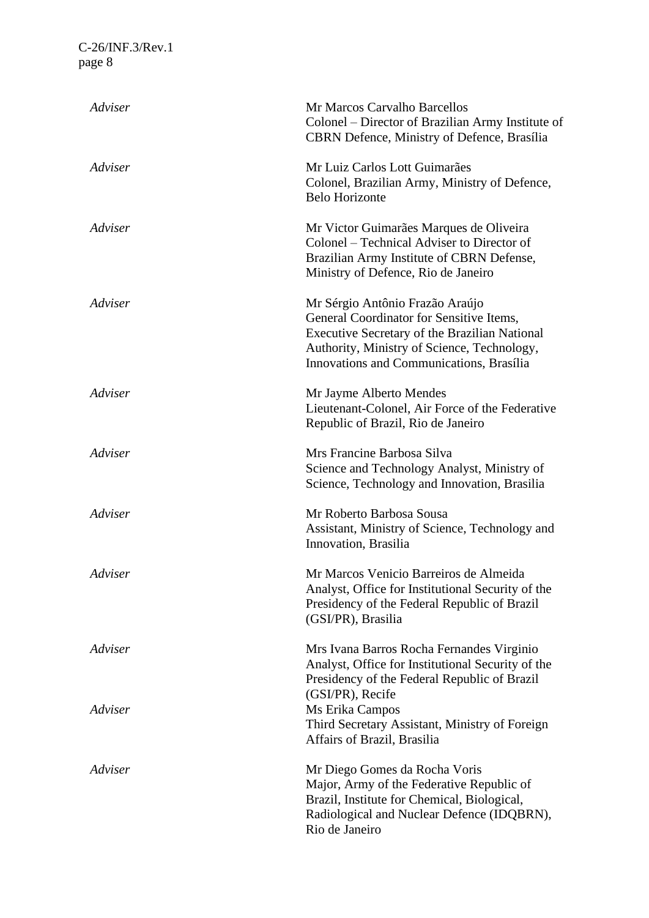| Adviser | Mr Marcos Carvalho Barcellos<br>Colonel – Director of Brazilian Army Institute of<br>CBRN Defence, Ministry of Defence, Brasília                                                                                        |
|---------|-------------------------------------------------------------------------------------------------------------------------------------------------------------------------------------------------------------------------|
| Adviser | Mr Luiz Carlos Lott Guimarães<br>Colonel, Brazilian Army, Ministry of Defence,<br><b>Belo Horizonte</b>                                                                                                                 |
| Adviser | Mr Victor Guimarães Marques de Oliveira<br>Colonel – Technical Adviser to Director of<br>Brazilian Army Institute of CBRN Defense,<br>Ministry of Defence, Rio de Janeiro                                               |
| Adviser | Mr Sérgio Antônio Frazão Araújo<br>General Coordinator for Sensitive Items,<br>Executive Secretary of the Brazilian National<br>Authority, Ministry of Science, Technology,<br>Innovations and Communications, Brasília |
| Adviser | Mr Jayme Alberto Mendes<br>Lieutenant-Colonel, Air Force of the Federative<br>Republic of Brazil, Rio de Janeiro                                                                                                        |
| Adviser | Mrs Francine Barbosa Silva<br>Science and Technology Analyst, Ministry of<br>Science, Technology and Innovation, Brasilia                                                                                               |
| Adviser | Mr Roberto Barbosa Sousa<br>Assistant, Ministry of Science, Technology and<br>Innovation, Brasilia                                                                                                                      |
| Adviser | Mr Marcos Venicio Barreiros de Almeida<br>Analyst, Office for Institutional Security of the<br>Presidency of the Federal Republic of Brazil<br>(GSI/PR), Brasilia                                                       |
| Adviser | Mrs Ivana Barros Rocha Fernandes Virginio<br>Analyst, Office for Institutional Security of the<br>Presidency of the Federal Republic of Brazil<br>(GSI/PR), Recife                                                      |
| Adviser | Ms Erika Campos<br>Third Secretary Assistant, Ministry of Foreign<br>Affairs of Brazil, Brasilia                                                                                                                        |
| Adviser | Mr Diego Gomes da Rocha Voris<br>Major, Army of the Federative Republic of<br>Brazil, Institute for Chemical, Biological,<br>Radiological and Nuclear Defence (IDQBRN),<br>Rio de Janeiro                               |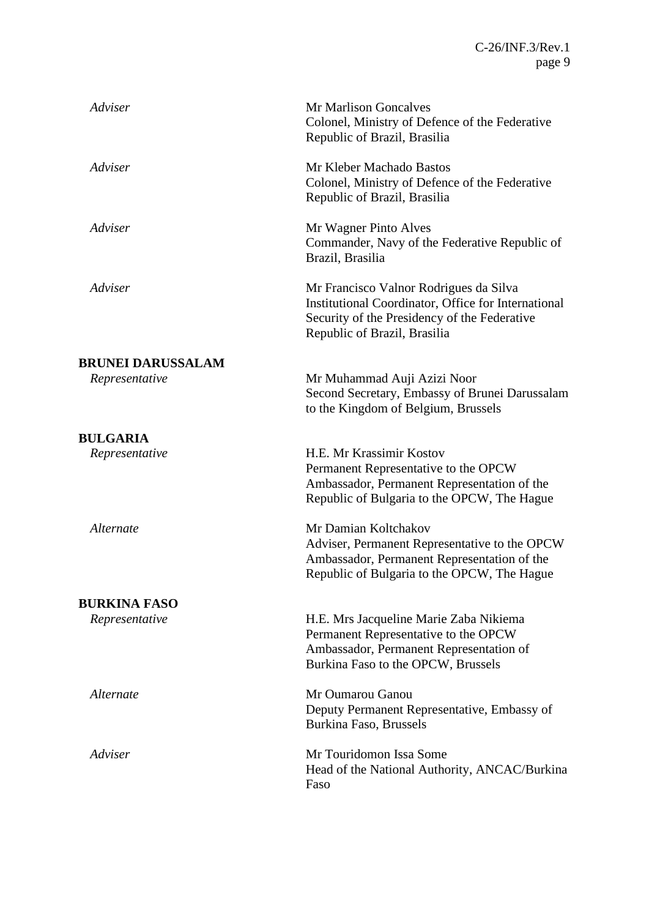| Adviser                  | <b>Mr Marlison Goncalves</b><br>Colonel, Ministry of Defence of the Federative<br>Republic of Brazil, Brasilia                                                                |
|--------------------------|-------------------------------------------------------------------------------------------------------------------------------------------------------------------------------|
| Adviser                  | Mr Kleber Machado Bastos<br>Colonel, Ministry of Defence of the Federative<br>Republic of Brazil, Brasilia                                                                    |
| Adviser                  | Mr Wagner Pinto Alves<br>Commander, Navy of the Federative Republic of<br>Brazil, Brasilia                                                                                    |
| Adviser                  | Mr Francisco Valnor Rodrigues da Silva<br>Institutional Coordinator, Office for International<br>Security of the Presidency of the Federative<br>Republic of Brazil, Brasilia |
| <b>BRUNEI DARUSSALAM</b> |                                                                                                                                                                               |
| Representative           | Mr Muhammad Auji Azizi Noor<br>Second Secretary, Embassy of Brunei Darussalam<br>to the Kingdom of Belgium, Brussels                                                          |
| <b>BULGARIA</b>          |                                                                                                                                                                               |
| Representative           | H.E. Mr Krassimir Kostov<br>Permanent Representative to the OPCW<br>Ambassador, Permanent Representation of the<br>Republic of Bulgaria to the OPCW, The Hague                |
| Alternate                | Mr Damian Koltchakov<br>Adviser, Permanent Representative to the OPCW<br>Ambassador, Permanent Representation of the<br>Republic of Bulgaria to the OPCW, The Hague           |
| <b>BURKINA FASO</b>      |                                                                                                                                                                               |
| Representative           | H.E. Mrs Jacqueline Marie Zaba Nikiema<br>Permanent Representative to the OPCW<br>Ambassador, Permanent Representation of<br>Burkina Faso to the OPCW, Brussels               |
| Alternate                | Mr Oumarou Ganou<br>Deputy Permanent Representative, Embassy of<br>Burkina Faso, Brussels                                                                                     |
| Adviser                  | Mr Touridomon Issa Some<br>Head of the National Authority, ANCAC/Burkina<br>Faso                                                                                              |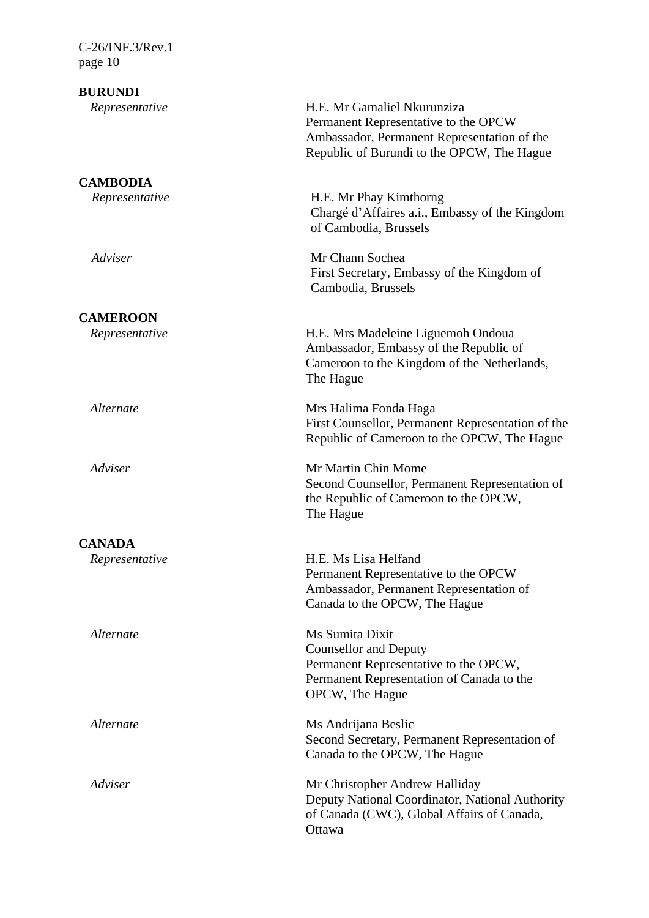**BURUNDI**

**CAMBODIA**

**CAMEROON**

**CANADA**

*Representative* H.E. Mr Gamaliel Nkurunziza Permanent Representative to the OPCW Ambassador, Permanent Representation of the Republic of Burundi to the OPCW, The Hague

*Representative* H.E. Mr Phay Kimthorng Chargé d'Affaires a.i., Embassy of the Kingdom of Cambodia, Brussels

*Adviser* Mr Chann Sochea First Secretary, Embassy of the Kingdom of Cambodia, Brussels

*Representative* H.E. Mrs Madeleine Liguemoh Ondoua Ambassador, Embassy of the Republic of Cameroon to the Kingdom of the Netherlands, The Hague

*Alternate* Mrs Halima Fonda Haga First Counsellor, Permanent Representation of the Republic of Cameroon to the OPCW, The Hague

*Adviser* Mr Martin Chin Mome Second Counsellor, Permanent Representation of the Republic of Cameroon to the OPCW, The Hague

*Representative* H.E. Ms Lisa Helfand Permanent Representative to the OPCW Ambassador, Permanent Representation of Canada to the OPCW, The Hague

*Alternate* Ms Sumita Dixit Counsellor and Deputy Permanent Representative to the OPCW, Permanent Representation of Canada to the OPCW, The Hague

*Alternate* Ms Andrijana Beslic Second Secretary, Permanent Representation of Canada to the OPCW, The Hague

*Adviser* Mr Christopher Andrew Halliday Deputy National Coordinator, National Authority of Canada (CWC), Global Affairs of Canada, **Ottawa**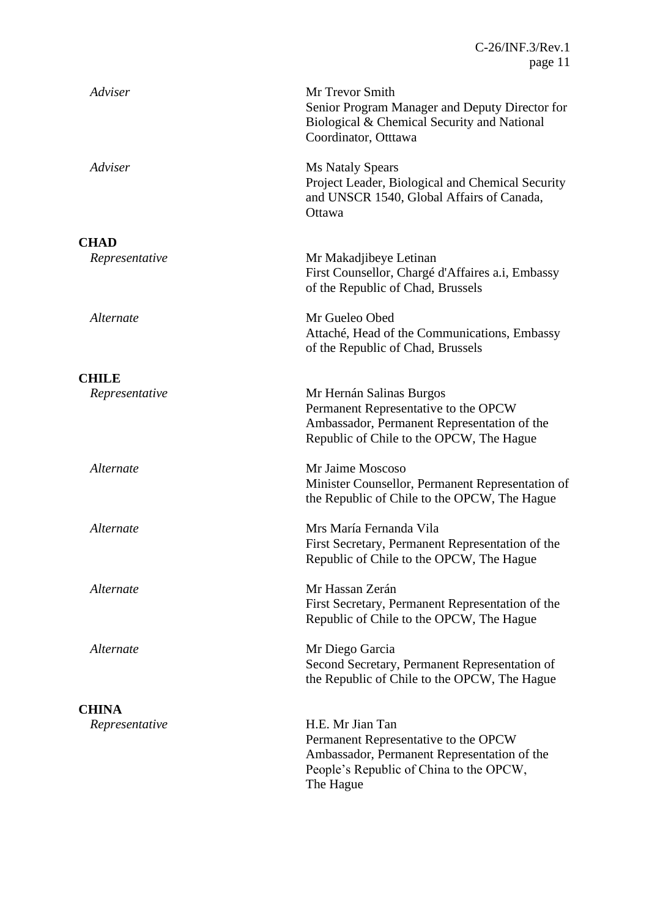| Adviser        | Mr Trevor Smith<br>Senior Program Manager and Deputy Director for<br>Biological & Chemical Security and National<br>Coordinator, Otttawa                        |
|----------------|-----------------------------------------------------------------------------------------------------------------------------------------------------------------|
| Adviser        | Ms Nataly Spears<br>Project Leader, Biological and Chemical Security<br>and UNSCR 1540, Global Affairs of Canada,<br>Ottawa                                     |
| <b>CHAD</b>    |                                                                                                                                                                 |
| Representative | Mr Makadjibeye Letinan<br>First Counsellor, Chargé d'Affaires a.i, Embassy<br>of the Republic of Chad, Brussels                                                 |
| Alternate      | Mr Gueleo Obed<br>Attaché, Head of the Communications, Embassy<br>of the Republic of Chad, Brussels                                                             |
| <b>CHILE</b>   |                                                                                                                                                                 |
| Representative | Mr Hernán Salinas Burgos<br>Permanent Representative to the OPCW<br>Ambassador, Permanent Representation of the<br>Republic of Chile to the OPCW, The Hague     |
| Alternate      | Mr Jaime Moscoso<br>Minister Counsellor, Permanent Representation of<br>the Republic of Chile to the OPCW, The Hague                                            |
| Alternate      | Mrs María Fernanda Vila<br>First Secretary, Permanent Representation of the<br>Republic of Chile to the OPCW, The Hague                                         |
| Alternate      | Mr Hassan Zerán<br>First Secretary, Permanent Representation of the<br>Republic of Chile to the OPCW, The Hague                                                 |
| Alternate      | Mr Diego Garcia<br>Second Secretary, Permanent Representation of<br>the Republic of Chile to the OPCW, The Hague                                                |
| <b>CHINA</b>   |                                                                                                                                                                 |
| Representative | H.E. Mr Jian Tan<br>Permanent Representative to the OPCW<br>Ambassador, Permanent Representation of the<br>People's Republic of China to the OPCW,<br>The Hague |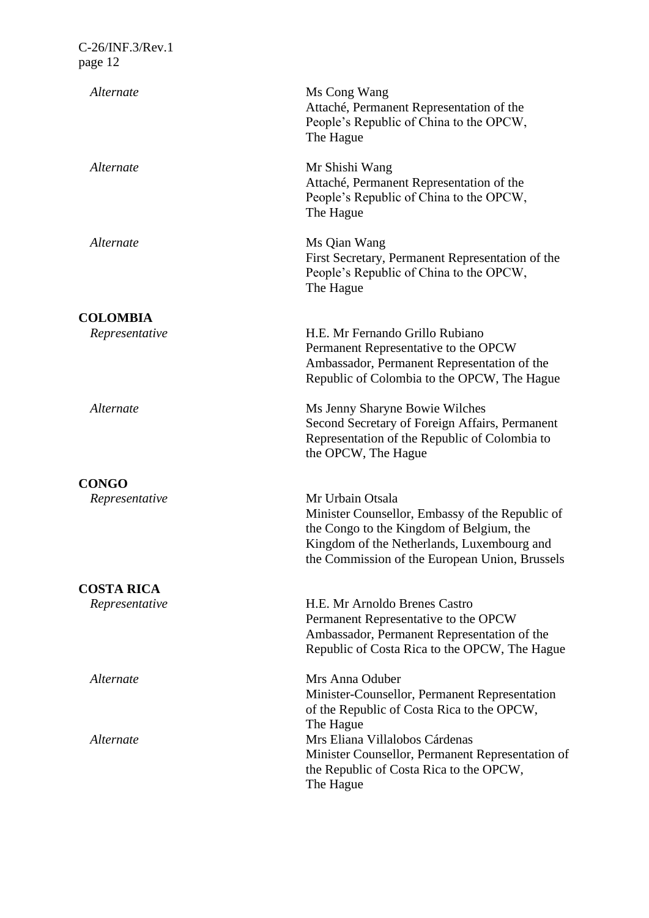| Alternate                           | Ms Cong Wang<br>Attaché, Permanent Representation of the<br>People's Republic of China to the OPCW,<br>The Hague                                                                                                |
|-------------------------------------|-----------------------------------------------------------------------------------------------------------------------------------------------------------------------------------------------------------------|
| Alternate                           | Mr Shishi Wang<br>Attaché, Permanent Representation of the<br>People's Republic of China to the OPCW,<br>The Hague                                                                                              |
| Alternate                           | Ms Qian Wang<br>First Secretary, Permanent Representation of the<br>People's Republic of China to the OPCW,<br>The Hague                                                                                        |
| <b>COLOMBIA</b>                     |                                                                                                                                                                                                                 |
| Representative                      | H.E. Mr Fernando Grillo Rubiano<br>Permanent Representative to the OPCW<br>Ambassador, Permanent Representation of the<br>Republic of Colombia to the OPCW, The Hague                                           |
| Alternate                           | Ms Jenny Sharyne Bowie Wilches<br>Second Secretary of Foreign Affairs, Permanent<br>Representation of the Republic of Colombia to<br>the OPCW, The Hague                                                        |
|                                     |                                                                                                                                                                                                                 |
| <b>CONGO</b><br>Representative      | Mr Urbain Otsala<br>Minister Counsellor, Embassy of the Republic of<br>the Congo to the Kingdom of Belgium, the<br>Kingdom of the Netherlands, Luxembourg and<br>the Commission of the European Union, Brussels |
|                                     |                                                                                                                                                                                                                 |
| <b>COSTA RICA</b><br>Representative | H.E. Mr Arnoldo Brenes Castro<br>Permanent Representative to the OPCW<br>Ambassador, Permanent Representation of the<br>Republic of Costa Rica to the OPCW, The Hague                                           |
| Alternate                           | Mrs Anna Oduber<br>Minister-Counsellor, Permanent Representation<br>of the Republic of Costa Rica to the OPCW,                                                                                                  |
| Alternate                           | The Hague<br>Mrs Eliana Villalobos Cárdenas<br>Minister Counsellor, Permanent Representation of<br>the Republic of Costa Rica to the OPCW,<br>The Hague                                                         |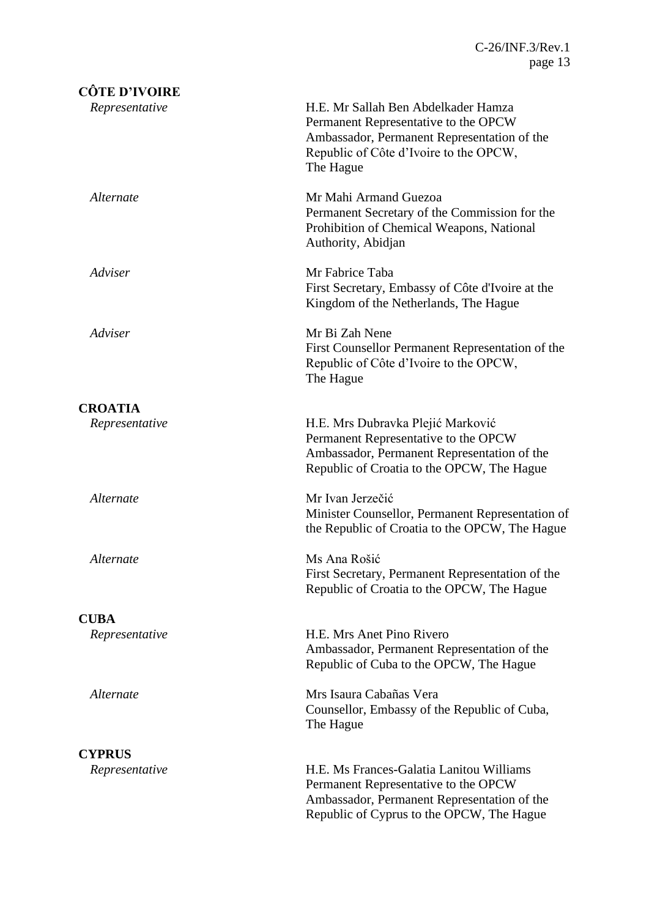| <b>CÔTE D'IVOIRE</b> |                                                                                                                                                                                   |
|----------------------|-----------------------------------------------------------------------------------------------------------------------------------------------------------------------------------|
| Representative       | H.E. Mr Sallah Ben Abdelkader Hamza<br>Permanent Representative to the OPCW<br>Ambassador, Permanent Representation of the<br>Republic of Côte d'Ivoire to the OPCW,<br>The Hague |
| Alternate            | Mr Mahi Armand Guezoa<br>Permanent Secretary of the Commission for the<br>Prohibition of Chemical Weapons, National<br>Authority, Abidjan                                         |
| Adviser              | Mr Fabrice Taba<br>First Secretary, Embassy of Côte d'Ivoire at the<br>Kingdom of the Netherlands, The Hague                                                                      |
| Adviser              | Mr Bi Zah Nene<br>First Counsellor Permanent Representation of the<br>Republic of Côte d'Ivoire to the OPCW,<br>The Hague                                                         |
| <b>CROATIA</b>       |                                                                                                                                                                                   |
| Representative       | H.E. Mrs Dubravka Plejić Marković<br>Permanent Representative to the OPCW<br>Ambassador, Permanent Representation of the<br>Republic of Croatia to the OPCW, The Hague            |
| Alternate            | Mr Ivan Jerzečić<br>Minister Counsellor, Permanent Representation of<br>the Republic of Croatia to the OPCW, The Hague                                                            |
| Alternate            | Ms Ana Rošić<br>First Secretary, Permanent Representation of the<br>Republic of Croatia to the OPCW, The Hague                                                                    |
| <b>CUBA</b>          |                                                                                                                                                                                   |
| Representative       | H.E. Mrs Anet Pino Rivero<br>Ambassador, Permanent Representation of the<br>Republic of Cuba to the OPCW, The Hague                                                               |
| Alternate            | Mrs Isaura Cabañas Vera<br>Counsellor, Embassy of the Republic of Cuba,<br>The Hague                                                                                              |
| <b>CYPRUS</b>        |                                                                                                                                                                                   |
| Representative       | H.E. Ms Frances-Galatia Lanitou Williams<br>Permanent Representative to the OPCW<br>Ambassador, Permanent Representation of the<br>Republic of Cyprus to the OPCW, The Hague      |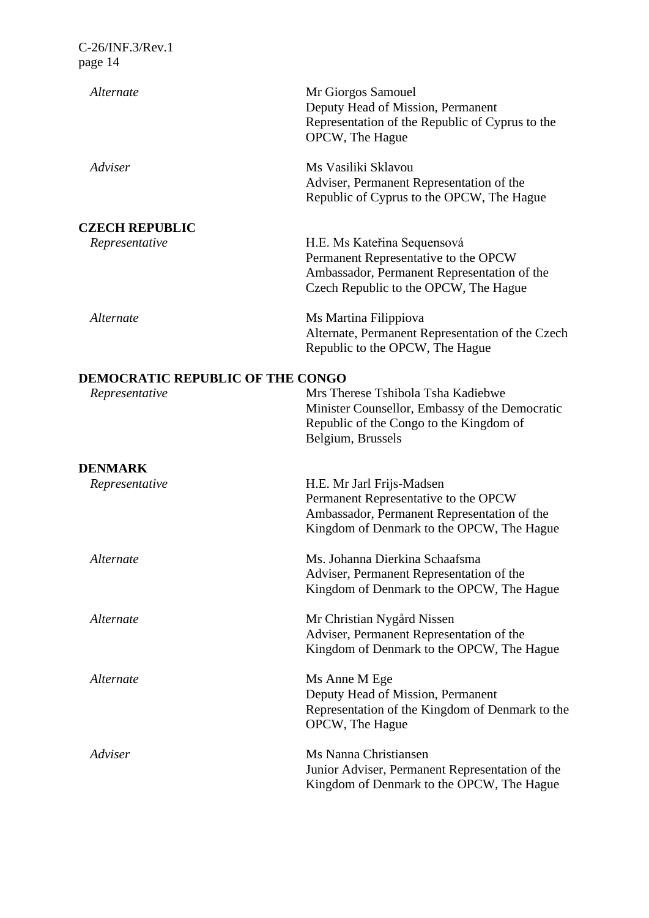| $C-26/INF.3/Rev.1$ |  |
|--------------------|--|
| page 14            |  |

| Alternate                               | Mr Giorgos Samouel<br>Deputy Head of Mission, Permanent<br>Representation of the Republic of Cyprus to the<br>OPCW, The Hague                                 |
|-----------------------------------------|---------------------------------------------------------------------------------------------------------------------------------------------------------------|
| Adviser                                 | Ms Vasiliki Sklavou<br>Adviser, Permanent Representation of the<br>Republic of Cyprus to the OPCW, The Hague                                                  |
| <b>CZECH REPUBLIC</b>                   |                                                                                                                                                               |
| Representative                          | H.E. Ms Kateřina Sequensová<br>Permanent Representative to the OPCW<br>Ambassador, Permanent Representation of the<br>Czech Republic to the OPCW, The Hague   |
| Alternate                               | Ms Martina Filippiova<br>Alternate, Permanent Representation of the Czech<br>Republic to the OPCW, The Hague                                                  |
| <b>DEMOCRATIC REPUBLIC OF THE CONGO</b> |                                                                                                                                                               |
| Representative                          | Mrs Therese Tshibola Tsha Kadiebwe<br>Minister Counsellor, Embassy of the Democratic<br>Republic of the Congo to the Kingdom of<br>Belgium, Brussels          |
| <b>DENMARK</b>                          |                                                                                                                                                               |
| Representative                          | H.E. Mr Jarl Frijs-Madsen<br>Permanent Representative to the OPCW<br>Ambassador, Permanent Representation of the<br>Kingdom of Denmark to the OPCW, The Hague |
| Alternate                               | Ms. Johanna Dierkina Schaafsma<br>Adviser, Permanent Representation of the<br>Kingdom of Denmark to the OPCW, The Hague                                       |
| Alternate                               | Mr Christian Nygård Nissen<br>Adviser, Permanent Representation of the<br>Kingdom of Denmark to the OPCW, The Hague                                           |
| Alternate                               | Ms Anne M Ege<br>Deputy Head of Mission, Permanent<br>Representation of the Kingdom of Denmark to the<br>OPCW, The Hague                                      |
| Adviser                                 | Ms Nanna Christiansen<br>Junior Adviser, Permanent Representation of the<br>Kingdom of Denmark to the OPCW, The Hague                                         |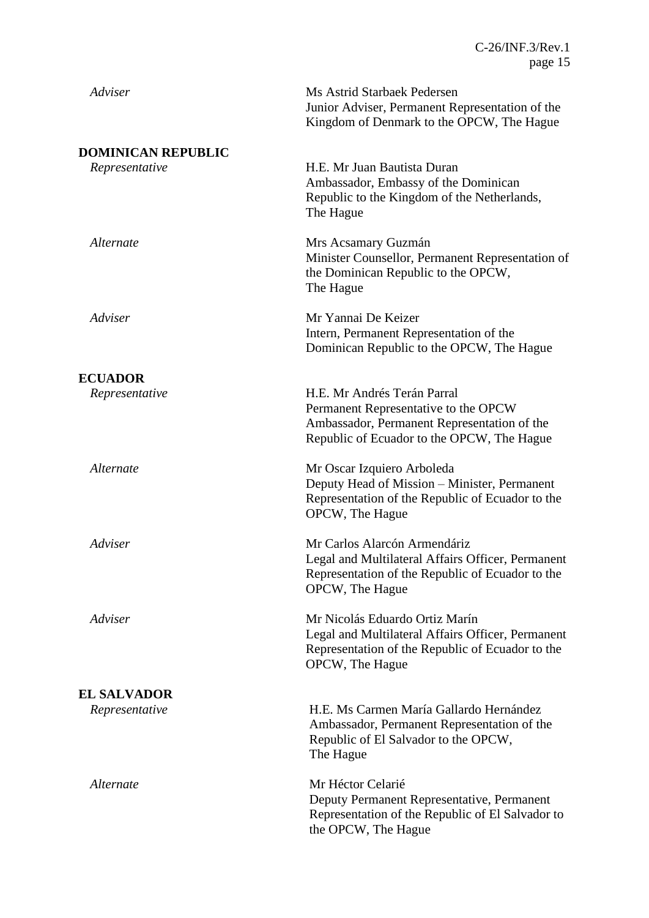| Adviser                                     | Ms Astrid Starbaek Pedersen<br>Junior Adviser, Permanent Representation of the<br>Kingdom of Denmark to the OPCW, The Hague                                      |
|---------------------------------------------|------------------------------------------------------------------------------------------------------------------------------------------------------------------|
| <b>DOMINICAN REPUBLIC</b><br>Representative | H.E. Mr Juan Bautista Duran<br>Ambassador, Embassy of the Dominican<br>Republic to the Kingdom of the Netherlands,<br>The Hague                                  |
| Alternate                                   | Mrs Acsamary Guzmán<br>Minister Counsellor, Permanent Representation of<br>the Dominican Republic to the OPCW,<br>The Hague                                      |
| Adviser                                     | Mr Yannai De Keizer<br>Intern, Permanent Representation of the<br>Dominican Republic to the OPCW, The Hague                                                      |
| <b>ECUADOR</b>                              |                                                                                                                                                                  |
| Representative                              | H.E. Mr Andrés Terán Parral<br>Permanent Representative to the OPCW<br>Ambassador, Permanent Representation of the<br>Republic of Ecuador to the OPCW, The Hague |
| Alternate                                   | Mr Oscar Izquiero Arboleda<br>Deputy Head of Mission - Minister, Permanent<br>Representation of the Republic of Ecuador to the<br>OPCW, The Hague                |
| Adviser                                     | Mr Carlos Alarcón Armendáriz<br>Legal and Multilateral Affairs Officer, Permanent<br>Representation of the Republic of Ecuador to the<br>OPCW, The Hague         |
| Adviser                                     | Mr Nicolás Eduardo Ortiz Marín<br>Legal and Multilateral Affairs Officer, Permanent<br>Representation of the Republic of Ecuador to the<br>OPCW, The Hague       |
|                                             |                                                                                                                                                                  |
| <b>EL SALVADOR</b><br>Representative        | H.E. Ms Carmen María Gallardo Hernández<br>Ambassador, Permanent Representation of the<br>Republic of El Salvador to the OPCW,<br>The Hague                      |
| Alternate                                   | Mr Héctor Celarié<br>Deputy Permanent Representative, Permanent<br>Representation of the Republic of El Salvador to<br>the OPCW, The Hague                       |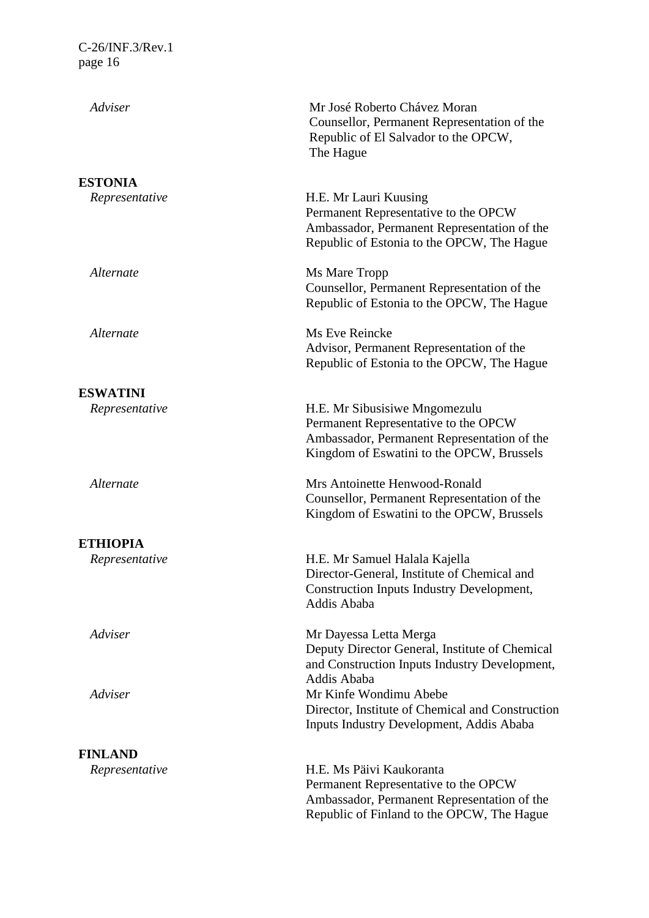| Adviser         | Mr José Roberto Chávez Moran<br>Counsellor, Permanent Representation of the<br>Republic of El Salvador to the OPCW,<br>The Hague                                  |
|-----------------|-------------------------------------------------------------------------------------------------------------------------------------------------------------------|
| <b>ESTONIA</b>  |                                                                                                                                                                   |
| Representative  | H.E. Mr Lauri Kuusing<br>Permanent Representative to the OPCW<br>Ambassador, Permanent Representation of the<br>Republic of Estonia to the OPCW, The Hague        |
| Alternate       | Ms Mare Tropp<br>Counsellor, Permanent Representation of the<br>Republic of Estonia to the OPCW, The Hague                                                        |
| Alternate       | Ms Eve Reincke<br>Advisor, Permanent Representation of the<br>Republic of Estonia to the OPCW, The Hague                                                          |
| <b>ESWATINI</b> |                                                                                                                                                                   |
| Representative  | H.E. Mr Sibusisiwe Mngomezulu<br>Permanent Representative to the OPCW<br>Ambassador, Permanent Representation of the<br>Kingdom of Eswatini to the OPCW, Brussels |
| Alternate       | Mrs Antoinette Henwood-Ronald<br>Counsellor, Permanent Representation of the<br>Kingdom of Eswatini to the OPCW, Brussels                                         |
| <b>ETHIOPIA</b> |                                                                                                                                                                   |
| Representative  | H.E. Mr Samuel Halala Kajella<br>Director-General, Institute of Chemical and<br>Construction Inputs Industry Development,<br>Addis Ababa                          |
| Adviser         | Mr Dayessa Letta Merga<br>Deputy Director General, Institute of Chemical<br>and Construction Inputs Industry Development,<br>Addis Ababa                          |
| Adviser         | Mr Kinfe Wondimu Abebe<br>Director, Institute of Chemical and Construction<br><b>Inputs Industry Development, Addis Ababa</b>                                     |
| <b>FINLAND</b>  |                                                                                                                                                                   |
| Representative  | H.E. Ms Päivi Kaukoranta<br>Permanent Representative to the OPCW<br>Ambassador, Permanent Representation of the<br>Republic of Finland to the OPCW, The Hague     |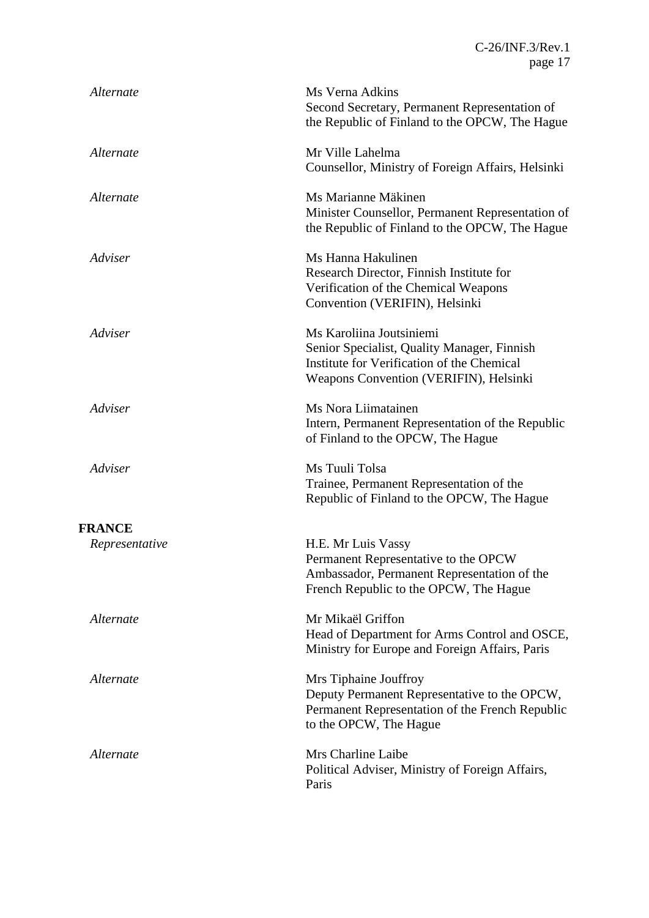| Alternate      | Ms Verna Adkins<br>Second Secretary, Permanent Representation of<br>the Republic of Finland to the OPCW, The Hague                                              |
|----------------|-----------------------------------------------------------------------------------------------------------------------------------------------------------------|
| Alternate      | Mr Ville Lahelma<br>Counsellor, Ministry of Foreign Affairs, Helsinki                                                                                           |
| Alternate      | Ms Marianne Mäkinen<br>Minister Counsellor, Permanent Representation of<br>the Republic of Finland to the OPCW, The Hague                                       |
| Adviser        | Ms Hanna Hakulinen<br>Research Director, Finnish Institute for<br>Verification of the Chemical Weapons<br>Convention (VERIFIN), Helsinki                        |
| Adviser        | Ms Karoliina Joutsiniemi<br>Senior Specialist, Quality Manager, Finnish<br>Institute for Verification of the Chemical<br>Weapons Convention (VERIFIN), Helsinki |
| Adviser        | Ms Nora Liimatainen<br>Intern, Permanent Representation of the Republic<br>of Finland to the OPCW, The Hague                                                    |
| Adviser        | Ms Tuuli Tolsa<br>Trainee, Permanent Representation of the<br>Republic of Finland to the OPCW, The Hague                                                        |
| <b>FRANCE</b>  |                                                                                                                                                                 |
| Representative | H.E. Mr Luis Vassy<br>Permanent Representative to the OPCW<br>Ambassador, Permanent Representation of the<br>French Republic to the OPCW, The Hague             |
| Alternate      | Mr Mikaël Griffon<br>Head of Department for Arms Control and OSCE,<br>Ministry for Europe and Foreign Affairs, Paris                                            |
| Alternate      | Mrs Tiphaine Jouffroy<br>Deputy Permanent Representative to the OPCW,<br>Permanent Representation of the French Republic<br>to the OPCW, The Hague              |
| Alternate      | Mrs Charline Laibe<br>Political Adviser, Ministry of Foreign Affairs,<br>Paris                                                                                  |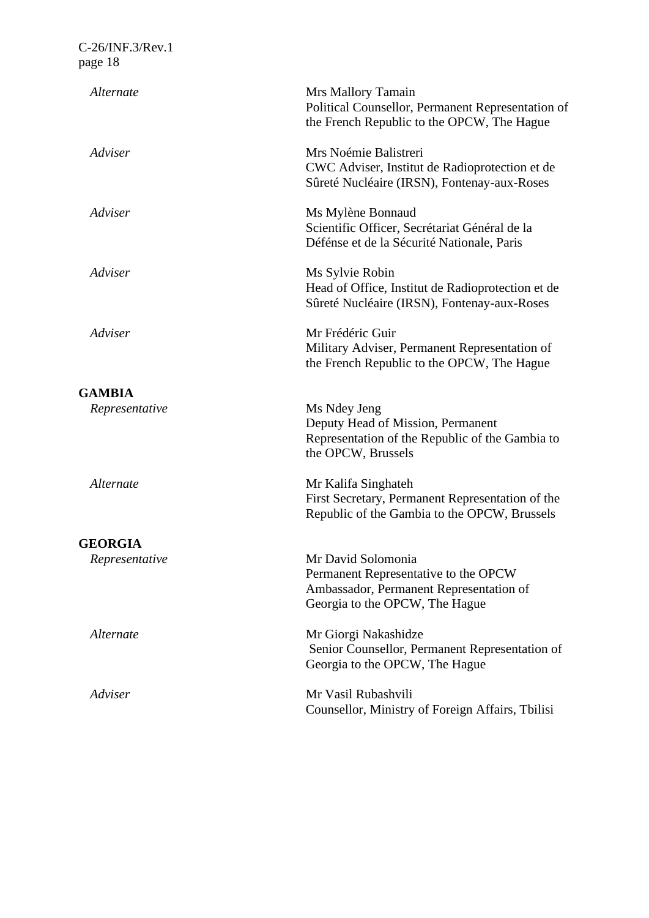| Alternate      | Mrs Mallory Tamain<br>Political Counsellor, Permanent Representation of<br>the French Republic to the OPCW, The Hague                   |
|----------------|-----------------------------------------------------------------------------------------------------------------------------------------|
| Adviser        | Mrs Noémie Balistreri<br>CWC Adviser, Institut de Radioprotection et de<br>Sûreté Nucléaire (IRSN), Fontenay-aux-Roses                  |
| Adviser        | Ms Mylène Bonnaud<br>Scientific Officer, Secrétariat Général de la<br>Défénse et de la Sécurité Nationale, Paris                        |
| Adviser        | Ms Sylvie Robin<br>Head of Office, Institut de Radioprotection et de<br>Sûreté Nucléaire (IRSN), Fontenay-aux-Roses                     |
| Adviser        | Mr Frédéric Guir<br>Military Adviser, Permanent Representation of<br>the French Republic to the OPCW, The Hague                         |
| <b>GAMBIA</b>  |                                                                                                                                         |
| Representative | Ms Ndey Jeng<br>Deputy Head of Mission, Permanent<br>Representation of the Republic of the Gambia to<br>the OPCW, Brussels              |
| Alternate      | Mr Kalifa Singhateh<br>First Secretary, Permanent Representation of the<br>Republic of the Gambia to the OPCW, Brussels                 |
| <b>GEORGIA</b> |                                                                                                                                         |
| Representative | Mr David Solomonia<br>Permanent Representative to the OPCW<br>Ambassador, Permanent Representation of<br>Georgia to the OPCW, The Hague |
| Alternate      | Mr Giorgi Nakashidze<br>Senior Counsellor, Permanent Representation of<br>Georgia to the OPCW, The Hague                                |
| Adviser        | Mr Vasil Rubashvili<br>Counsellor, Ministry of Foreign Affairs, Tbilisi                                                                 |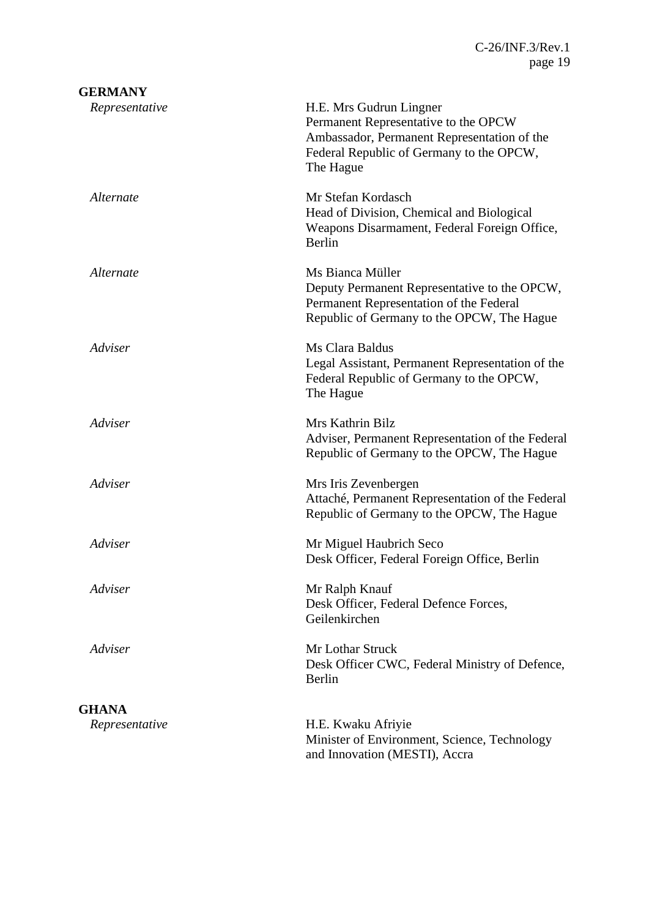| <b>GERMANY</b> |                                                                                                                                                                         |
|----------------|-------------------------------------------------------------------------------------------------------------------------------------------------------------------------|
| Representative | H.E. Mrs Gudrun Lingner<br>Permanent Representative to the OPCW<br>Ambassador, Permanent Representation of the<br>Federal Republic of Germany to the OPCW,<br>The Hague |
| Alternate      | Mr Stefan Kordasch<br>Head of Division, Chemical and Biological<br>Weapons Disarmament, Federal Foreign Office,<br>Berlin                                               |
| Alternate      | Ms Bianca Müller<br>Deputy Permanent Representative to the OPCW,<br>Permanent Representation of the Federal<br>Republic of Germany to the OPCW, The Hague               |
| Adviser        | Ms Clara Baldus<br>Legal Assistant, Permanent Representation of the<br>Federal Republic of Germany to the OPCW,<br>The Hague                                            |
| Adviser        | Mrs Kathrin Bilz<br>Adviser, Permanent Representation of the Federal<br>Republic of Germany to the OPCW, The Hague                                                      |
| Adviser        | Mrs Iris Zevenbergen<br>Attaché, Permanent Representation of the Federal<br>Republic of Germany to the OPCW, The Hague                                                  |
| Adviser        | Mr Miguel Haubrich Seco<br>Desk Officer, Federal Foreign Office, Berlin                                                                                                 |
| Adviser        | Mr Ralph Knauf<br>Desk Officer, Federal Defence Forces,<br>Geilenkirchen                                                                                                |
| Adviser        | Mr Lothar Struck<br>Desk Officer CWC, Federal Ministry of Defence,<br>Berlin                                                                                            |
| <b>GHANA</b>   |                                                                                                                                                                         |
| Representative | H.E. Kwaku Afriyie<br>Minister of Environment, Science, Technology<br>and Innovation (MESTI), Accra                                                                     |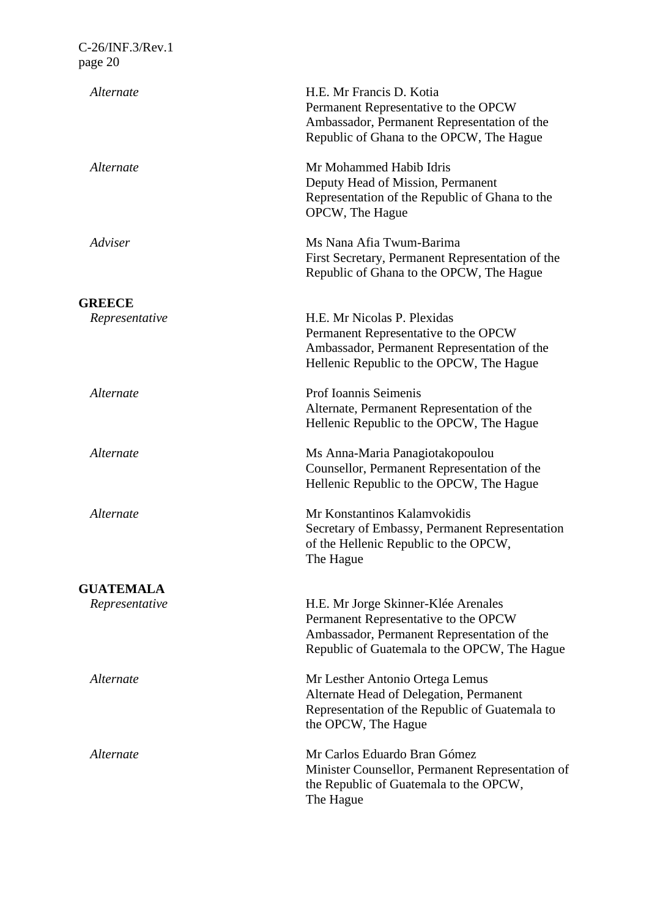| Alternate        | H.E. Mr Francis D. Kotia<br>Permanent Representative to the OPCW<br>Ambassador, Permanent Representation of the<br>Republic of Ghana to the OPCW, The Hague                |
|------------------|----------------------------------------------------------------------------------------------------------------------------------------------------------------------------|
| Alternate        | Mr Mohammed Habib Idris<br>Deputy Head of Mission, Permanent<br>Representation of the Republic of Ghana to the<br>OPCW, The Hague                                          |
| Adviser          | Ms Nana Afia Twum-Barima<br>First Secretary, Permanent Representation of the<br>Republic of Ghana to the OPCW, The Hague                                                   |
| <b>GREECE</b>    |                                                                                                                                                                            |
| Representative   | H.E. Mr Nicolas P. Plexidas<br>Permanent Representative to the OPCW<br>Ambassador, Permanent Representation of the<br>Hellenic Republic to the OPCW, The Hague             |
| Alternate        | Prof Ioannis Seimenis<br>Alternate, Permanent Representation of the<br>Hellenic Republic to the OPCW, The Hague                                                            |
| Alternate        | Ms Anna-Maria Panagiotakopoulou<br>Counsellor, Permanent Representation of the<br>Hellenic Republic to the OPCW, The Hague                                                 |
| Alternate        | Mr Konstantinos Kalamvokidis<br>Secretary of Embassy, Permanent Representation<br>of the Hellenic Republic to the OPCW,<br>The Hague                                       |
| <b>GUATEMALA</b> |                                                                                                                                                                            |
| Representative   | H.E. Mr Jorge Skinner-Klée Arenales<br>Permanent Representative to the OPCW<br>Ambassador, Permanent Representation of the<br>Republic of Guatemala to the OPCW, The Hague |
| Alternate        | Mr Lesther Antonio Ortega Lemus<br>Alternate Head of Delegation, Permanent<br>Representation of the Republic of Guatemala to<br>the OPCW, The Hague                        |
| Alternate        | Mr Carlos Eduardo Bran Gómez<br>Minister Counsellor, Permanent Representation of<br>the Republic of Guatemala to the OPCW,<br>The Hague                                    |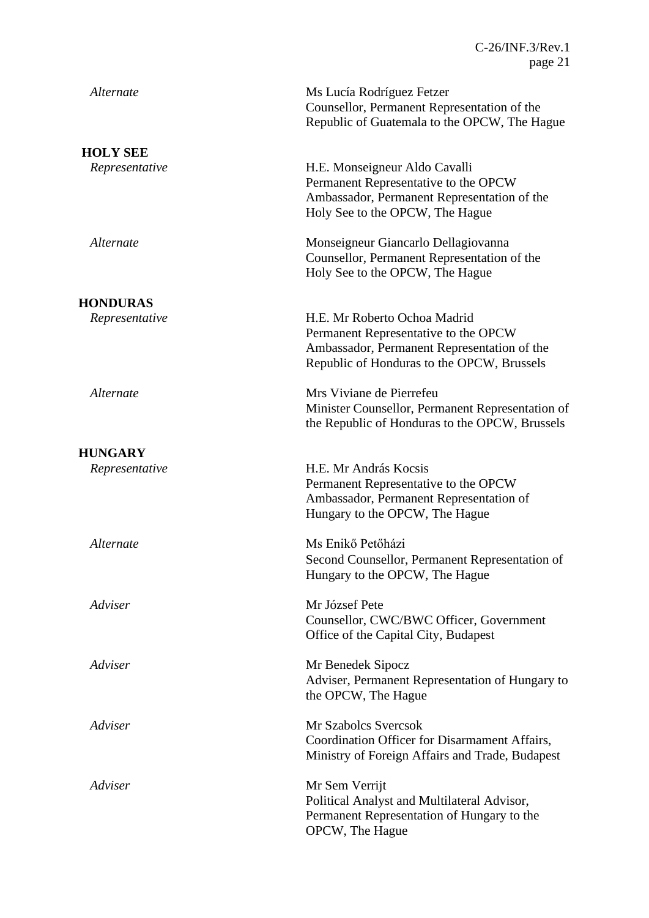| Alternate       | Ms Lucía Rodríguez Fetzer<br>Counsellor, Permanent Representation of the<br>Republic of Guatemala to the OPCW, The Hague                                          |
|-----------------|-------------------------------------------------------------------------------------------------------------------------------------------------------------------|
| <b>HOLY SEE</b> |                                                                                                                                                                   |
| Representative  | H.E. Monseigneur Aldo Cavalli<br>Permanent Representative to the OPCW<br>Ambassador, Permanent Representation of the<br>Holy See to the OPCW, The Hague           |
| Alternate       | Monseigneur Giancarlo Dellagiovanna<br>Counsellor, Permanent Representation of the<br>Holy See to the OPCW, The Hague                                             |
| <b>HONDURAS</b> |                                                                                                                                                                   |
| Representative  | H.E. Mr Roberto Ochoa Madrid<br>Permanent Representative to the OPCW<br>Ambassador, Permanent Representation of the<br>Republic of Honduras to the OPCW, Brussels |
| Alternate       | Mrs Viviane de Pierrefeu<br>Minister Counsellor, Permanent Representation of<br>the Republic of Honduras to the OPCW, Brussels                                    |
| <b>HUNGARY</b>  |                                                                                                                                                                   |
| Representative  | H.E. Mr András Kocsis<br>Permanent Representative to the OPCW<br>Ambassador, Permanent Representation of<br>Hungary to the OPCW, The Hague                        |
| Alternate       | Ms Enikő Petőházi<br>Second Counsellor, Permanent Representation of<br>Hungary to the OPCW, The Hague                                                             |
| Adviser         | Mr József Pete<br>Counsellor, CWC/BWC Officer, Government<br>Office of the Capital City, Budapest                                                                 |
| Adviser         | Mr Benedek Sipocz<br>Adviser, Permanent Representation of Hungary to<br>the OPCW, The Hague                                                                       |
| Adviser         | Mr Szabolcs Svercsok<br>Coordination Officer for Disarmament Affairs,<br>Ministry of Foreign Affairs and Trade, Budapest                                          |
| Adviser         | Mr Sem Verrijt<br>Political Analyst and Multilateral Advisor,<br>Permanent Representation of Hungary to the<br>OPCW, The Hague                                    |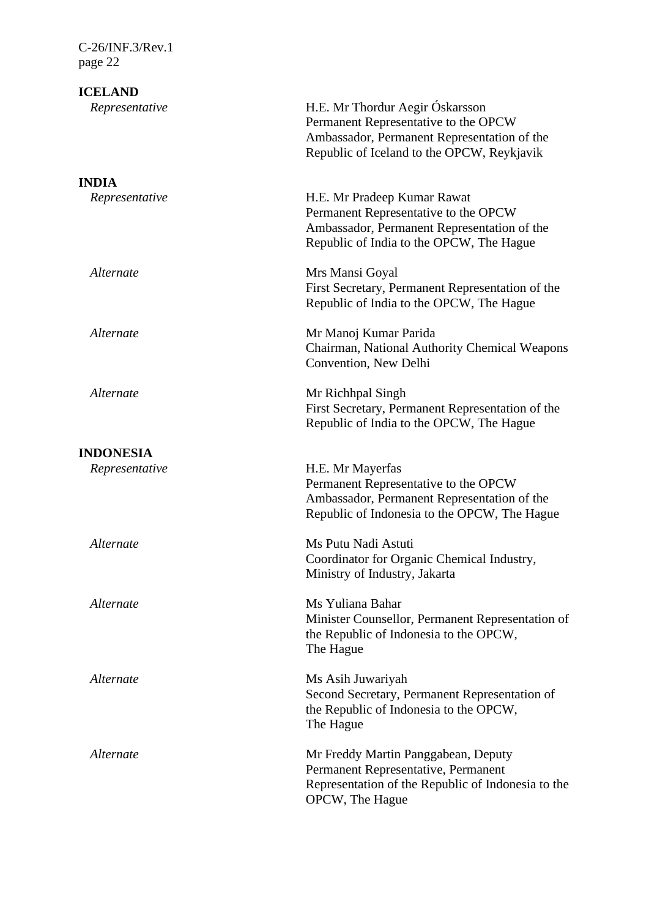C-26/INF.3/Rev.1 page 22 **ICELAND** *Representative* H.E. Mr Thordur Aegir Óskarsson Permanent Representative to the OPCW Ambassador, Permanent Representation of the Republic of Iceland to the OPCW, Reykjavik **INDIA** *Representative* H.E. Mr Pradeep Kumar Rawat Permanent Representative to the OPCW Ambassador, Permanent Representation of the Republic of India to the OPCW, The Hague *Alternate* Mrs Mansi Goyal First Secretary, Permanent Representation of the Republic of India to the OPCW, The Hague *Alternate* Mr Manoj Kumar Parida Chairman, National Authority Chemical Weapons Convention, New Delhi *Alternate* Mr Richhpal Singh First Secretary, Permanent Representation of the Republic of India to the OPCW, The Hague **INDONESIA** *Representative* H.E. Mr Mayerfas Permanent Representative to the OPCW Ambassador, Permanent Representation of the Republic of Indonesia to the OPCW, The Hague *Alternate* Ms Putu Nadi Astuti Coordinator for Organic Chemical Industry, Ministry of Industry, Jakarta *Alternate* Ms Yuliana Bahar Minister Counsellor, Permanent Representation of the Republic of Indonesia to the OPCW, The Hague *Alternate* Ms Asih Juwariyah Second Secretary, Permanent Representation of the Republic of Indonesia to the OPCW, The Hague *Alternate* Mr Freddy Martin Panggabean, Deputy Permanent Representative, Permanent Representation of the Republic of Indonesia to the OPCW, The Hague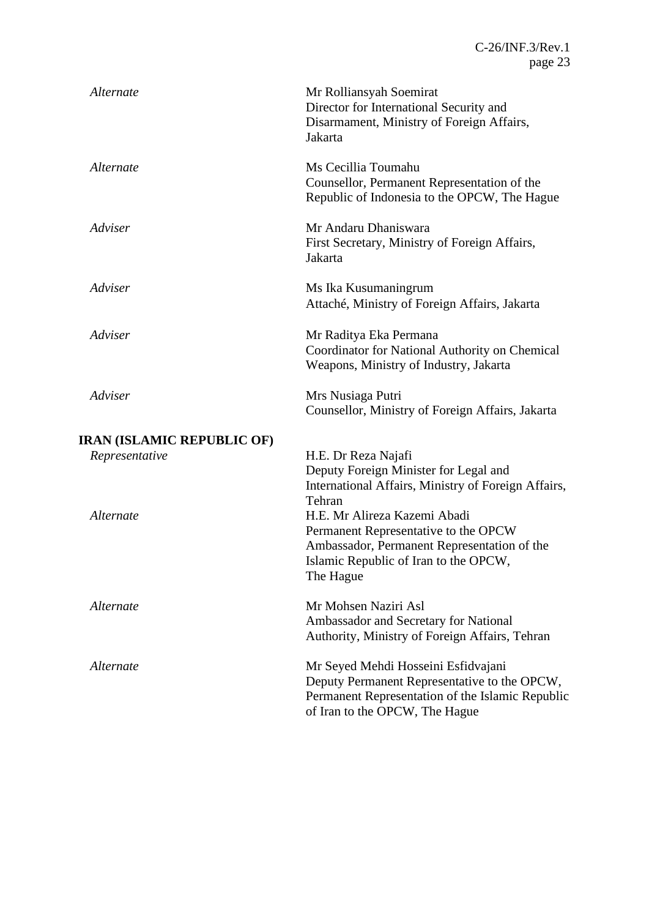| Alternate                         | Mr Rolliansyah Soemirat<br>Director for International Security and<br>Disarmament, Ministry of Foreign Affairs,<br>Jakarta                                                |
|-----------------------------------|---------------------------------------------------------------------------------------------------------------------------------------------------------------------------|
| Alternate                         | Ms Cecillia Toumahu<br>Counsellor, Permanent Representation of the<br>Republic of Indonesia to the OPCW, The Hague                                                        |
| Adviser                           | Mr Andaru Dhaniswara<br>First Secretary, Ministry of Foreign Affairs,<br>Jakarta                                                                                          |
| Adviser                           | Ms Ika Kusumaningrum<br>Attaché, Ministry of Foreign Affairs, Jakarta                                                                                                     |
| Adviser                           | Mr Raditya Eka Permana<br>Coordinator for National Authority on Chemical<br>Weapons, Ministry of Industry, Jakarta                                                        |
| Adviser                           | Mrs Nusiaga Putri<br>Counsellor, Ministry of Foreign Affairs, Jakarta                                                                                                     |
| <b>IRAN (ISLAMIC REPUBLIC OF)</b> |                                                                                                                                                                           |
| Representative                    | H.E. Dr Reza Najafi<br>Deputy Foreign Minister for Legal and<br>International Affairs, Ministry of Foreign Affairs,<br>Tehran                                             |
| Alternate                         | H.E. Mr Alireza Kazemi Abadi<br>Permanent Representative to the OPCW<br>Ambassador, Permanent Representation of the<br>Islamic Republic of Iran to the OPCW,<br>The Hague |
| Alternate                         | Mr Mohsen Naziri Asl<br>Ambassador and Secretary for National<br>Authority, Ministry of Foreign Affairs, Tehran                                                           |
| Alternate                         | Mr Seyed Mehdi Hosseini Esfidvajani<br>Deputy Permanent Representative to the OPCW,<br>Permanent Representation of the Islamic Republic<br>of Iran to the OPCW, The Hague |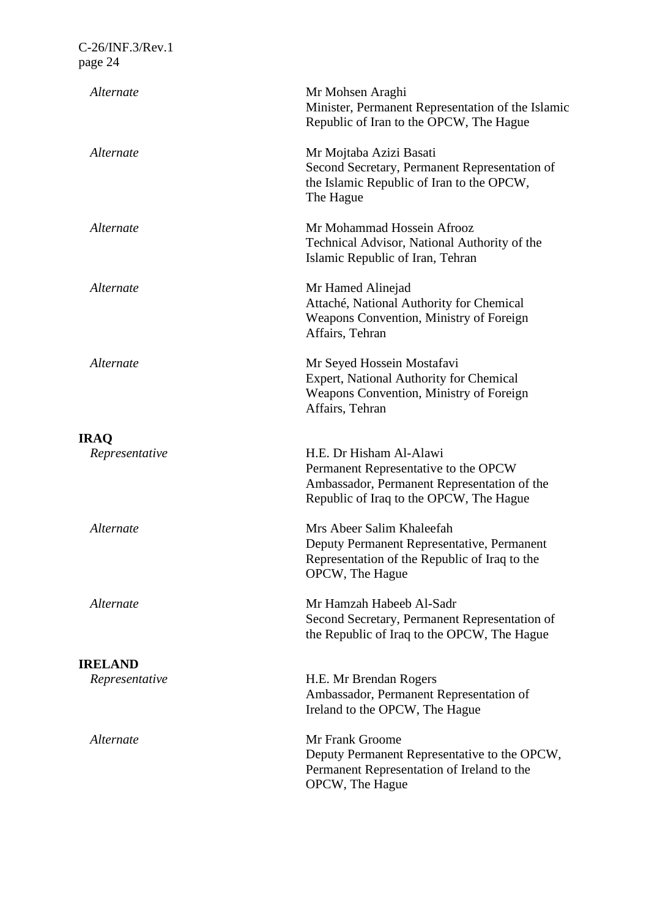| Alternate                     | Mr Mohsen Araghi<br>Minister, Permanent Representation of the Islamic<br>Republic of Iran to the OPCW, The Hague                                          |
|-------------------------------|-----------------------------------------------------------------------------------------------------------------------------------------------------------|
| Alternate                     | Mr Mojtaba Azizi Basati<br>Second Secretary, Permanent Representation of<br>the Islamic Republic of Iran to the OPCW,<br>The Hague                        |
| Alternate                     | Mr Mohammad Hossein Afrooz<br>Technical Advisor, National Authority of the<br>Islamic Republic of Iran, Tehran                                            |
| Alternate                     | Mr Hamed Alinejad<br>Attaché, National Authority for Chemical<br>Weapons Convention, Ministry of Foreign<br>Affairs, Tehran                               |
| Alternate                     | Mr Seyed Hossein Mostafavi<br><b>Expert, National Authority for Chemical</b><br>Weapons Convention, Ministry of Foreign<br>Affairs, Tehran                |
|                               |                                                                                                                                                           |
| <b>IRAQ</b><br>Representative | H.E. Dr Hisham Al-Alawi<br>Permanent Representative to the OPCW<br>Ambassador, Permanent Representation of the<br>Republic of Iraq to the OPCW, The Hague |
| Alternate                     | Mrs Abeer Salim Khaleefah<br>Deputy Permanent Representative, Permanent<br>Representation of the Republic of Iraq to the<br>OPCW, The Hague               |
| Alternate                     | Mr Hamzah Habeeb Al-Sadr<br>Second Secretary, Permanent Representation of<br>the Republic of Iraq to the OPCW, The Hague                                  |
| <b>IRELAND</b>                |                                                                                                                                                           |
| Representative                | H.E. Mr Brendan Rogers<br>Ambassador, Permanent Representation of<br>Ireland to the OPCW, The Hague                                                       |
| Alternate                     | Mr Frank Groome<br>Deputy Permanent Representative to the OPCW,<br>Permanent Representation of Ireland to the<br>OPCW, The Hague                          |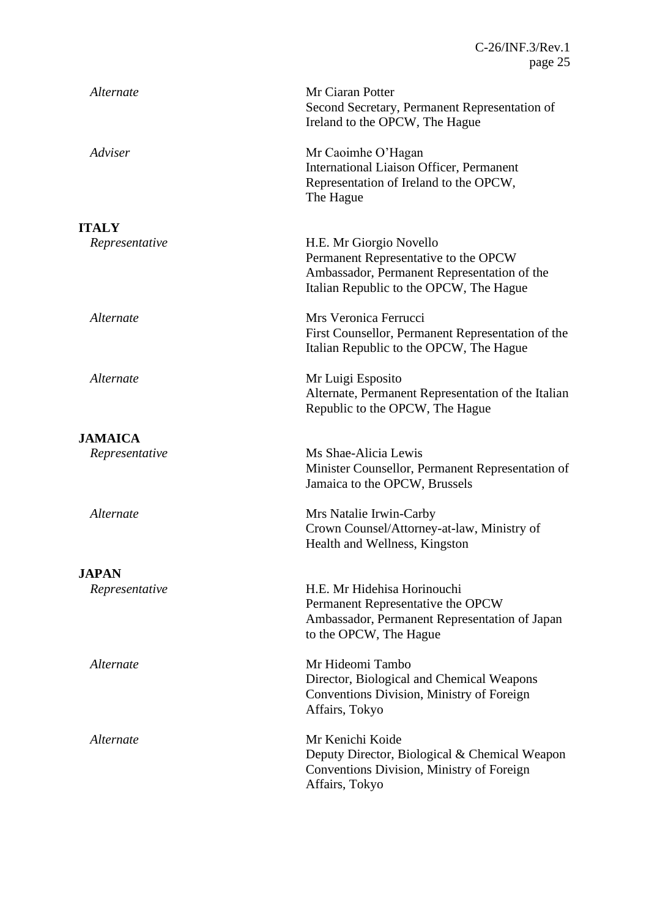| Alternate      | Mr Ciaran Potter<br>Second Secretary, Permanent Representation of<br>Ireland to the OPCW, The Hague                                                       |
|----------------|-----------------------------------------------------------------------------------------------------------------------------------------------------------|
| Adviser        | Mr Caoimhe O'Hagan<br>International Liaison Officer, Permanent<br>Representation of Ireland to the OPCW,<br>The Hague                                     |
| <b>ITALY</b>   |                                                                                                                                                           |
| Representative | H.E. Mr Giorgio Novello<br>Permanent Representative to the OPCW<br>Ambassador, Permanent Representation of the<br>Italian Republic to the OPCW, The Hague |
| Alternate      | Mrs Veronica Ferrucci<br>First Counsellor, Permanent Representation of the<br>Italian Republic to the OPCW, The Hague                                     |
| Alternate      | Mr Luigi Esposito<br>Alternate, Permanent Representation of the Italian<br>Republic to the OPCW, The Hague                                                |
| <b>JAMAICA</b> |                                                                                                                                                           |
| Representative | Ms Shae-Alicia Lewis<br>Minister Counsellor, Permanent Representation of<br>Jamaica to the OPCW, Brussels                                                 |
| Alternate      | Mrs Natalie Irwin-Carby<br>Crown Counsel/Attorney-at-law, Ministry of<br>Health and Wellness, Kingston                                                    |
| <b>JAPAN</b>   |                                                                                                                                                           |
| Representative | H.E. Mr Hidehisa Horinouchi<br>Permanent Representative the OPCW<br>Ambassador, Permanent Representation of Japan<br>to the OPCW, The Hague               |
| Alternate      | Mr Hideomi Tambo<br>Director, Biological and Chemical Weapons<br>Conventions Division, Ministry of Foreign<br>Affairs, Tokyo                              |
| Alternate      | Mr Kenichi Koide<br>Deputy Director, Biological & Chemical Weapon<br>Conventions Division, Ministry of Foreign<br>Affairs, Tokyo                          |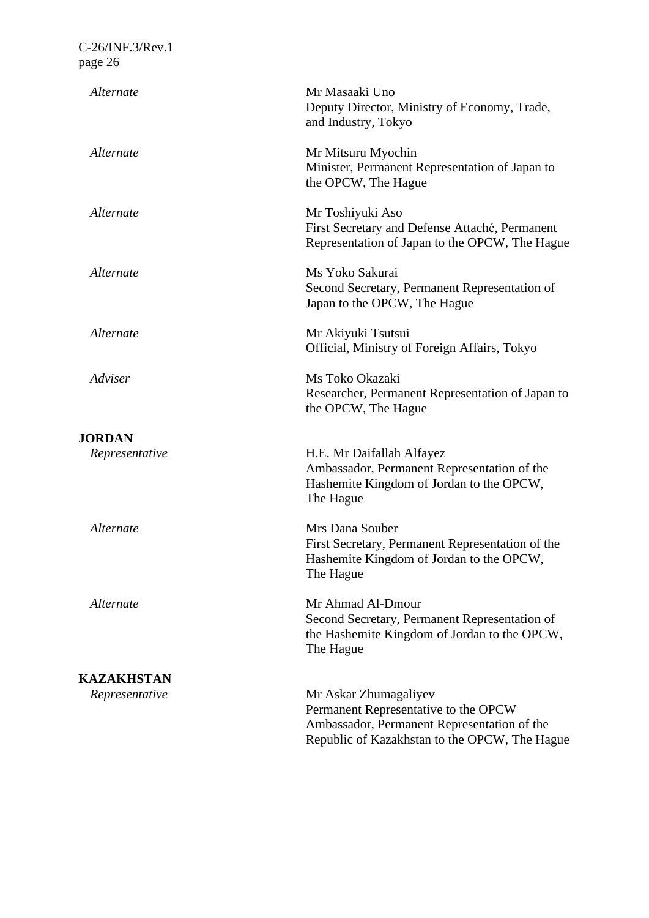| Alternate         | Mr Masaaki Uno<br>Deputy Director, Ministry of Economy, Trade,<br>and Industry, Tokyo                                                                         |
|-------------------|---------------------------------------------------------------------------------------------------------------------------------------------------------------|
| Alternate         | Mr Mitsuru Myochin<br>Minister, Permanent Representation of Japan to<br>the OPCW, The Hague                                                                   |
| Alternate         | Mr Toshiyuki Aso<br>First Secretary and Defense Attaché, Permanent<br>Representation of Japan to the OPCW, The Hague                                          |
| Alternate         | Ms Yoko Sakurai<br>Second Secretary, Permanent Representation of<br>Japan to the OPCW, The Hague                                                              |
| Alternate         | Mr Akiyuki Tsutsui<br>Official, Ministry of Foreign Affairs, Tokyo                                                                                            |
| Adviser           | Ms Toko Okazaki<br>Researcher, Permanent Representation of Japan to<br>the OPCW, The Hague                                                                    |
| <b>JORDAN</b>     |                                                                                                                                                               |
| Representative    | H.E. Mr Daifallah Alfayez<br>Ambassador, Permanent Representation of the<br>Hashemite Kingdom of Jordan to the OPCW,<br>The Hague                             |
| Alternate         | Mrs Dana Souber<br>First Secretary, Permanent Representation of the<br>Hashemite Kingdom of Jordan to the OPCW,<br>The Hague                                  |
| Alternate         | Mr Ahmad Al-Dmour<br>Second Secretary, Permanent Representation of<br>the Hashemite Kingdom of Jordan to the OPCW,<br>The Hague                               |
| <b>KAZAKHSTAN</b> |                                                                                                                                                               |
| Representative    | Mr Askar Zhumagaliyev<br>Permanent Representative to the OPCW<br>Ambassador, Permanent Representation of the<br>Republic of Kazakhstan to the OPCW, The Hague |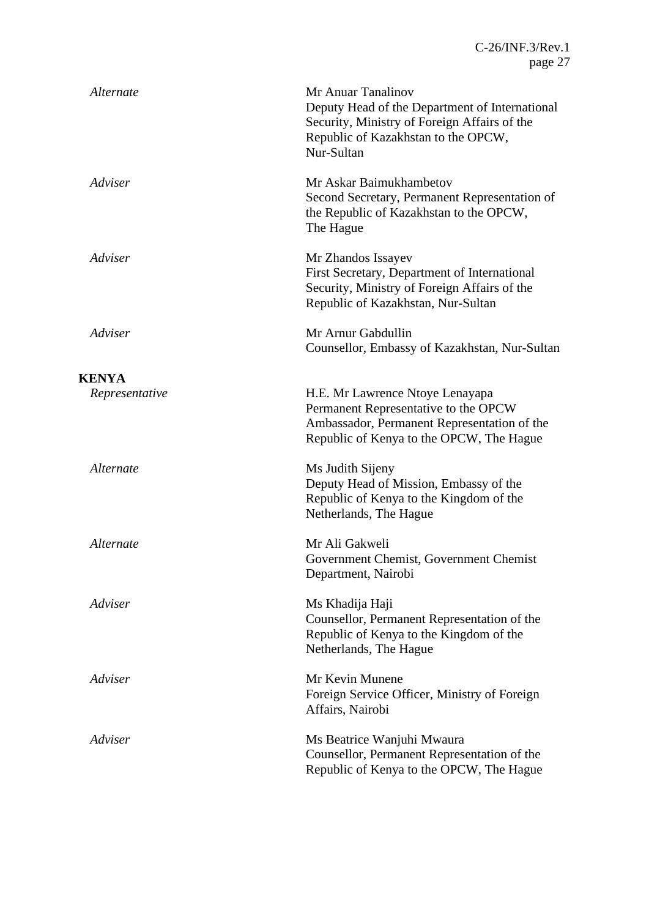| Alternate      | Mr Anuar Tanalinov<br>Deputy Head of the Department of International<br>Security, Ministry of Foreign Affairs of the<br>Republic of Kazakhstan to the OPCW,<br>Nur-Sultan |
|----------------|---------------------------------------------------------------------------------------------------------------------------------------------------------------------------|
| Adviser        | Mr Askar Baimukhambetov<br>Second Secretary, Permanent Representation of<br>the Republic of Kazakhstan to the OPCW,<br>The Hague                                          |
| Adviser        | Mr Zhandos Issayev<br>First Secretary, Department of International<br>Security, Ministry of Foreign Affairs of the<br>Republic of Kazakhstan, Nur-Sultan                  |
| Adviser        | Mr Arnur Gabdullin<br>Counsellor, Embassy of Kazakhstan, Nur-Sultan                                                                                                       |
| <b>KENYA</b>   |                                                                                                                                                                           |
| Representative | H.E. Mr Lawrence Ntoye Lenayapa<br>Permanent Representative to the OPCW<br>Ambassador, Permanent Representation of the<br>Republic of Kenya to the OPCW, The Hague        |
| Alternate      | Ms Judith Sijeny<br>Deputy Head of Mission, Embassy of the<br>Republic of Kenya to the Kingdom of the<br>Netherlands, The Hague                                           |
| Alternate      | Mr Ali Gakweli<br>Government Chemist, Government Chemist<br>Department, Nairobi                                                                                           |
| Adviser        | Ms Khadija Haji<br>Counsellor, Permanent Representation of the<br>Republic of Kenya to the Kingdom of the<br>Netherlands, The Hague                                       |
| Adviser        | Mr Kevin Munene<br>Foreign Service Officer, Ministry of Foreign<br>Affairs, Nairobi                                                                                       |
| Adviser        | Ms Beatrice Wanjuhi Mwaura<br>Counsellor, Permanent Representation of the<br>Republic of Kenya to the OPCW, The Hague                                                     |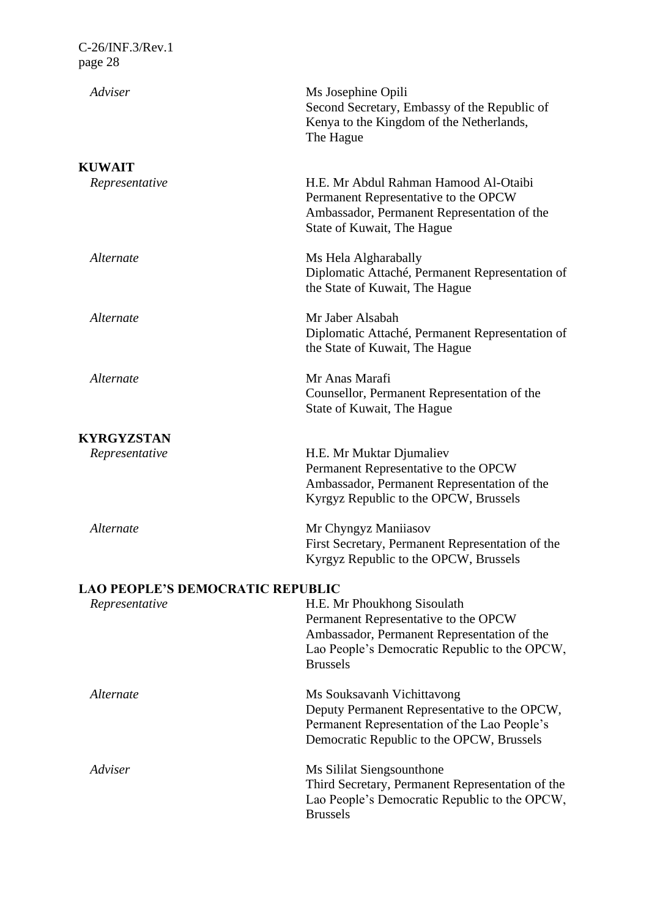| C-26/INF.3/Rev.1<br>page 28                               |                                                                                                                                                                                        |
|-----------------------------------------------------------|----------------------------------------------------------------------------------------------------------------------------------------------------------------------------------------|
| Adviser                                                   | Ms Josephine Opili<br>Second Secretary, Embassy of the Republic of<br>Kenya to the Kingdom of the Netherlands,<br>The Hague                                                            |
| <b>KUWAIT</b>                                             |                                                                                                                                                                                        |
| Representative                                            | H.E. Mr Abdul Rahman Hamood Al-Otaibi<br>Permanent Representative to the OPCW<br>Ambassador, Permanent Representation of the<br>State of Kuwait, The Hague                             |
| Alternate                                                 | Ms Hela Algharabally<br>Diplomatic Attaché, Permanent Representation of<br>the State of Kuwait, The Hague                                                                              |
| Alternate                                                 | Mr Jaber Alsabah<br>Diplomatic Attaché, Permanent Representation of<br>the State of Kuwait, The Hague                                                                                  |
| Alternate                                                 | Mr Anas Marafi<br>Counsellor, Permanent Representation of the<br>State of Kuwait, The Hague                                                                                            |
| <b>KYRGYZSTAN</b>                                         |                                                                                                                                                                                        |
| Representative                                            | H.E. Mr Muktar Djumaliev<br>Permanent Representative to the OPCW<br>Ambassador, Permanent Representation of the<br>Kyrgyz Republic to the OPCW, Brussels                               |
| Alternate                                                 | Mr Chyngyz Maniiasov<br>First Secretary, Permanent Representation of the<br>Kyrgyz Republic to the OPCW, Brussels                                                                      |
| <b>LAO PEOPLE'S DEMOCRATIC REPUBLIC</b><br>Representative | H.E. Mr Phoukhong Sisoulath<br>Permanent Representative to the OPCW<br>Ambassador, Permanent Representation of the<br>Lao People's Democratic Republic to the OPCW,<br><b>Brussels</b> |
| Alternate                                                 | Ms Souksavanh Vichittavong<br>Deputy Permanent Representative to the OPCW,<br>Permanent Representation of the Lao People's<br>Democratic Republic to the OPCW, Brussels                |
| Adviser                                                   | Ms Sililat Siengsounthone<br>Third Secretary, Permanent Representation of the<br>Lao People's Democratic Republic to the OPCW,<br><b>Brussels</b>                                      |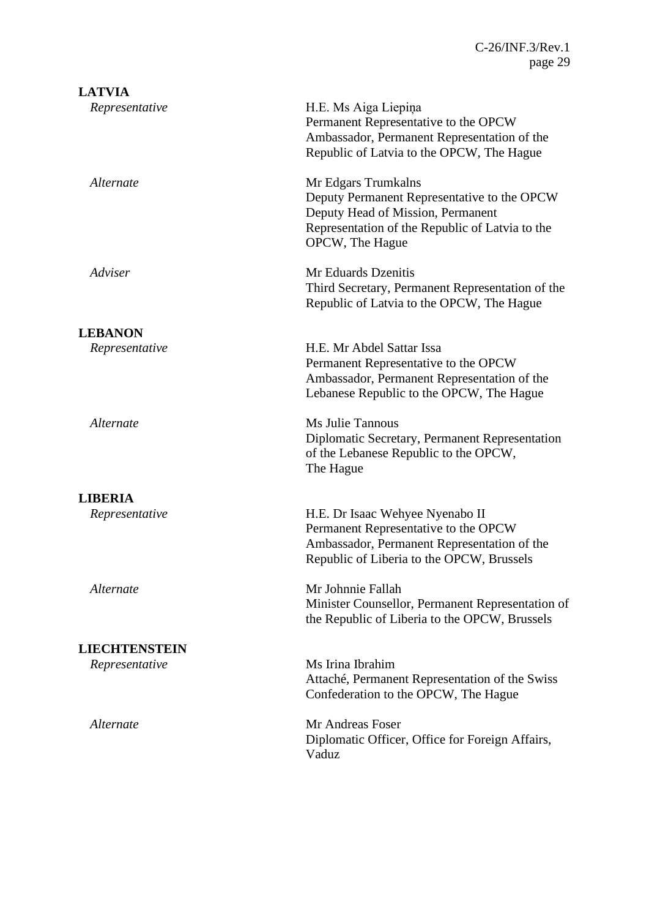| <b>LATVIA</b>        |                                                                                                                                                                               |
|----------------------|-------------------------------------------------------------------------------------------------------------------------------------------------------------------------------|
| Representative       | H.E. Ms Aiga Liepiņa<br>Permanent Representative to the OPCW<br>Ambassador, Permanent Representation of the<br>Republic of Latvia to the OPCW, The Hague                      |
| Alternate            | Mr Edgars Trumkalns<br>Deputy Permanent Representative to the OPCW<br>Deputy Head of Mission, Permanent<br>Representation of the Republic of Latvia to the<br>OPCW, The Hague |
| Adviser              | Mr Eduards Dzenitis<br>Third Secretary, Permanent Representation of the<br>Republic of Latvia to the OPCW, The Hague                                                          |
| <b>LEBANON</b>       |                                                                                                                                                                               |
| Representative       | H.E. Mr Abdel Sattar Issa<br>Permanent Representative to the OPCW<br>Ambassador, Permanent Representation of the<br>Lebanese Republic to the OPCW, The Hague                  |
| Alternate            | Ms Julie Tannous<br>Diplomatic Secretary, Permanent Representation<br>of the Lebanese Republic to the OPCW,<br>The Hague                                                      |
| <b>LIBERIA</b>       |                                                                                                                                                                               |
| Representative       | H.E. Dr Isaac Wehyee Nyenabo II<br>Permanent Representative to the OPCW<br>Ambassador, Permanent Representation of the<br>Republic of Liberia to the OPCW, Brussels           |
| Alternate            | Mr Johnnie Fallah<br>Minister Counsellor, Permanent Representation of<br>the Republic of Liberia to the OPCW, Brussels                                                        |
| <b>LIECHTENSTEIN</b> |                                                                                                                                                                               |
| Representative       | Ms Irina Ibrahim<br>Attaché, Permanent Representation of the Swiss<br>Confederation to the OPCW, The Hague                                                                    |
| Alternate            | Mr Andreas Foser<br>Diplomatic Officer, Office for Foreign Affairs,<br>Vaduz                                                                                                  |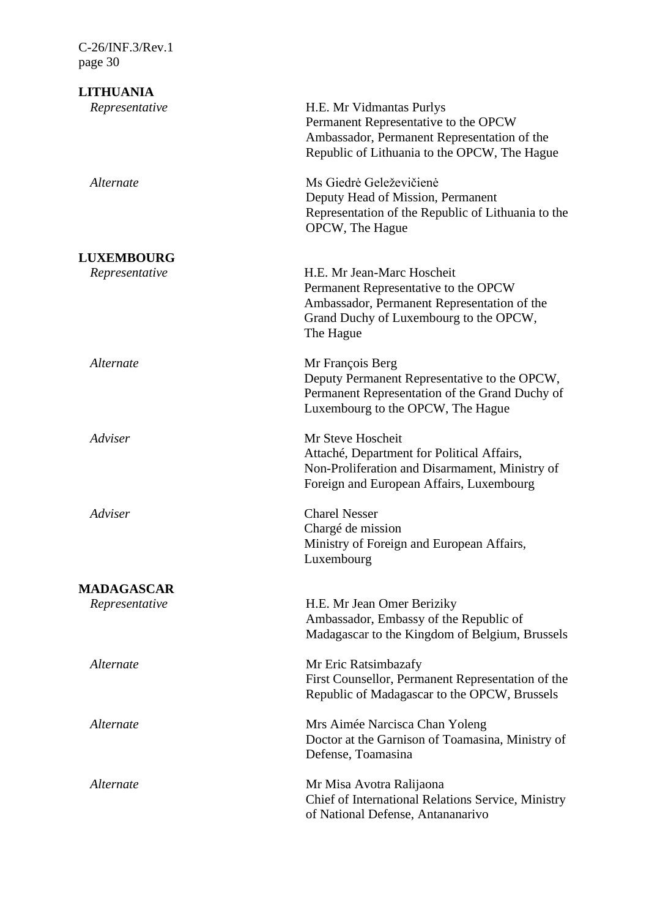**LITHUANIA** *Representative* H.E. Mr Vidmantas Purlys Permanent Representative to the OPCW Ambassador, Permanent Representation of the Republic of Lithuania to the OPCW, The Hague *Alternate* Ms Giedrė Geleževičienė Deputy Head of Mission, Permanent Representation of the Republic of Lithuania to the OPCW, The Hague **LUXEMBOURG** *Representative* H.E. Mr Jean-Marc Hoscheit Permanent Representative to the OPCW Ambassador, Permanent Representation of the Grand Duchy of Luxembourg to the OPCW, The Hague *Alternate* Mr François Berg Deputy Permanent Representative to the OPCW, Permanent Representation of the Grand Duchy of Luxembourg to the OPCW, The Hague *Adviser* Mr Steve Hoscheit Attaché, Department for Political Affairs, Non-Proliferation and Disarmament, Ministry of Foreign and European Affairs, Luxembourg *Adviser* Charel Nesser Chargé de mission Ministry of Foreign and European Affairs, Luxembourg **MADAGASCAR** *Representative* H.E. Mr Jean Omer Beriziky Ambassador, Embassy of the Republic of Madagascar to the Kingdom of Belgium, Brussels *Alternate* Mr Eric Ratsimbazafy First Counsellor, Permanent Representation of the Republic of Madagascar to the OPCW, Brussels *Alternate* Mrs Aimée Narcisca Chan Yoleng Doctor at the Garnison of Toamasina, Ministry of Defense, Toamasina *Alternate* Mr Misa Avotra Ralijaona Chief of International Relations Service, Ministry of National Defense, Antananarivo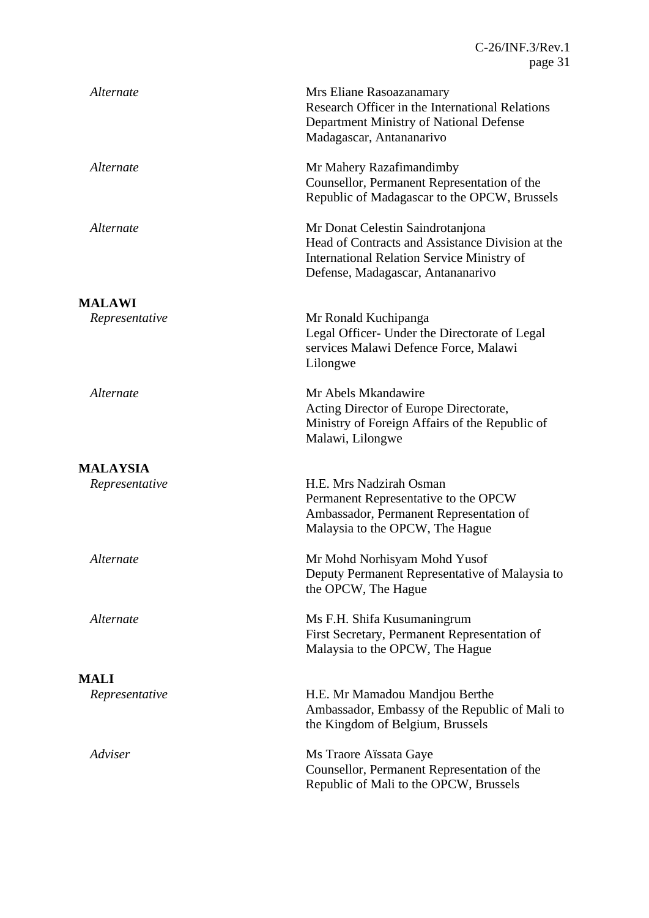| Alternate       | Mrs Eliane Rasoazanamary<br>Research Officer in the International Relations<br>Department Ministry of National Defense<br>Madagascar, Antananarivo                             |
|-----------------|--------------------------------------------------------------------------------------------------------------------------------------------------------------------------------|
| Alternate       | Mr Mahery Razafimandimby<br>Counsellor, Permanent Representation of the<br>Republic of Madagascar to the OPCW, Brussels                                                        |
| Alternate       | Mr Donat Celestin Saindrotanjona<br>Head of Contracts and Assistance Division at the<br><b>International Relation Service Ministry of</b><br>Defense, Madagascar, Antananarivo |
| <b>MALAWI</b>   |                                                                                                                                                                                |
| Representative  | Mr Ronald Kuchipanga<br>Legal Officer- Under the Directorate of Legal<br>services Malawi Defence Force, Malawi<br>Lilongwe                                                     |
| Alternate       | Mr Abels Mkandawire<br>Acting Director of Europe Directorate,<br>Ministry of Foreign Affairs of the Republic of<br>Malawi, Lilongwe                                            |
| <b>MALAYSIA</b> |                                                                                                                                                                                |
| Representative  | H.E. Mrs Nadzirah Osman<br>Permanent Representative to the OPCW<br>Ambassador, Permanent Representation of<br>Malaysia to the OPCW, The Hague                                  |
| Alternate       | Mr Mohd Norhisyam Mohd Yusof<br>Deputy Permanent Representative of Malaysia to<br>the OPCW, The Hague                                                                          |
| Alternate       | Ms F.H. Shifa Kusumaningrum<br>First Secretary, Permanent Representation of<br>Malaysia to the OPCW, The Hague                                                                 |
| <b>MALI</b>     |                                                                                                                                                                                |
| Representative  | H.E. Mr Mamadou Mandjou Berthe<br>Ambassador, Embassy of the Republic of Mali to<br>the Kingdom of Belgium, Brussels                                                           |
| Adviser         | Ms Traore Aïssata Gaye<br>Counsellor, Permanent Representation of the<br>Republic of Mali to the OPCW, Brussels                                                                |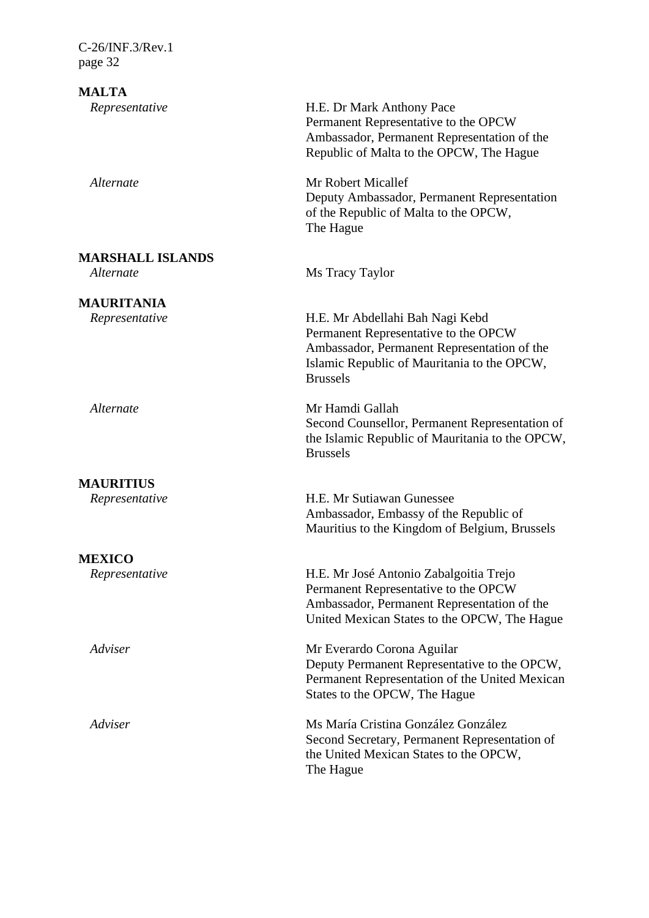**MALTA**

**MARSHALL ISLANDS**

**MAURITANIA**

**MAURITIUS**

**MEXICO**

*Representative* H.E. Dr Mark Anthony Pace Permanent Representative to the OPCW Ambassador, Permanent Representation of the Republic of Malta to the OPCW, The Hague

*Alternate* Mr Robert Micallef Deputy Ambassador, Permanent Representation of the Republic of Malta to the OPCW, The Hague

*Alternate* Ms Tracy Taylor

*Representative* H.E. Mr Abdellahi Bah Nagi Kebd Permanent Representative to the OPCW Ambassador, Permanent Representation of the Islamic Republic of Mauritania to the OPCW, Brussels

*Alternate* Mr Hamdi Gallah Second Counsellor, Permanent Representation of the Islamic Republic of Mauritania to the OPCW, Brussels

*Representative* H.E. Mr Sutiawan Gunessee Ambassador, Embassy of the Republic of Mauritius to the Kingdom of Belgium, Brussels

*Representative* H.E. Mr José Antonio Zabalgoitia Trejo Permanent Representative to the OPCW Ambassador, Permanent Representation of the United Mexican States to the OPCW, The Hague

*Adviser* Mr Everardo Corona Aguilar Deputy Permanent Representative to the OPCW, Permanent Representation of the United Mexican States to the OPCW, The Hague

*Adviser* Ms María Cristina González González Second Secretary, Permanent Representation of the United Mexican States to the OPCW, The Hague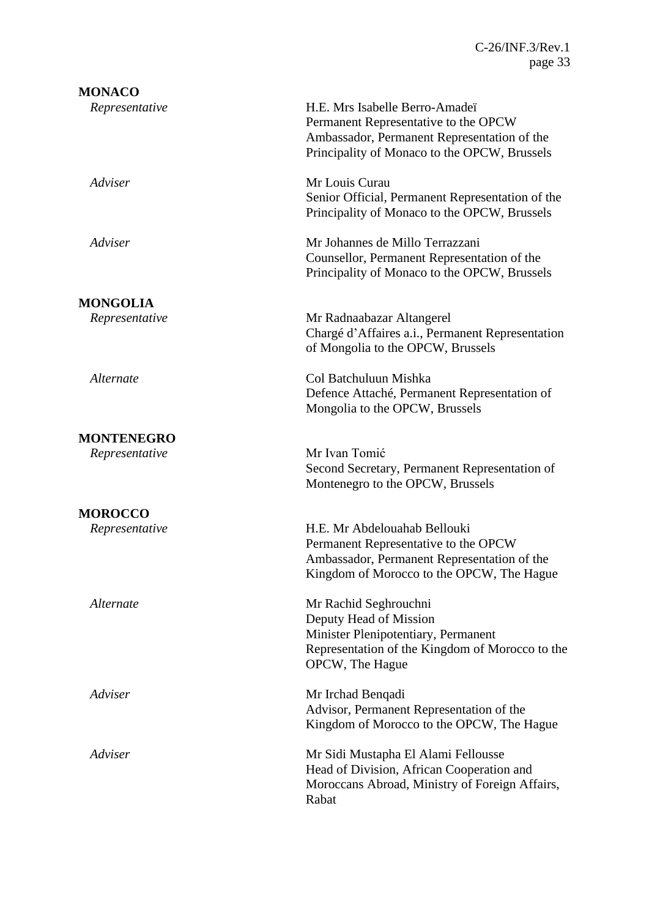| <b>MONACO</b>     |                                                                                                                                                                       |
|-------------------|-----------------------------------------------------------------------------------------------------------------------------------------------------------------------|
| Representative    | H.E. Mrs Isabelle Berro-Amadeï<br>Permanent Representative to the OPCW<br>Ambassador, Permanent Representation of the<br>Principality of Monaco to the OPCW, Brussels |
| Adviser           | Mr Louis Curau<br>Senior Official, Permanent Representation of the<br>Principality of Monaco to the OPCW, Brussels                                                    |
| Adviser           | Mr Johannes de Millo Terrazzani<br>Counsellor, Permanent Representation of the<br>Principality of Monaco to the OPCW, Brussels                                        |
| <b>MONGOLIA</b>   |                                                                                                                                                                       |
| Representative    | Mr Radnaabazar Altangerel<br>Chargé d'Affaires a.i., Permanent Representation<br>of Mongolia to the OPCW, Brussels                                                    |
| Alternate         | Col Batchuluun Mishka<br>Defence Attaché, Permanent Representation of<br>Mongolia to the OPCW, Brussels                                                               |
| <b>MONTENEGRO</b> |                                                                                                                                                                       |
| Representative    | Mr Ivan Tomić<br>Second Secretary, Permanent Representation of<br>Montenegro to the OPCW, Brussels                                                                    |
| <b>MOROCCO</b>    |                                                                                                                                                                       |
| Representative    | H.E. Mr Abdelouahab Bellouki<br>Permanent Representative to the OPCW<br>Ambassador, Permanent Representation of the<br>Kingdom of Morocco to the OPCW, The Hague      |
| Alternate         | Mr Rachid Seghrouchni<br>Deputy Head of Mission<br>Minister Plenipotentiary, Permanent<br>Representation of the Kingdom of Morocco to the<br>OPCW, The Hague          |
| Adviser           | Mr Irchad Benqadi<br>Advisor, Permanent Representation of the<br>Kingdom of Morocco to the OPCW, The Hague                                                            |
| Adviser           | Mr Sidi Mustapha El Alami Fellousse<br>Head of Division, African Cooperation and<br>Moroccans Abroad, Ministry of Foreign Affairs,<br>Rabat                           |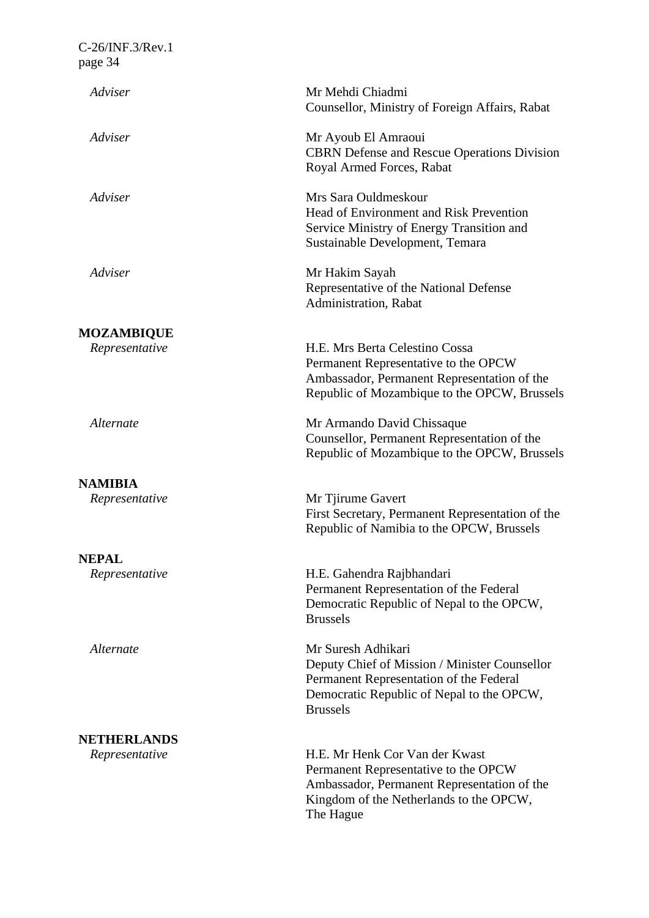| Adviser            | Mr Mehdi Chiadmi<br>Counsellor, Ministry of Foreign Affairs, Rabat                                                                                                             |
|--------------------|--------------------------------------------------------------------------------------------------------------------------------------------------------------------------------|
| Adviser            | Mr Ayoub El Amraoui<br><b>CBRN</b> Defense and Rescue Operations Division<br>Royal Armed Forces, Rabat                                                                         |
| Adviser            | Mrs Sara Ouldmeskour<br>Head of Environment and Risk Prevention<br>Service Ministry of Energy Transition and<br>Sustainable Development, Temara                                |
| Adviser            | Mr Hakim Sayah<br>Representative of the National Defense<br>Administration, Rabat                                                                                              |
| <b>MOZAMBIQUE</b>  |                                                                                                                                                                                |
| Representative     | H.E. Mrs Berta Celestino Cossa<br>Permanent Representative to the OPCW<br>Ambassador, Permanent Representation of the<br>Republic of Mozambique to the OPCW, Brussels          |
| Alternate          | Mr Armando David Chissaque<br>Counsellor, Permanent Representation of the<br>Republic of Mozambique to the OPCW, Brussels                                                      |
| <b>NAMIBIA</b>     |                                                                                                                                                                                |
| Representative     | Mr Tjirume Gavert<br>First Secretary, Permanent Representation of the<br>Republic of Namibia to the OPCW, Brussels                                                             |
| <b>NEPAL</b>       |                                                                                                                                                                                |
| Representative     | H.E. Gahendra Rajbhandari<br>Permanent Representation of the Federal<br>Democratic Republic of Nepal to the OPCW,<br><b>Brussels</b>                                           |
| Alternate          | Mr Suresh Adhikari<br>Deputy Chief of Mission / Minister Counsellor<br>Permanent Representation of the Federal<br>Democratic Republic of Nepal to the OPCW,<br><b>Brussels</b> |
| <b>NETHERLANDS</b> |                                                                                                                                                                                |
| Representative     | H.E. Mr Henk Cor Van der Kwast<br>Permanent Representative to the OPCW<br>Ambassador, Permanent Representation of the<br>Kingdom of the Netherlands to the OPCW,<br>The Hague  |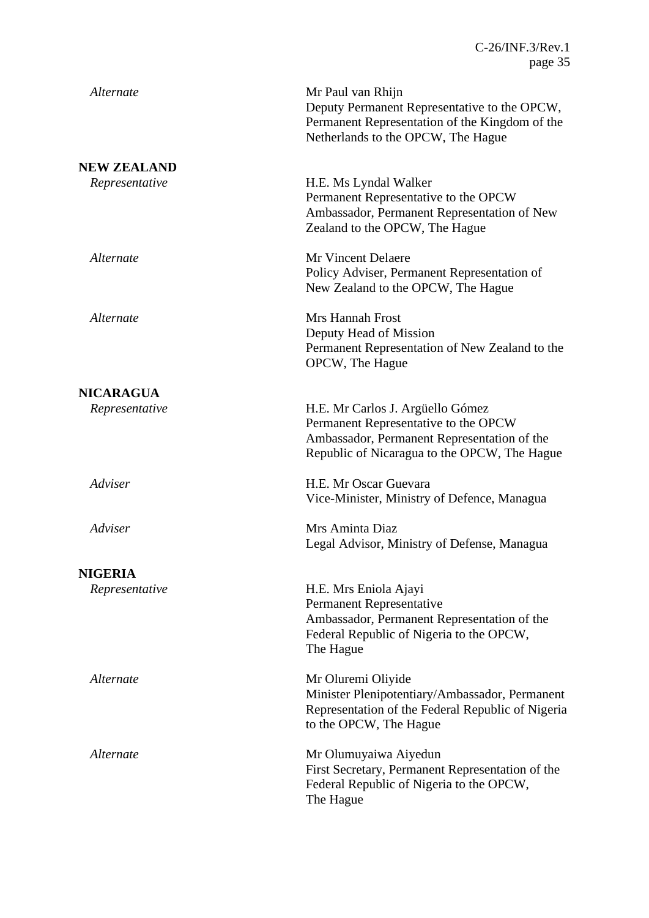| Alternate          | Mr Paul van Rhijn<br>Deputy Permanent Representative to the OPCW,<br>Permanent Representation of the Kingdom of the<br>Netherlands to the OPCW, The Hague               |
|--------------------|-------------------------------------------------------------------------------------------------------------------------------------------------------------------------|
| <b>NEW ZEALAND</b> |                                                                                                                                                                         |
| Representative     | H.E. Ms Lyndal Walker<br>Permanent Representative to the OPCW<br>Ambassador, Permanent Representation of New<br>Zealand to the OPCW, The Hague                          |
| Alternate          | Mr Vincent Delaere<br>Policy Adviser, Permanent Representation of<br>New Zealand to the OPCW, The Hague                                                                 |
| Alternate          | Mrs Hannah Frost<br>Deputy Head of Mission<br>Permanent Representation of New Zealand to the<br>OPCW, The Hague                                                         |
| <b>NICARAGUA</b>   |                                                                                                                                                                         |
| Representative     | H.E. Mr Carlos J. Argüello Gómez<br>Permanent Representative to the OPCW<br>Ambassador, Permanent Representation of the<br>Republic of Nicaragua to the OPCW, The Hague |
| Adviser            | H.E. Mr Oscar Guevara<br>Vice-Minister, Ministry of Defence, Managua                                                                                                    |
| Adviser            | Mrs Aminta Diaz<br>Legal Advisor, Ministry of Defense, Managua                                                                                                          |
| <b>NIGERIA</b>     |                                                                                                                                                                         |
| Representative     | H.E. Mrs Eniola Ajayi<br>Permanent Representative<br>Ambassador, Permanent Representation of the<br>Federal Republic of Nigeria to the OPCW,<br>The Hague               |
| Alternate          | Mr Oluremi Oliyide<br>Minister Plenipotentiary/Ambassador, Permanent<br>Representation of the Federal Republic of Nigeria<br>to the OPCW, The Hague                     |
| Alternate          | Mr Olumuyaiwa Aiyedun<br>First Secretary, Permanent Representation of the<br>Federal Republic of Nigeria to the OPCW,<br>The Hague                                      |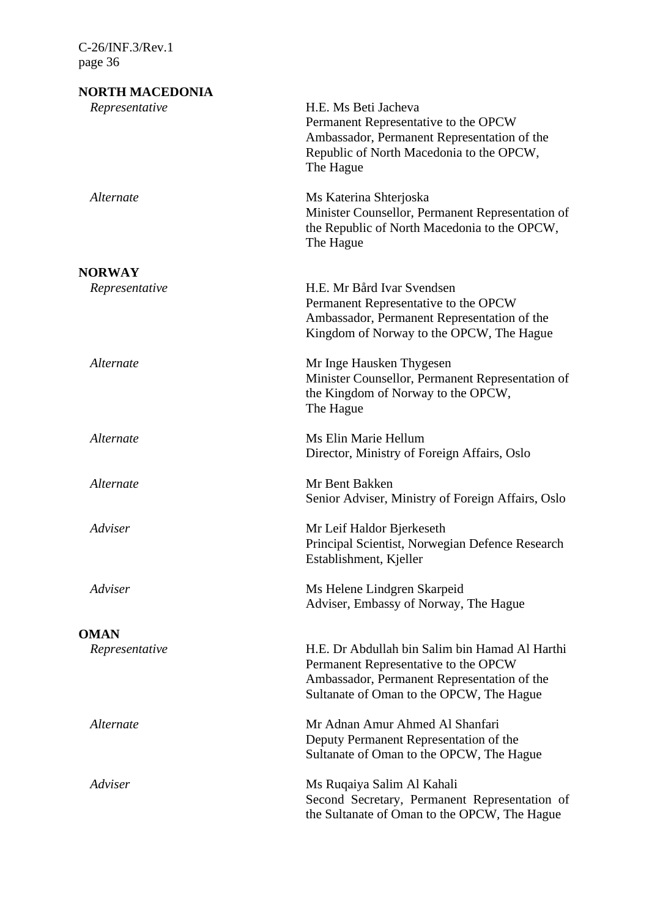| NORTH MACEDONIA |                                                                                                                                                                                   |
|-----------------|-----------------------------------------------------------------------------------------------------------------------------------------------------------------------------------|
| Representative  | H.E. Ms Beti Jacheva<br>Permanent Representative to the OPCW<br>Ambassador, Permanent Representation of the<br>Republic of North Macedonia to the OPCW,<br>The Hague              |
| Alternate       | Ms Katerina Shterjoska<br>Minister Counsellor, Permanent Representation of<br>the Republic of North Macedonia to the OPCW,<br>The Hague                                           |
| <b>NORWAY</b>   |                                                                                                                                                                                   |
| Representative  | H.E. Mr Bård Ivar Svendsen<br>Permanent Representative to the OPCW<br>Ambassador, Permanent Representation of the<br>Kingdom of Norway to the OPCW, The Hague                     |
| Alternate       | Mr Inge Hausken Thygesen<br>Minister Counsellor, Permanent Representation of<br>the Kingdom of Norway to the OPCW,<br>The Hague                                                   |
| Alternate       | Ms Elin Marie Hellum<br>Director, Ministry of Foreign Affairs, Oslo                                                                                                               |
| Alternate       | Mr Bent Bakken<br>Senior Adviser, Ministry of Foreign Affairs, Oslo                                                                                                               |
| Adviser         | Mr Leif Haldor Bjerkeseth<br>Principal Scientist, Norwegian Defence Research<br>Establishment, Kjeller                                                                            |
| Adviser         | Ms Helene Lindgren Skarpeid<br>Adviser, Embassy of Norway, The Hague                                                                                                              |
| <b>OMAN</b>     |                                                                                                                                                                                   |
| Representative  | H.E. Dr Abdullah bin Salim bin Hamad Al Harthi<br>Permanent Representative to the OPCW<br>Ambassador, Permanent Representation of the<br>Sultanate of Oman to the OPCW, The Hague |
| Alternate       | Mr Adnan Amur Ahmed Al Shanfari<br>Deputy Permanent Representation of the<br>Sultanate of Oman to the OPCW, The Hague                                                             |
| Adviser         | Ms Ruqaiya Salim Al Kahali<br>Second Secretary, Permanent Representation of<br>the Sultanate of Oman to the OPCW, The Hague                                                       |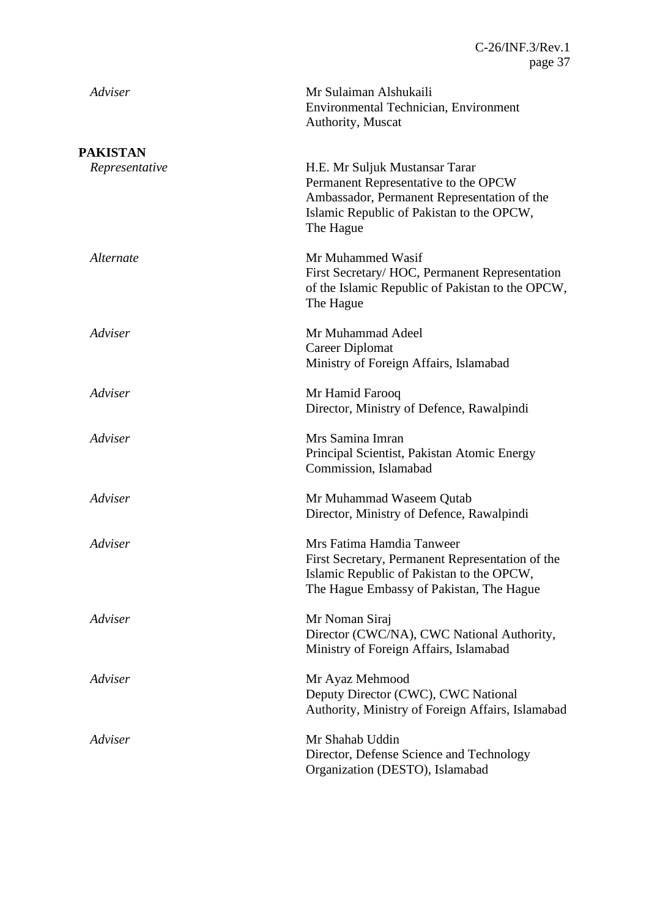| Adviser                           | Mr Sulaiman Alshukaili<br>Environmental Technician, Environment<br>Authority, Muscat                                                                                            |
|-----------------------------------|---------------------------------------------------------------------------------------------------------------------------------------------------------------------------------|
| <b>PAKISTAN</b><br>Representative | H.E. Mr Suljuk Mustansar Tarar<br>Permanent Representative to the OPCW<br>Ambassador, Permanent Representation of the<br>Islamic Republic of Pakistan to the OPCW,<br>The Hague |
| Alternate                         | Mr Muhammed Wasif<br>First Secretary/ HOC, Permanent Representation<br>of the Islamic Republic of Pakistan to the OPCW,<br>The Hague                                            |
| Adviser                           | Mr Muhammad Adeel<br>Career Diplomat<br>Ministry of Foreign Affairs, Islamabad                                                                                                  |
| Adviser                           | Mr Hamid Farooq<br>Director, Ministry of Defence, Rawalpindi                                                                                                                    |
| Adviser                           | Mrs Samina Imran<br>Principal Scientist, Pakistan Atomic Energy<br>Commission, Islamabad                                                                                        |
| Adviser                           | Mr Muhammad Waseem Qutab<br>Director, Ministry of Defence, Rawalpindi                                                                                                           |
| Adviser                           | Mrs Fatima Hamdia Tanweer<br>First Secretary, Permanent Representation of the<br>Islamic Republic of Pakistan to the OPCW,<br>The Hague Embassy of Pakistan, The Hague          |
| Adviser                           | Mr Noman Siraj<br>Director (CWC/NA), CWC National Authority,<br>Ministry of Foreign Affairs, Islamabad                                                                          |
| Adviser                           | Mr Ayaz Mehmood<br>Deputy Director (CWC), CWC National<br>Authority, Ministry of Foreign Affairs, Islamabad                                                                     |
| Adviser                           | Mr Shahab Uddin<br>Director, Defense Science and Technology<br>Organization (DESTO), Islamabad                                                                                  |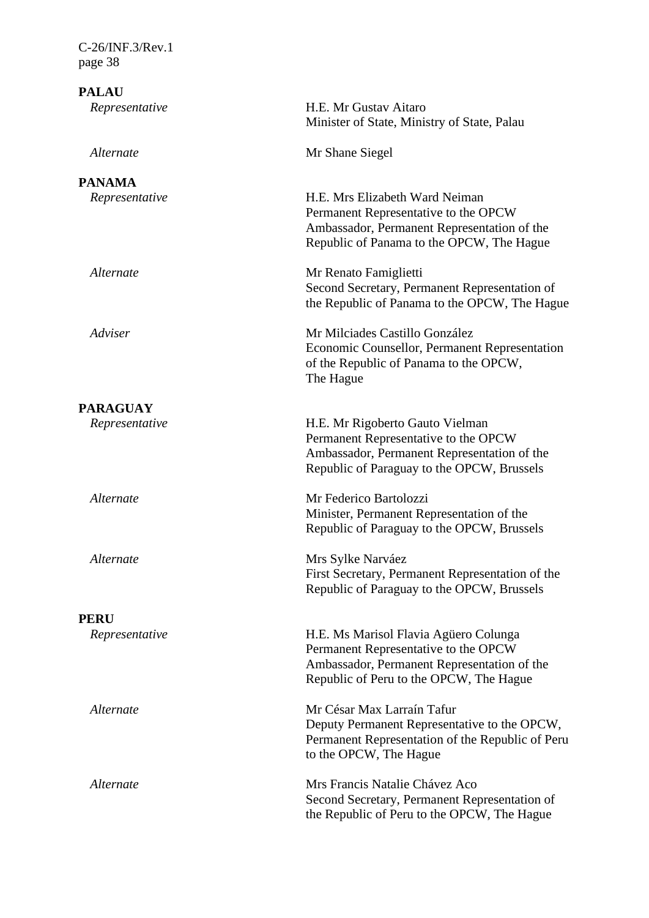| $C-26/INF.3/Rev.1$<br>page 38  |                                                                                                                                                                         |
|--------------------------------|-------------------------------------------------------------------------------------------------------------------------------------------------------------------------|
| <b>PALAU</b><br>Representative | H.E. Mr Gustav Aitaro<br>Minister of State, Ministry of State, Palau                                                                                                    |
| Alternate                      | Mr Shane Siegel                                                                                                                                                         |
| <b>PANAMA</b>                  |                                                                                                                                                                         |
| Representative                 | H.E. Mrs Elizabeth Ward Neiman<br>Permanent Representative to the OPCW<br>Ambassador, Permanent Representation of the<br>Republic of Panama to the OPCW, The Hague      |
| Alternate                      | Mr Renato Famiglietti<br>Second Secretary, Permanent Representation of<br>the Republic of Panama to the OPCW, The Hague                                                 |
| Adviser                        | Mr Milciades Castillo González<br>Economic Counsellor, Permanent Representation<br>of the Republic of Panama to the OPCW,<br>The Hague                                  |
| <b>PARAGUAY</b>                |                                                                                                                                                                         |
| Representative                 | H.E. Mr Rigoberto Gauto Vielman<br>Permanent Representative to the OPCW<br>Ambassador, Permanent Representation of the<br>Republic of Paraguay to the OPCW, Brussels    |
| Alternate                      | Mr Federico Bartolozzi<br>Minister, Permanent Representation of the<br>Republic of Paraguay to the OPCW, Brussels                                                       |
| Alternate                      | Mrs Sylke Narváez<br>First Secretary, Permanent Representation of the<br>Republic of Paraguay to the OPCW, Brussels                                                     |
| <b>PERU</b>                    |                                                                                                                                                                         |
| Representative                 | H.E. Ms Marisol Flavia Agüero Colunga<br>Permanent Representative to the OPCW<br>Ambassador, Permanent Representation of the<br>Republic of Peru to the OPCW, The Hague |
| Alternate                      | Mr César Max Larraín Tafur<br>Deputy Permanent Representative to the OPCW,<br>Permanent Representation of the Republic of Peru<br>to the OPCW, The Hague                |
| Alternate                      | Mrs Francis Natalie Chávez Aco<br>Second Secretary, Permanent Representation of<br>the Republic of Peru to the OPCW, The Hague                                          |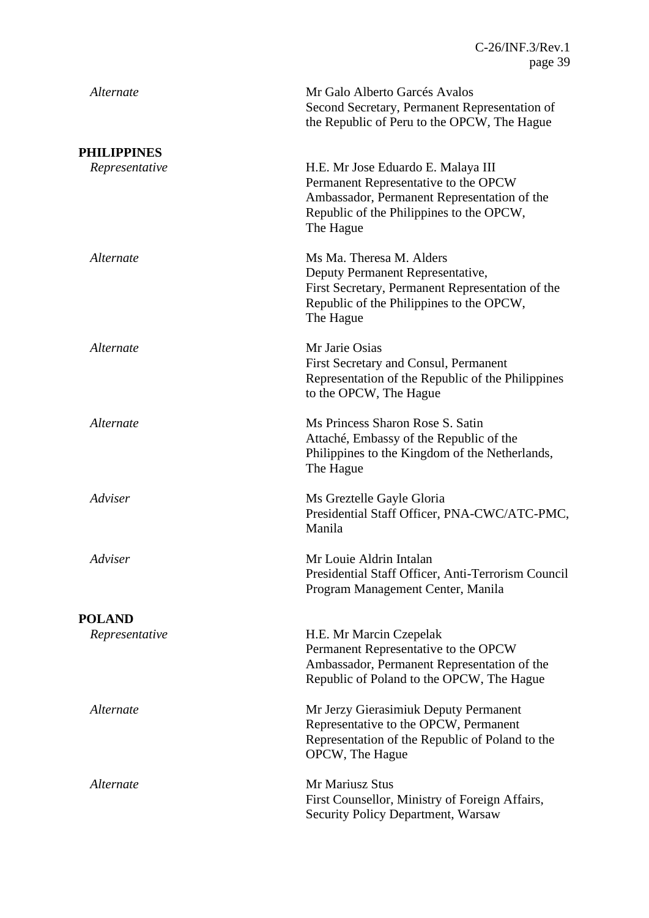| Alternate          | Mr Galo Alberto Garcés Avalos<br>Second Secretary, Permanent Representation of<br>the Republic of Peru to the OPCW, The Hague                                                      |
|--------------------|------------------------------------------------------------------------------------------------------------------------------------------------------------------------------------|
| <b>PHILIPPINES</b> |                                                                                                                                                                                    |
| Representative     | H.E. Mr Jose Eduardo E. Malaya III<br>Permanent Representative to the OPCW<br>Ambassador, Permanent Representation of the<br>Republic of the Philippines to the OPCW,<br>The Hague |
| Alternate          | Ms Ma. Theresa M. Alders<br>Deputy Permanent Representative,<br>First Secretary, Permanent Representation of the<br>Republic of the Philippines to the OPCW,<br>The Hague          |
| Alternate          | Mr Jarie Osias<br>First Secretary and Consul, Permanent<br>Representation of the Republic of the Philippines<br>to the OPCW, The Hague                                             |
| Alternate          | Ms Princess Sharon Rose S. Satin<br>Attaché, Embassy of the Republic of the<br>Philippines to the Kingdom of the Netherlands,<br>The Hague                                         |
| Adviser            | Ms Greztelle Gayle Gloria<br>Presidential Staff Officer, PNA-CWC/ATC-PMC,<br>Manila                                                                                                |
| Adviser            | Mr Louie Aldrin Intalan<br>Presidential Staff Officer, Anti-Terrorism Council<br>Program Management Center, Manila                                                                 |
| <b>POLAND</b>      |                                                                                                                                                                                    |
| Representative     | H.E. Mr Marcin Czepelak<br>Permanent Representative to the OPCW<br>Ambassador, Permanent Representation of the<br>Republic of Poland to the OPCW, The Hague                        |
| Alternate          | Mr Jerzy Gierasimiuk Deputy Permanent<br>Representative to the OPCW, Permanent<br>Representation of the Republic of Poland to the<br>OPCW, The Hague                               |
| Alternate          | Mr Mariusz Stus<br>First Counsellor, Ministry of Foreign Affairs,<br><b>Security Policy Department, Warsaw</b>                                                                     |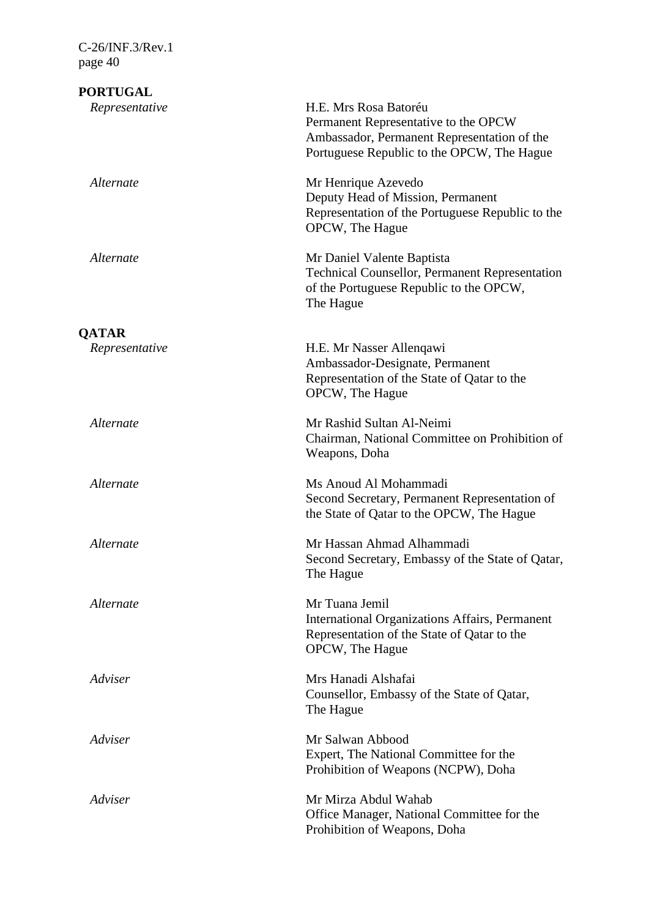| <b>PORTUGAL</b> |                                                                                                                                                            |
|-----------------|------------------------------------------------------------------------------------------------------------------------------------------------------------|
| Representative  | H.E. Mrs Rosa Batoréu<br>Permanent Representative to the OPCW<br>Ambassador, Permanent Representation of the<br>Portuguese Republic to the OPCW, The Hague |
| Alternate       | Mr Henrique Azevedo<br>Deputy Head of Mission, Permanent<br>Representation of the Portuguese Republic to the<br>OPCW, The Hague                            |
| Alternate       | Mr Daniel Valente Baptista<br><b>Technical Counsellor, Permanent Representation</b><br>of the Portuguese Republic to the OPCW,<br>The Hague                |
| <b>QATAR</b>    |                                                                                                                                                            |
| Representative  | H.E. Mr Nasser Allenqawi<br>Ambassador-Designate, Permanent<br>Representation of the State of Qatar to the<br>OPCW, The Hague                              |
| Alternate       | Mr Rashid Sultan Al-Neimi<br>Chairman, National Committee on Prohibition of<br>Weapons, Doha                                                               |
| Alternate       | Ms Anoud Al Mohammadi<br>Second Secretary, Permanent Representation of<br>the State of Qatar to the OPCW, The Hague                                        |
| Alternate       | Mr Hassan Ahmad Alhammadi<br>Second Secretary, Embassy of the State of Qatar,<br>The Hague                                                                 |
| Alternate       | Mr Tuana Jemil<br><b>International Organizations Affairs, Permanent</b><br>Representation of the State of Qatar to the<br>OPCW, The Hague                  |
| Adviser         | Mrs Hanadi Alshafai<br>Counsellor, Embassy of the State of Qatar,<br>The Hague                                                                             |
| Adviser         | Mr Salwan Abbood<br>Expert, The National Committee for the<br>Prohibition of Weapons (NCPW), Doha                                                          |
| Adviser         | Mr Mirza Abdul Wahab<br>Office Manager, National Committee for the<br>Prohibition of Weapons, Doha                                                         |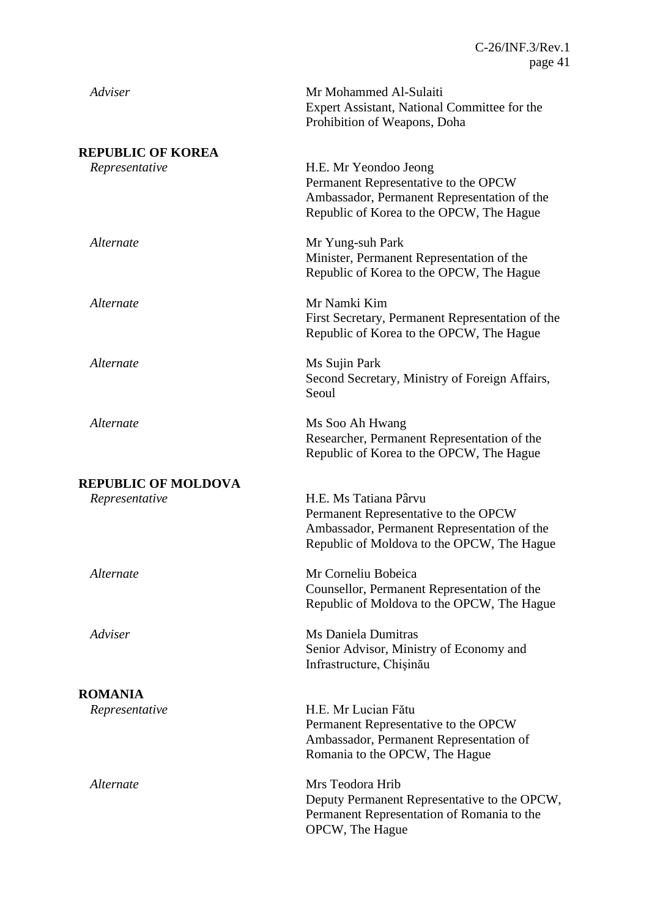| Adviser                    | Mr Mohammed Al-Sulaiti<br>Expert Assistant, National Committee for the<br>Prohibition of Weapons, Doha                                                     |
|----------------------------|------------------------------------------------------------------------------------------------------------------------------------------------------------|
| <b>REPUBLIC OF KOREA</b>   |                                                                                                                                                            |
| Representative             | H.E. Mr Yeondoo Jeong<br>Permanent Representative to the OPCW<br>Ambassador, Permanent Representation of the<br>Republic of Korea to the OPCW, The Hague   |
| Alternate                  | Mr Yung-suh Park<br>Minister, Permanent Representation of the<br>Republic of Korea to the OPCW, The Hague                                                  |
| Alternate                  | Mr Namki Kim<br>First Secretary, Permanent Representation of the<br>Republic of Korea to the OPCW, The Hague                                               |
| Alternate                  | Ms Sujin Park<br>Second Secretary, Ministry of Foreign Affairs,<br>Seoul                                                                                   |
| Alternate                  | Ms Soo Ah Hwang<br>Researcher, Permanent Representation of the<br>Republic of Korea to the OPCW, The Hague                                                 |
| <b>REPUBLIC OF MOLDOVA</b> |                                                                                                                                                            |
| Representative             | H.E. Ms Tatiana Pârvu<br>Permanent Representative to the OPCW<br>Ambassador, Permanent Representation of the<br>Republic of Moldova to the OPCW, The Hague |
| Alternate                  | Mr Corneliu Bobeica<br>Counsellor, Permanent Representation of the<br>Republic of Moldova to the OPCW, The Hague                                           |
| Adviser                    | Ms Daniela Dumitras<br>Senior Advisor, Ministry of Economy and<br>Infrastructure, Chișinău                                                                 |
| <b>ROMANIA</b>             |                                                                                                                                                            |
| Representative             | H.E. Mr Lucian Fătu<br>Permanent Representative to the OPCW<br>Ambassador, Permanent Representation of<br>Romania to the OPCW, The Hague                   |
| Alternate                  | Mrs Teodora Hrib<br>Deputy Permanent Representative to the OPCW,<br>Permanent Representation of Romania to the<br>OPCW, The Hague                          |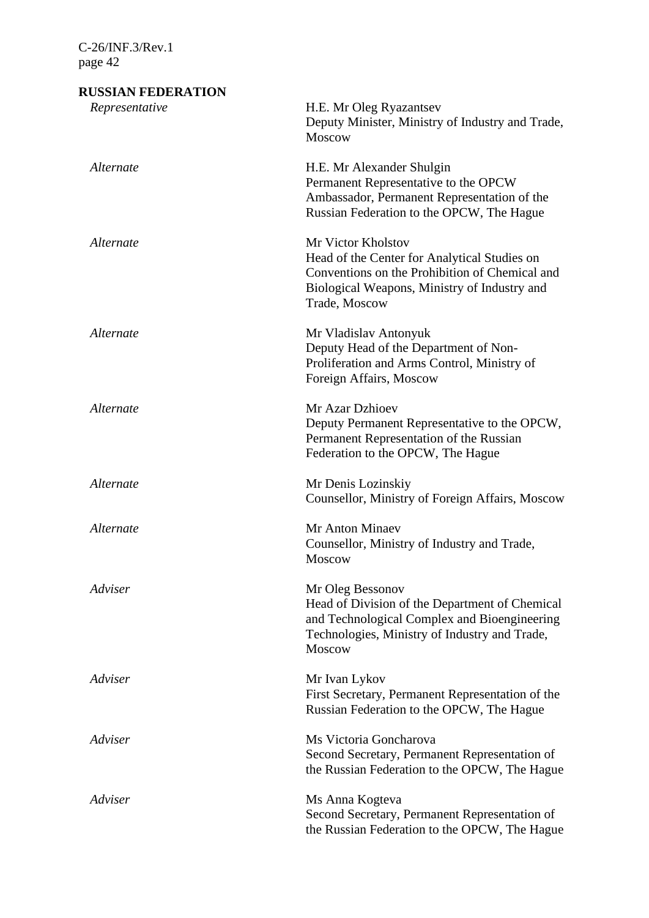# **RUSSIAN FEDERATION** *Representative* H.E. Mr Oleg Ryazantsev Deputy Minister, Ministry of Industry and Trade, Moscow *Alternate* H.E. Mr Alexander Shulgin Permanent Representative to the OPCW Ambassador, Permanent Representation of the Russian Federation to the OPCW, The Hague *Alternate* Mr Victor Kholstov Head of the Center for Analytical Studies on Conventions on the Prohibition of Chemical and Biological Weapons, Ministry of Industry and Trade, Moscow *Alternate* Mr Vladislav Antonyuk Deputy Head of the Department of Non-Proliferation and Arms Control, Ministry of Foreign Affairs, Moscow *Alternate* Mr Azar Dzhioev Deputy Permanent Representative to the OPCW, Permanent Representation of the Russian Federation to the OPCW, The Hague *Alternate* Mr Denis Lozinskiy Counsellor, Ministry of Foreign Affairs, Moscow *Alternate* Mr Anton Minaev Counsellor, Ministry of Industry and Trade, Moscow *Adviser* Mr Oleg Bessonov Head of Division of the Department of Chemical and Technological Complex and Bioengineering Technologies, Ministry of Industry and Trade, Moscow *Adviser* Mr Ivan Lykov First Secretary, Permanent Representation of the Russian Federation to the OPCW, The Hague *Adviser* Ms Victoria Goncharova Second Secretary, Permanent Representation of the Russian Federation to the OPCW, The Hague *Adviser* Ms Anna Kogteva Second Secretary, Permanent Representation of the Russian Federation to the OPCW, The Hague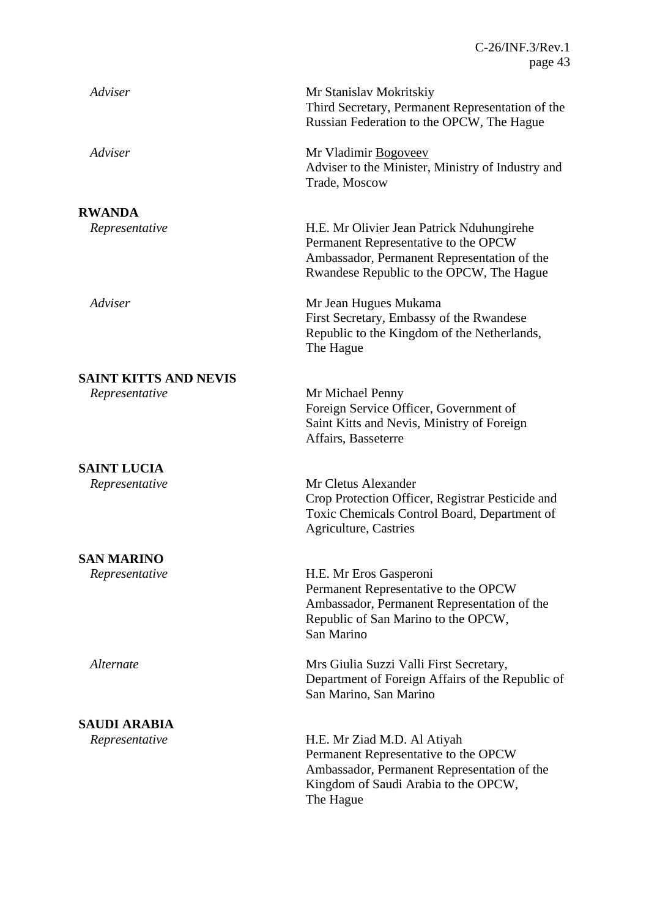| Adviser                      | Mr Stanislav Mokritskiy<br>Third Secretary, Permanent Representation of the<br>Russian Federation to the OPCW, The Hague                                                     |
|------------------------------|------------------------------------------------------------------------------------------------------------------------------------------------------------------------------|
| Adviser                      | Mr Vladimir Bogoveev<br>Adviser to the Minister, Ministry of Industry and<br>Trade, Moscow                                                                                   |
| <b>RWANDA</b>                |                                                                                                                                                                              |
| Representative               | H.E. Mr Olivier Jean Patrick Nduhungirehe<br>Permanent Representative to the OPCW<br>Ambassador, Permanent Representation of the<br>Rwandese Republic to the OPCW, The Hague |
| Adviser                      | Mr Jean Hugues Mukama<br>First Secretary, Embassy of the Rwandese<br>Republic to the Kingdom of the Netherlands,<br>The Hague                                                |
| <b>SAINT KITTS AND NEVIS</b> |                                                                                                                                                                              |
| Representative               | Mr Michael Penny<br>Foreign Service Officer, Government of<br>Saint Kitts and Nevis, Ministry of Foreign<br>Affairs, Basseterre                                              |
| <b>SAINT LUCIA</b>           |                                                                                                                                                                              |
| Representative               | Mr Cletus Alexander<br>Crop Protection Officer, Registrar Pesticide and<br>Toxic Chemicals Control Board, Department of<br><b>Agriculture, Castries</b>                      |
| <b>SAN MARINO</b>            |                                                                                                                                                                              |
| Representative               | H.E. Mr Eros Gasperoni<br>Permanent Representative to the OPCW<br>Ambassador, Permanent Representation of the<br>Republic of San Marino to the OPCW,<br>San Marino           |
| Alternate                    | Mrs Giulia Suzzi Valli First Secretary,<br>Department of Foreign Affairs of the Republic of<br>San Marino, San Marino                                                        |
| <b>SAUDI ARABIA</b>          |                                                                                                                                                                              |
| Representative               | H.E. Mr Ziad M.D. Al Atiyah<br>Permanent Representative to the OPCW<br>Ambassador, Permanent Representation of the<br>Kingdom of Saudi Arabia to the OPCW,<br>The Hague      |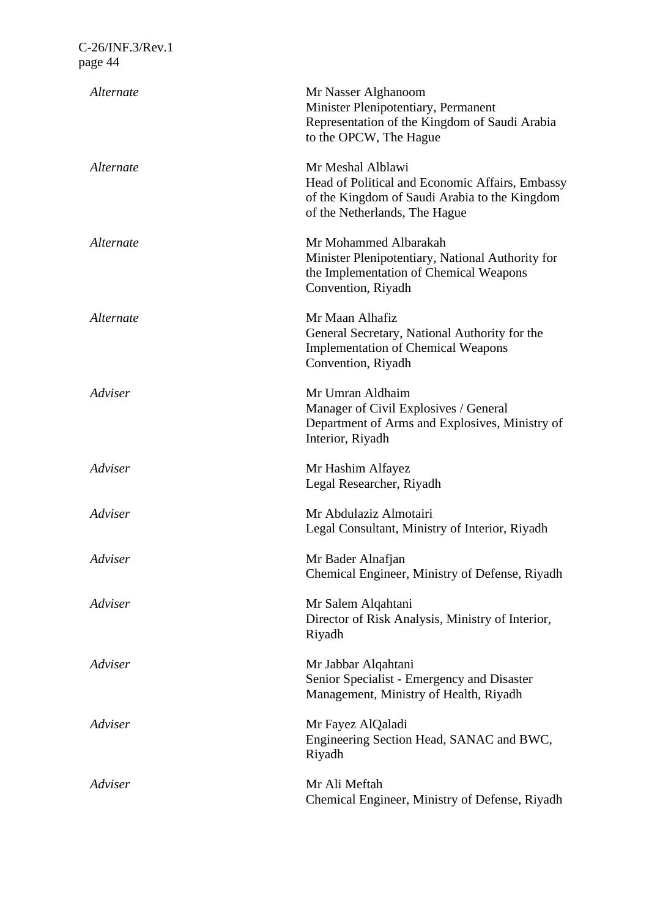| Alternate | Mr Nasser Alghanoom<br>Minister Plenipotentiary, Permanent<br>Representation of the Kingdom of Saudi Arabia<br>to the OPCW, The Hague                  |
|-----------|--------------------------------------------------------------------------------------------------------------------------------------------------------|
| Alternate | Mr Meshal Alblawi<br>Head of Political and Economic Affairs, Embassy<br>of the Kingdom of Saudi Arabia to the Kingdom<br>of the Netherlands, The Hague |
| Alternate | Mr Mohammed Albarakah<br>Minister Plenipotentiary, National Authority for<br>the Implementation of Chemical Weapons<br>Convention, Riyadh              |
| Alternate | Mr Maan Alhafiz<br>General Secretary, National Authority for the<br><b>Implementation of Chemical Weapons</b><br>Convention, Riyadh                    |
| Adviser   | Mr Umran Aldhaim<br>Manager of Civil Explosives / General<br>Department of Arms and Explosives, Ministry of<br>Interior, Riyadh                        |
| Adviser   | Mr Hashim Alfayez<br>Legal Researcher, Riyadh                                                                                                          |
| Adviser   | Mr Abdulaziz Almotairi<br>Legal Consultant, Ministry of Interior, Riyadh                                                                               |
| Adviser   | Mr Bader Alnafjan<br>Chemical Engineer, Ministry of Defense, Riyadh                                                                                    |
| Adviser   | Mr Salem Alqahtani<br>Director of Risk Analysis, Ministry of Interior,<br>Riyadh                                                                       |
| Adviser   | Mr Jabbar Alqahtani<br>Senior Specialist - Emergency and Disaster<br>Management, Ministry of Health, Riyadh                                            |
| Adviser   | Mr Fayez AlQaladi<br>Engineering Section Head, SANAC and BWC,<br>Riyadh                                                                                |
| Adviser   | Mr Ali Meftah<br>Chemical Engineer, Ministry of Defense, Riyadh                                                                                        |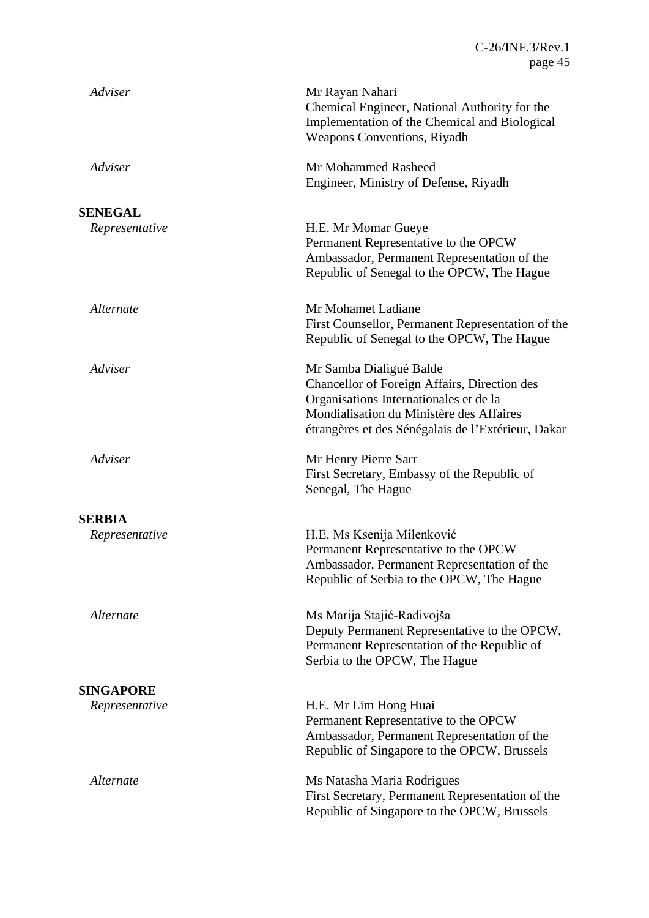| Adviser          | Mr Rayan Nahari<br>Chemical Engineer, National Authority for the<br>Implementation of the Chemical and Biological<br><b>Weapons Conventions, Riyadh</b>                                                             |
|------------------|---------------------------------------------------------------------------------------------------------------------------------------------------------------------------------------------------------------------|
| Adviser          | Mr Mohammed Rasheed<br>Engineer, Ministry of Defense, Riyadh                                                                                                                                                        |
| <b>SENEGAL</b>   |                                                                                                                                                                                                                     |
| Representative   | H.E. Mr Momar Gueye<br>Permanent Representative to the OPCW<br>Ambassador, Permanent Representation of the<br>Republic of Senegal to the OPCW, The Hague                                                            |
| Alternate        | Mr Mohamet Ladiane<br>First Counsellor, Permanent Representation of the<br>Republic of Senegal to the OPCW, The Hague                                                                                               |
| Adviser          | Mr Samba Dialigué Balde<br>Chancellor of Foreign Affairs, Direction des<br>Organisations Internationales et de la<br>Mondialisation du Ministère des Affaires<br>étrangères et des Sénégalais de l'Extérieur, Dakar |
| Adviser          | Mr Henry Pierre Sarr<br>First Secretary, Embassy of the Republic of<br>Senegal, The Hague                                                                                                                           |
| <b>SERBIA</b>    |                                                                                                                                                                                                                     |
| Representative   | H.E. Ms Ksenija Milenković<br>Permanent Representative to the OPCW<br>Ambassador, Permanent Representation of the<br>Republic of Serbia to the OPCW, The Hague                                                      |
| Alternate        | Ms Marija Stajić-Radivojša<br>Deputy Permanent Representative to the OPCW,<br>Permanent Representation of the Republic of<br>Serbia to the OPCW, The Hague                                                          |
| <b>SINGAPORE</b> |                                                                                                                                                                                                                     |
| Representative   | H.E. Mr Lim Hong Huai<br>Permanent Representative to the OPCW<br>Ambassador, Permanent Representation of the<br>Republic of Singapore to the OPCW, Brussels                                                         |
| Alternate        | Ms Natasha Maria Rodrigues<br>First Secretary, Permanent Representation of the<br>Republic of Singapore to the OPCW, Brussels                                                                                       |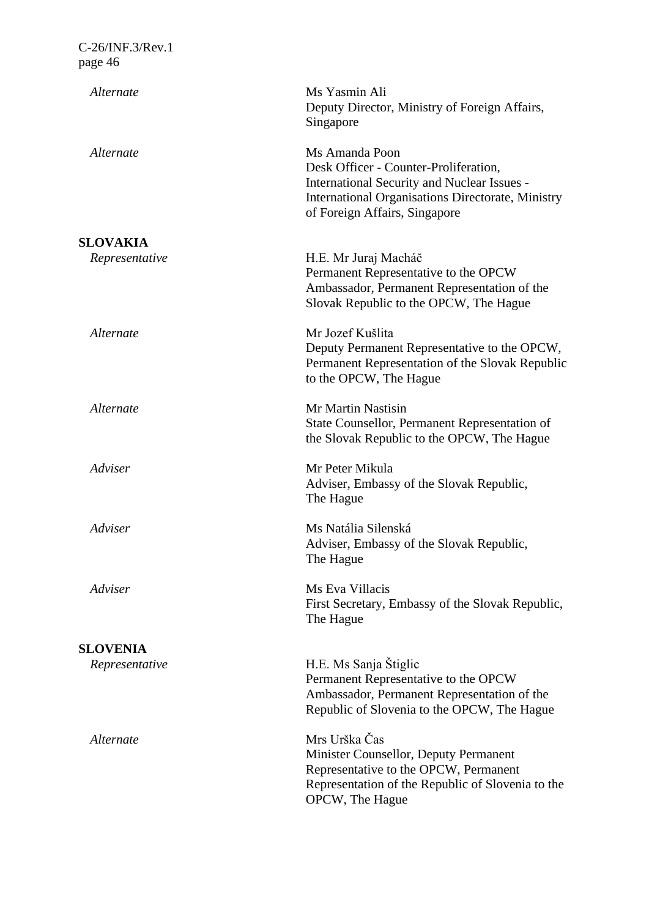| Alternate       | Ms Yasmin Ali<br>Deputy Director, Ministry of Foreign Affairs,<br>Singapore                                                                                                                  |
|-----------------|----------------------------------------------------------------------------------------------------------------------------------------------------------------------------------------------|
| Alternate       | Ms Amanda Poon<br>Desk Officer - Counter-Proliferation,<br>International Security and Nuclear Issues -<br>International Organisations Directorate, Ministry<br>of Foreign Affairs, Singapore |
| <b>SLOVAKIA</b> |                                                                                                                                                                                              |
| Representative  | H.E. Mr Juraj Macháč<br>Permanent Representative to the OPCW<br>Ambassador, Permanent Representation of the<br>Slovak Republic to the OPCW, The Hague                                        |
| Alternate       | Mr Jozef Kušlita<br>Deputy Permanent Representative to the OPCW,<br>Permanent Representation of the Slovak Republic<br>to the OPCW, The Hague                                                |
| Alternate       | Mr Martin Nastisin<br>State Counsellor, Permanent Representation of<br>the Slovak Republic to the OPCW, The Hague                                                                            |
| Adviser         | Mr Peter Mikula<br>Adviser, Embassy of the Slovak Republic,<br>The Hague                                                                                                                     |
| Adviser         | Ms Natália Silenská<br>Adviser, Embassy of the Slovak Republic,<br>The Hague                                                                                                                 |
| Adviser         | Ms Eva Villacis<br>First Secretary, Embassy of the Slovak Republic,<br>The Hague                                                                                                             |
| <b>SLOVENIA</b> |                                                                                                                                                                                              |
| Representative  | H.E. Ms Sanja Štiglic<br>Permanent Representative to the OPCW<br>Ambassador, Permanent Representation of the<br>Republic of Slovenia to the OPCW, The Hague                                  |
| Alternate       | Mrs Urška Čas<br>Minister Counsellor, Deputy Permanent<br>Representative to the OPCW, Permanent<br>Representation of the Republic of Slovenia to the<br>OPCW, The Hague                      |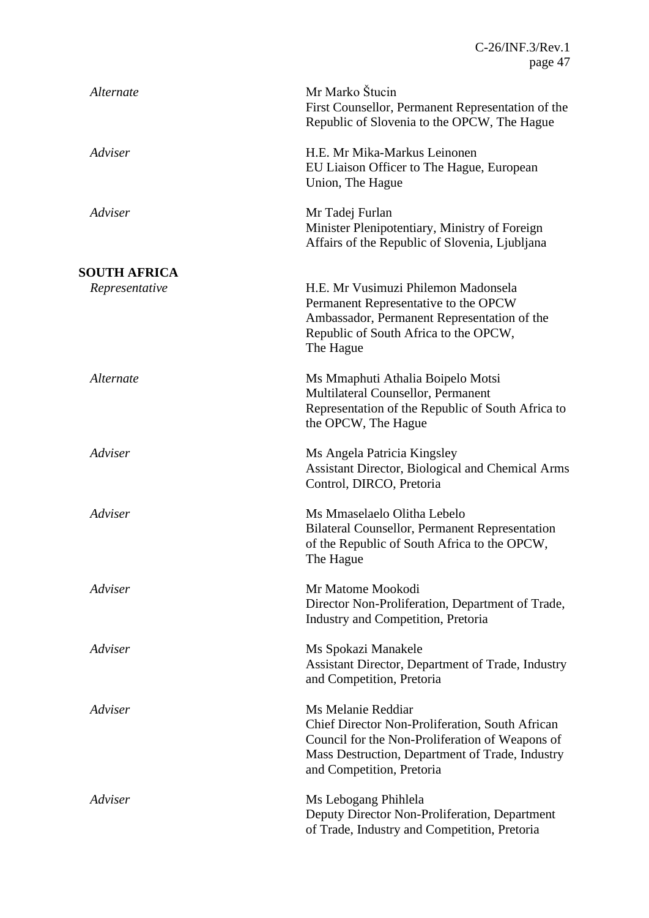| Alternate           | Mr Marko Štucin<br>First Counsellor, Permanent Representation of the<br>Republic of Slovenia to the OPCW, The Hague                                                                                      |
|---------------------|----------------------------------------------------------------------------------------------------------------------------------------------------------------------------------------------------------|
| Adviser             | H.E. Mr Mika-Markus Leinonen<br>EU Liaison Officer to The Hague, European<br>Union, The Hague                                                                                                            |
| Adviser             | Mr Tadej Furlan<br>Minister Plenipotentiary, Ministry of Foreign<br>Affairs of the Republic of Slovenia, Ljubljana                                                                                       |
| <b>SOUTH AFRICA</b> |                                                                                                                                                                                                          |
| Representative      | H.E. Mr Vusimuzi Philemon Madonsela<br>Permanent Representative to the OPCW<br>Ambassador, Permanent Representation of the<br>Republic of South Africa to the OPCW,<br>The Hague                         |
| Alternate           | Ms Mmaphuti Athalia Boipelo Motsi<br>Multilateral Counsellor, Permanent<br>Representation of the Republic of South Africa to<br>the OPCW, The Hague                                                      |
| Adviser             | Ms Angela Patricia Kingsley<br>Assistant Director, Biological and Chemical Arms<br>Control, DIRCO, Pretoria                                                                                              |
| Adviser             | Ms Mmaselaelo Olitha Lebelo<br><b>Bilateral Counsellor, Permanent Representation</b><br>of the Republic of South Africa to the OPCW,<br>The Hague                                                        |
| Adviser             | Mr Matome Mookodi<br>Director Non-Proliferation, Department of Trade,<br>Industry and Competition, Pretoria                                                                                              |
| Adviser             | Ms Spokazi Manakele<br>Assistant Director, Department of Trade, Industry<br>and Competition, Pretoria                                                                                                    |
| Adviser             | Ms Melanie Reddiar<br>Chief Director Non-Proliferation, South African<br>Council for the Non-Proliferation of Weapons of<br>Mass Destruction, Department of Trade, Industry<br>and Competition, Pretoria |
| Adviser             | Ms Lebogang Phihlela<br>Deputy Director Non-Proliferation, Department<br>of Trade, Industry and Competition, Pretoria                                                                                    |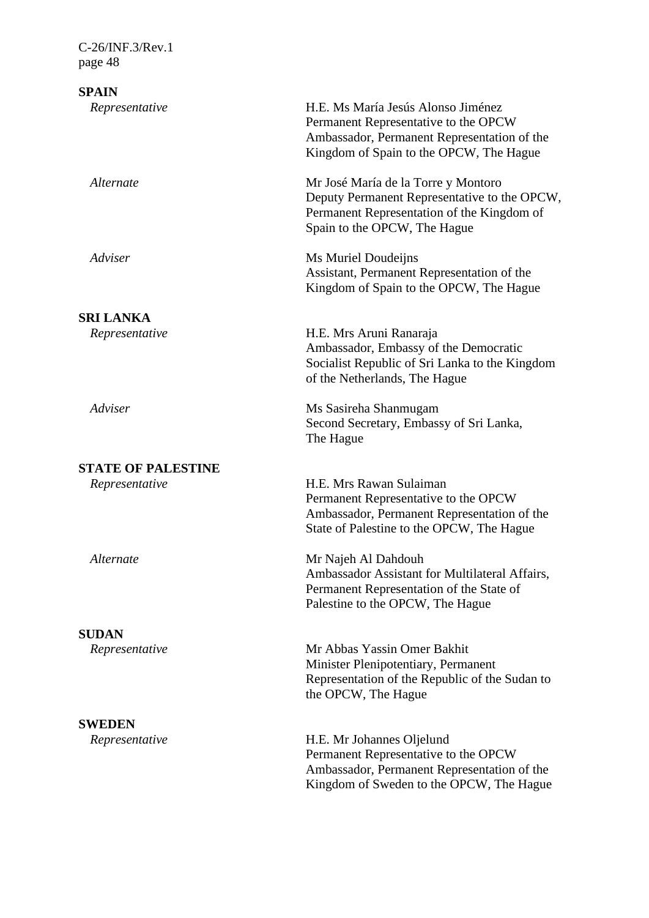# **SPAIN**

| эгапу                     |                                                                                                                                                                      |
|---------------------------|----------------------------------------------------------------------------------------------------------------------------------------------------------------------|
| Representative            | H.E. Ms María Jesús Alonso Jiménez<br>Permanent Representative to the OPCW<br>Ambassador, Permanent Representation of the<br>Kingdom of Spain to the OPCW, The Hague |
| Alternate                 | Mr José María de la Torre y Montoro<br>Deputy Permanent Representative to the OPCW,<br>Permanent Representation of the Kingdom of<br>Spain to the OPCW, The Hague    |
| Adviser                   | Ms Muriel Doudeijns<br>Assistant, Permanent Representation of the<br>Kingdom of Spain to the OPCW, The Hague                                                         |
| <b>SRI LANKA</b>          |                                                                                                                                                                      |
| Representative            | H.E. Mrs Aruni Ranaraja<br>Ambassador, Embassy of the Democratic<br>Socialist Republic of Sri Lanka to the Kingdom<br>of the Netherlands, The Hague                  |
| Adviser                   | Ms Sasireha Shanmugam<br>Second Secretary, Embassy of Sri Lanka,<br>The Hague                                                                                        |
| <b>STATE OF PALESTINE</b> |                                                                                                                                                                      |
| Representative            | H.E. Mrs Rawan Sulaiman<br>Permanent Representative to the OPCW<br>Ambassador, Permanent Representation of the<br>State of Palestine to the OPCW, The Hague          |
| Alternate                 | Mr Najeh Al Dahdouh<br>Ambassador Assistant for Multilateral Affairs,<br>Permanent Representation of the State of<br>Palestine to the OPCW, The Hague                |
| <b>SUDAN</b>              |                                                                                                                                                                      |
| Representative            | Mr Abbas Yassin Omer Bakhit<br>Minister Plenipotentiary, Permanent<br>Representation of the Republic of the Sudan to<br>the OPCW, The Hague                          |
| <b>SWEDEN</b>             |                                                                                                                                                                      |
|                           |                                                                                                                                                                      |

Permanent Representative to the OPCW

Ambassador, Permanent Representation of the Kingdom of Sweden to the OPCW, The Hague

*Representative* H.E. Mr Johannes Oljelund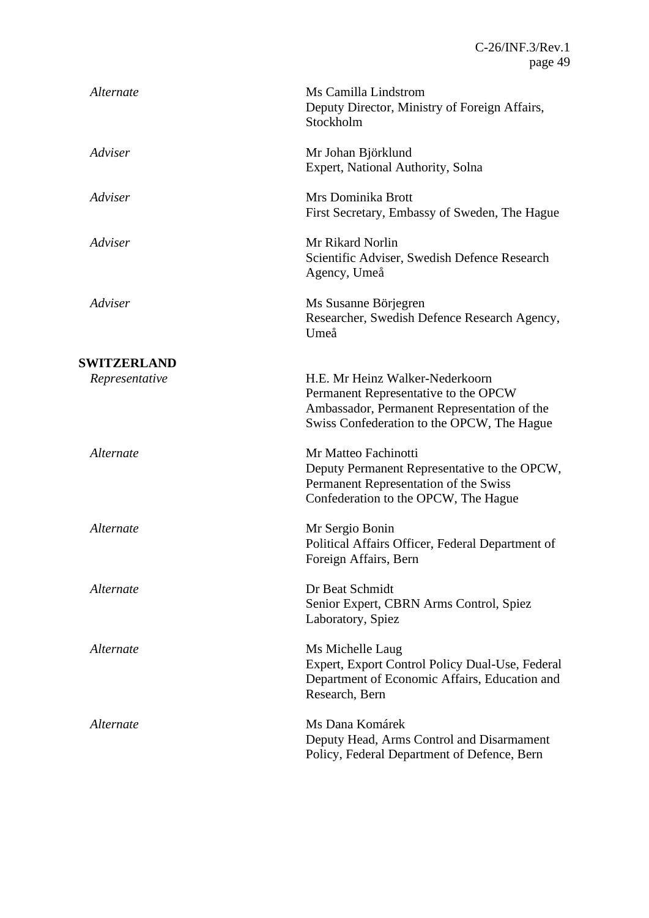| Alternate          | Ms Camilla Lindstrom<br>Deputy Director, Ministry of Foreign Affairs,<br>Stockholm                                                                                   |
|--------------------|----------------------------------------------------------------------------------------------------------------------------------------------------------------------|
| Adviser            | Mr Johan Björklund<br>Expert, National Authority, Solna                                                                                                              |
| Adviser            | Mrs Dominika Brott<br>First Secretary, Embassy of Sweden, The Hague                                                                                                  |
| Adviser            | Mr Rikard Norlin<br>Scientific Adviser, Swedish Defence Research<br>Agency, Umeå                                                                                     |
| Adviser            | Ms Susanne Börjegren<br>Researcher, Swedish Defence Research Agency,<br>Umeå                                                                                         |
| <b>SWITZERLAND</b> |                                                                                                                                                                      |
| Representative     | H.E. Mr Heinz Walker-Nederkoorn<br>Permanent Representative to the OPCW<br>Ambassador, Permanent Representation of the<br>Swiss Confederation to the OPCW, The Hague |
| Alternate          | Mr Matteo Fachinotti<br>Deputy Permanent Representative to the OPCW,<br>Permanent Representation of the Swiss<br>Confederation to the OPCW, The Hague                |
| Alternate          | Mr Sergio Bonin<br>Political Affairs Officer, Federal Department of<br>Foreign Affairs, Bern                                                                         |
| Alternate          | Dr Beat Schmidt<br>Senior Expert, CBRN Arms Control, Spiez<br>Laboratory, Spiez                                                                                      |
| Alternate          | Ms Michelle Laug<br>Expert, Export Control Policy Dual-Use, Federal<br>Department of Economic Affairs, Education and<br>Research, Bern                               |
| Alternate          | Ms Dana Komárek<br>Deputy Head, Arms Control and Disarmament<br>Policy, Federal Department of Defence, Bern                                                          |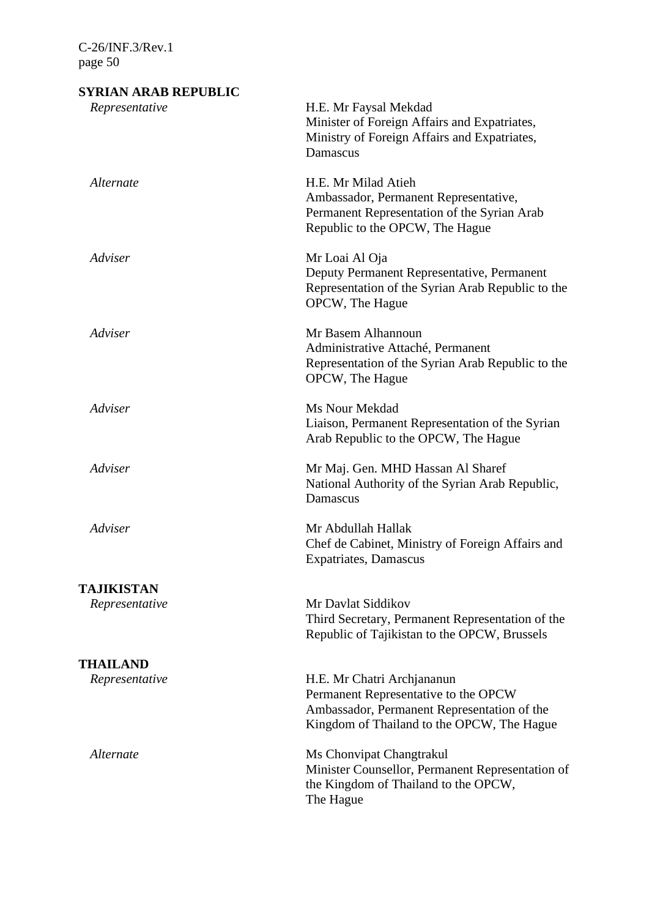# **SYRIAN ARAB REPUBLIC** *Representative* H.E. Mr Faysal Mekdad Minister of Foreign Affairs and Expatriates, Ministry of Foreign Affairs and Expatriates, Damascus *Alternate* H.E. Mr Milad Atieh Ambassador, Permanent Representative, Permanent Representation of the Syrian Arab Republic to the OPCW, The Hague *Adviser* Mr Loai Al Oja Deputy Permanent Representative, Permanent Representation of the Syrian Arab Republic to the OPCW, The Hague *Adviser* Mr Basem Alhannoun Administrative Attaché, Permanent Representation of the Syrian Arab Republic to the OPCW, The Hague *Adviser* Ms Nour Mekdad Liaison, Permanent Representation of the Syrian Arab Republic to the OPCW, The Hague *Adviser* Mr Maj. Gen. MHD Hassan Al Sharef National Authority of the Syrian Arab Republic, Damascus *Adviser* Mr Abdullah Hallak Chef de Cabinet, Ministry of Foreign Affairs and Expatriates, Damascus **TAJIKISTAN** *Representative* Mr Davlat Siddikov Third Secretary, Permanent Representation of the Republic of Tajikistan to the OPCW, Brussels **THAILAND** *Representative* H.E. Mr Chatri Archjananun Permanent Representative to the OPCW Ambassador, Permanent Representation of the Kingdom of Thailand to the OPCW, The Hague *Alternate* Ms Chonvipat Changtrakul Minister Counsellor, Permanent Representation of the Kingdom of Thailand to the OPCW, The Hague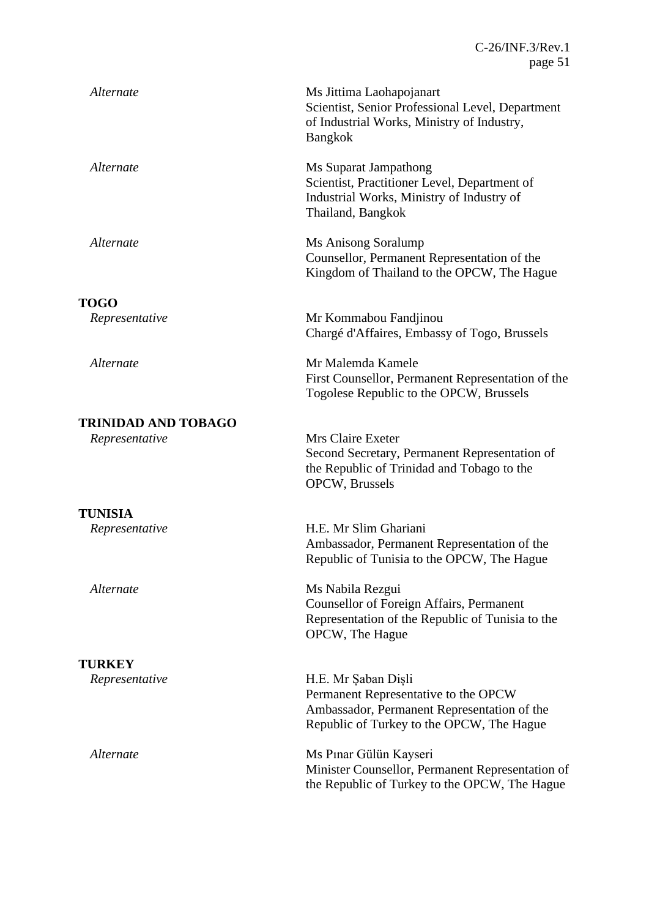| Alternate                       | Ms Jittima Laohapojanart<br>Scientist, Senior Professional Level, Department<br>of Industrial Works, Ministry of Industry,<br><b>Bangkok</b>            |
|---------------------------------|---------------------------------------------------------------------------------------------------------------------------------------------------------|
| Alternate                       | Ms Suparat Jampathong<br>Scientist, Practitioner Level, Department of<br>Industrial Works, Ministry of Industry of<br>Thailand, Bangkok                 |
| Alternate                       | Ms Anisong Soralump<br>Counsellor, Permanent Representation of the<br>Kingdom of Thailand to the OPCW, The Hague                                        |
|                                 |                                                                                                                                                         |
| <b>TOGO</b><br>Representative   | Mr Kommabou Fandjinou<br>Chargé d'Affaires, Embassy of Togo, Brussels                                                                                   |
| Alternate                       | Mr Malemda Kamele<br>First Counsellor, Permanent Representation of the<br>Togolese Republic to the OPCW, Brussels                                       |
| <b>TRINIDAD AND TOBAGO</b>      |                                                                                                                                                         |
| Representative                  | Mrs Claire Exeter<br>Second Secretary, Permanent Representation of<br>the Republic of Trinidad and Tobago to the<br>OPCW, Brussels                      |
| <b>TUNISIA</b>                  |                                                                                                                                                         |
| Representative                  | H.E. Mr Slim Ghariani<br>Ambassador, Permanent Representation of the<br>Republic of Tunisia to the OPCW, The Hague                                      |
| Alternate                       | Ms Nabila Rezgui<br>Counsellor of Foreign Affairs, Permanent<br>Representation of the Republic of Tunisia to the<br>OPCW, The Hague                     |
|                                 |                                                                                                                                                         |
| <b>TURKEY</b><br>Representative | H.E. Mr Şaban Dişli<br>Permanent Representative to the OPCW<br>Ambassador, Permanent Representation of the<br>Republic of Turkey to the OPCW, The Hague |
| Alternate                       | Ms Pinar Gülün Kayseri<br>Minister Counsellor, Permanent Representation of<br>the Republic of Turkey to the OPCW, The Hague                             |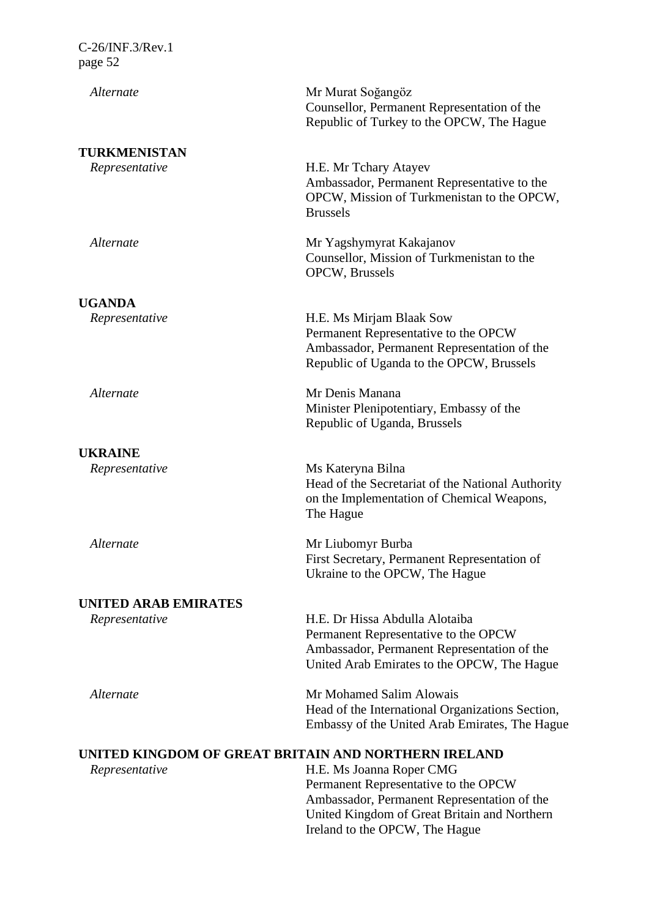| Alternate                                            | Mr Murat Soğangöz<br>Counsellor, Permanent Representation of the                                                                                                                                  |
|------------------------------------------------------|---------------------------------------------------------------------------------------------------------------------------------------------------------------------------------------------------|
|                                                      | Republic of Turkey to the OPCW, The Hague                                                                                                                                                         |
| TURKMENISTAN                                         |                                                                                                                                                                                                   |
| Representative                                       | H.E. Mr Tchary Atayev<br>Ambassador, Permanent Representative to the<br>OPCW, Mission of Turkmenistan to the OPCW,<br><b>Brussels</b>                                                             |
| Alternate                                            | Mr Yagshymyrat Kakajanov<br>Counsellor, Mission of Turkmenistan to the<br>OPCW, Brussels                                                                                                          |
| <b>UGANDA</b>                                        |                                                                                                                                                                                                   |
| Representative                                       | H.E. Ms Mirjam Blaak Sow<br>Permanent Representative to the OPCW<br>Ambassador, Permanent Representation of the<br>Republic of Uganda to the OPCW, Brussels                                       |
| Alternate                                            | Mr Denis Manana<br>Minister Plenipotentiary, Embassy of the<br>Republic of Uganda, Brussels                                                                                                       |
| <b>UKRAINE</b>                                       |                                                                                                                                                                                                   |
| Representative                                       | Ms Kateryna Bilna<br>Head of the Secretariat of the National Authority<br>on the Implementation of Chemical Weapons,<br>The Hague                                                                 |
| Alternate                                            | Mr Liubomyr Burba<br>First Secretary, Permanent Representation of<br>Ukraine to the OPCW, The Hague                                                                                               |
| <b>UNITED ARAB EMIRATES</b>                          |                                                                                                                                                                                                   |
| Representative                                       | H.E. Dr Hissa Abdulla Alotaiba<br>Permanent Representative to the OPCW<br>Ambassador, Permanent Representation of the<br>United Arab Emirates to the OPCW, The Hague                              |
| Alternate                                            | Mr Mohamed Salim Alowais<br>Head of the International Organizations Section,<br>Embassy of the United Arab Emirates, The Hague                                                                    |
| UNITED KINGDOM OF GREAT BRITAIN AND NORTHERN IRELAND |                                                                                                                                                                                                   |
| Representative                                       | H.E. Ms Joanna Roper CMG<br>Permanent Representative to the OPCW<br>Ambassador, Permanent Representation of the<br>United Kingdom of Great Britain and Northern<br>Ireland to the OPCW, The Hague |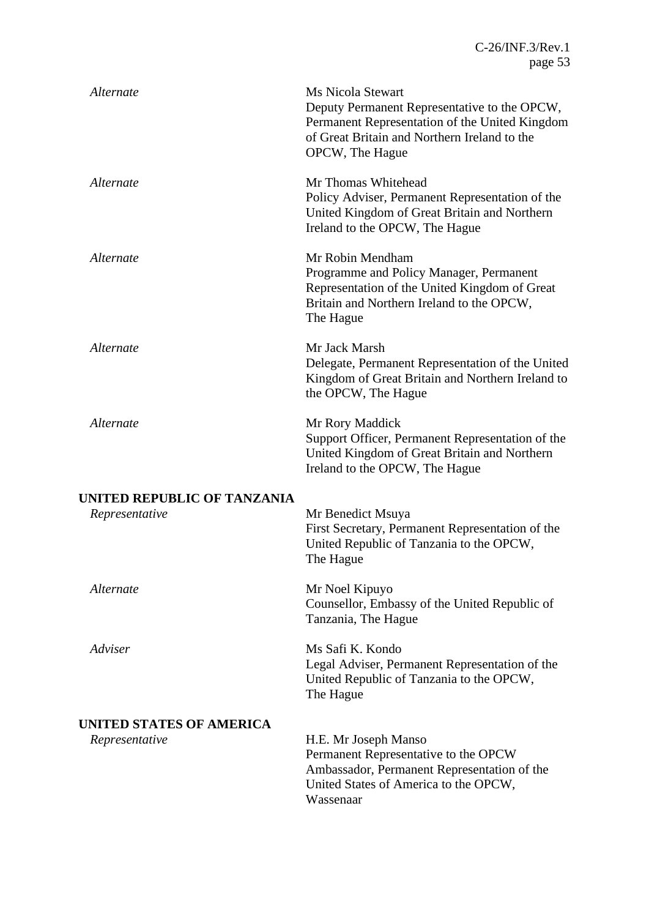| Alternate                                     | Ms Nicola Stewart<br>Deputy Permanent Representative to the OPCW,<br>Permanent Representation of the United Kingdom<br>of Great Britain and Northern Ireland to the<br>OPCW, The Hague |
|-----------------------------------------------|----------------------------------------------------------------------------------------------------------------------------------------------------------------------------------------|
| Alternate                                     | Mr Thomas Whitehead<br>Policy Adviser, Permanent Representation of the<br>United Kingdom of Great Britain and Northern<br>Ireland to the OPCW, The Hague                               |
| Alternate                                     | Mr Robin Mendham<br>Programme and Policy Manager, Permanent<br>Representation of the United Kingdom of Great<br>Britain and Northern Ireland to the OPCW,<br>The Hague                 |
| Alternate                                     | Mr Jack Marsh<br>Delegate, Permanent Representation of the United<br>Kingdom of Great Britain and Northern Ireland to<br>the OPCW, The Hague                                           |
| Alternate                                     | Mr Rory Maddick<br>Support Officer, Permanent Representation of the<br>United Kingdom of Great Britain and Northern<br>Ireland to the OPCW, The Hague                                  |
|                                               |                                                                                                                                                                                        |
| UNITED REPUBLIC OF TANZANIA<br>Representative | Mr Benedict Msuya<br>First Secretary, Permanent Representation of the<br>United Republic of Tanzania to the OPCW,<br>The Hague                                                         |
| Alternate                                     | Mr Noel Kipuyo<br>Counsellor, Embassy of the United Republic of<br>Tanzania, The Hague                                                                                                 |
| Adviser                                       | Ms Safi K. Kondo<br>Legal Adviser, Permanent Representation of the<br>United Republic of Tanzania to the OPCW,<br>The Hague                                                            |
| UNITED STATES OF AMERICA                      |                                                                                                                                                                                        |
| Representative                                | H.E. Mr Joseph Manso<br>Permanent Representative to the OPCW<br>Ambassador, Permanent Representation of the<br>United States of America to the OPCW,<br>Wassenaar                      |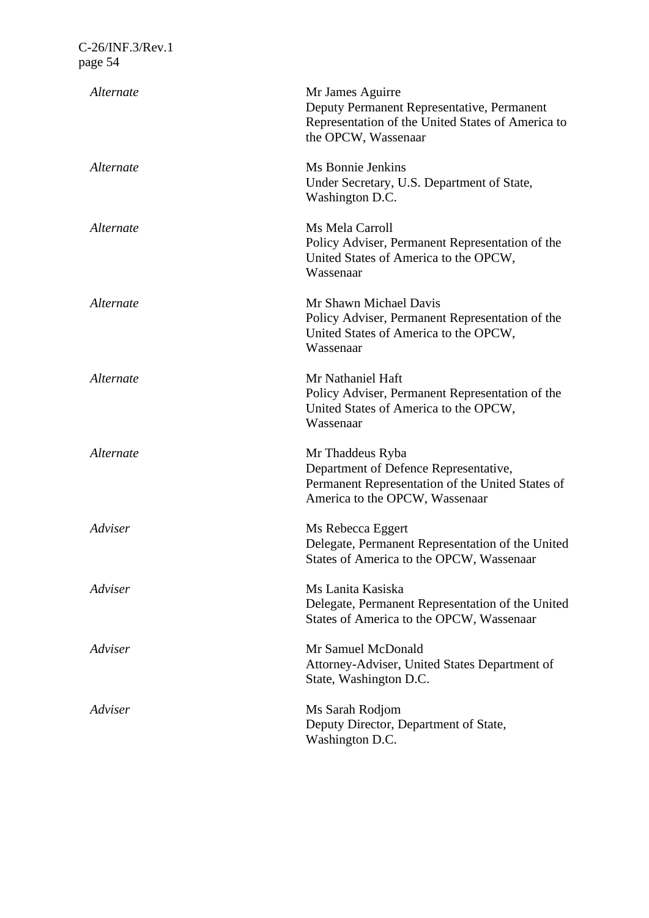| Alternate | Mr James Aguirre<br>Deputy Permanent Representative, Permanent<br>Representation of the United States of America to<br>the OPCW, Wassenaar      |
|-----------|-------------------------------------------------------------------------------------------------------------------------------------------------|
| Alternate | Ms Bonnie Jenkins<br>Under Secretary, U.S. Department of State,<br>Washington D.C.                                                              |
| Alternate | Ms Mela Carroll<br>Policy Adviser, Permanent Representation of the<br>United States of America to the OPCW,<br>Wassenaar                        |
| Alternate | Mr Shawn Michael Davis<br>Policy Adviser, Permanent Representation of the<br>United States of America to the OPCW,<br>Wassenaar                 |
| Alternate | Mr Nathaniel Haft<br>Policy Adviser, Permanent Representation of the<br>United States of America to the OPCW,<br>Wassenaar                      |
| Alternate | Mr Thaddeus Ryba<br>Department of Defence Representative,<br>Permanent Representation of the United States of<br>America to the OPCW, Wassenaar |
| Adviser   | Ms Rebecca Eggert<br>Delegate, Permanent Representation of the United<br>States of America to the OPCW, Wassenaar                               |
| Adviser   | Ms Lanita Kasiska<br>Delegate, Permanent Representation of the United<br>States of America to the OPCW, Wassenaar                               |
| Adviser   | Mr Samuel McDonald<br>Attorney-Adviser, United States Department of<br>State, Washington D.C.                                                   |
| Adviser   | Ms Sarah Rodjom<br>Deputy Director, Department of State,<br>Washington D.C.                                                                     |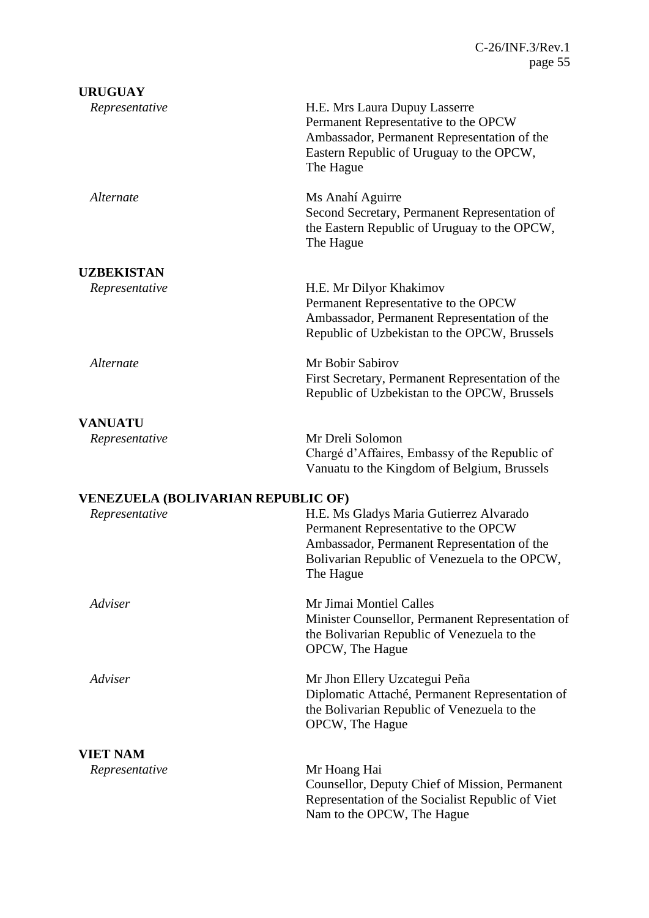| <b>URUGUAY</b>                            |                                                                                                                                                                                              |
|-------------------------------------------|----------------------------------------------------------------------------------------------------------------------------------------------------------------------------------------------|
| Representative                            | H.E. Mrs Laura Dupuy Lasserre<br>Permanent Representative to the OPCW<br>Ambassador, Permanent Representation of the<br>Eastern Republic of Uruguay to the OPCW,<br>The Hague                |
| Alternate                                 | Ms Anahí Aguirre<br>Second Secretary, Permanent Representation of<br>the Eastern Republic of Uruguay to the OPCW,<br>The Hague                                                               |
| <b>UZBEKISTAN</b>                         |                                                                                                                                                                                              |
| Representative                            | H.E. Mr Dilyor Khakimov<br>Permanent Representative to the OPCW<br>Ambassador, Permanent Representation of the<br>Republic of Uzbekistan to the OPCW, Brussels                               |
| Alternate                                 | Mr Bobir Sabirov<br>First Secretary, Permanent Representation of the<br>Republic of Uzbekistan to the OPCW, Brussels                                                                         |
| <b>VANUATU</b>                            |                                                                                                                                                                                              |
| Representative                            | Mr Dreli Solomon<br>Chargé d'Affaires, Embassy of the Republic of<br>Vanuatu to the Kingdom of Belgium, Brussels                                                                             |
| <b>VENEZUELA (BOLIVARIAN REPUBLIC OF)</b> |                                                                                                                                                                                              |
| Representative                            | H.E. Ms Gladys Maria Gutierrez Alvarado<br>Permanent Representative to the OPCW<br>Ambassador, Permanent Representation of the<br>Bolivarian Republic of Venezuela to the OPCW,<br>The Hague |
| Adviser                                   | Mr Jimai Montiel Calles<br>Minister Counsellor, Permanent Representation of<br>the Bolivarian Republic of Venezuela to the<br>OPCW, The Hague                                                |
| Adviser                                   | Mr Jhon Ellery Uzcategui Peña<br>Diplomatic Attaché, Permanent Representation of<br>the Bolivarian Republic of Venezuela to the<br>OPCW, The Hague                                           |
| <b>VIET NAM</b>                           |                                                                                                                                                                                              |
| Representative                            | Mr Hoang Hai<br>Counsellor, Deputy Chief of Mission, Permanent<br>Representation of the Socialist Republic of Viet<br>Nam to the OPCW, The Hague                                             |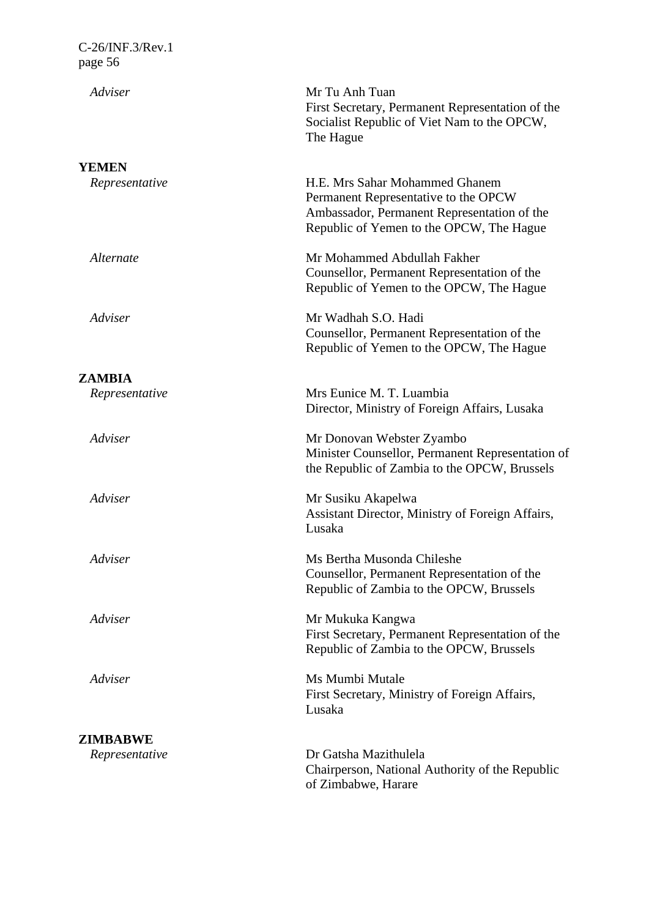| Adviser        | Mr Tu Anh Tuan                                                                                                                                                    |
|----------------|-------------------------------------------------------------------------------------------------------------------------------------------------------------------|
|                | First Secretary, Permanent Representation of the<br>Socialist Republic of Viet Nam to the OPCW,<br>The Hague                                                      |
| <b>YEMEN</b>   |                                                                                                                                                                   |
| Representative | H.E. Mrs Sahar Mohammed Ghanem<br>Permanent Representative to the OPCW<br>Ambassador, Permanent Representation of the<br>Republic of Yemen to the OPCW, The Hague |
| Alternate      | Mr Mohammed Abdullah Fakher<br>Counsellor, Permanent Representation of the<br>Republic of Yemen to the OPCW, The Hague                                            |
| Adviser        | Mr Wadhah S.O. Hadi<br>Counsellor, Permanent Representation of the<br>Republic of Yemen to the OPCW, The Hague                                                    |
| <b>ZAMBIA</b>  |                                                                                                                                                                   |
| Representative | Mrs Eunice M. T. Luambia<br>Director, Ministry of Foreign Affairs, Lusaka                                                                                         |
| Adviser        | Mr Donovan Webster Zyambo<br>Minister Counsellor, Permanent Representation of<br>the Republic of Zambia to the OPCW, Brussels                                     |
| Adviser        | Mr Susiku Akapelwa<br>Assistant Director, Ministry of Foreign Affairs,<br>Lusaka                                                                                  |
| Adviser        | Ms Bertha Musonda Chileshe<br>Counsellor, Permanent Representation of the<br>Republic of Zambia to the OPCW, Brussels                                             |
| Adviser        | Mr Mukuka Kangwa<br>First Secretary, Permanent Representation of the<br>Republic of Zambia to the OPCW, Brussels                                                  |
| Adviser        | Ms Mumbi Mutale<br>First Secretary, Ministry of Foreign Affairs,<br>Lusaka                                                                                        |
| ZIMBABWE       |                                                                                                                                                                   |
| Representative | Dr Gatsha Mazithulela<br>Chairperson, National Authority of the Republic<br>of Zimbabwe, Harare                                                                   |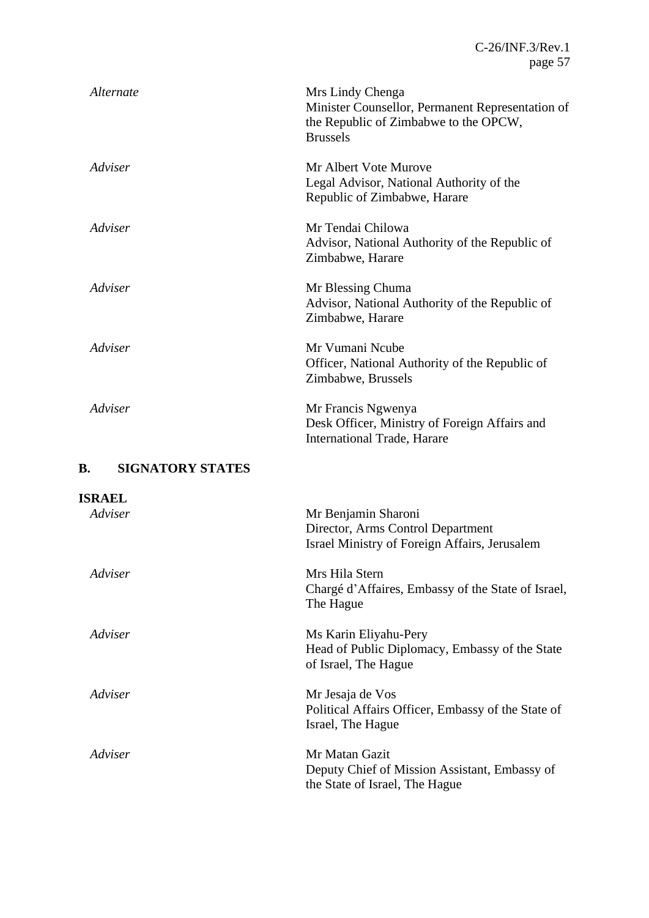| Alternate | Mrs Lindy Chenga<br>Minister Counsellor, Permanent Representation of<br>the Republic of Zimbabwe to the OPCW,<br><b>Brussels</b> |
|-----------|----------------------------------------------------------------------------------------------------------------------------------|
| Adviser   | Mr Albert Vote Murove<br>Legal Advisor, National Authority of the<br>Republic of Zimbabwe, Harare                                |
| Adviser   | Mr Tendai Chilowa<br>Advisor, National Authority of the Republic of<br>Zimbabwe, Harare                                          |
| Adviser   | Mr Blessing Chuma<br>Advisor, National Authority of the Republic of<br>Zimbabwe, Harare                                          |
| Adviser   | Mr Vumani Ncube<br>Officer, National Authority of the Republic of<br>Zimbabwe, Brussels                                          |
| Adviser   | Mr Francis Ngwenya<br>Desk Officer, Ministry of Foreign Affairs and<br><b>International Trade, Harare</b>                        |

# **B. SIGNATORY STATES**

| <b>ISRAEL</b> |                                                    |
|---------------|----------------------------------------------------|
| Adviser       | Mr Benjamin Sharoni                                |
|               | Director, Arms Control Department                  |
|               | Israel Ministry of Foreign Affairs, Jerusalem      |
| Adviser       | Mrs Hila Stern                                     |
|               | Chargé d'Affaires, Embassy of the State of Israel, |
|               | The Hague                                          |
| Adviser       | Ms Karin Eliyahu-Pery                              |
|               | Head of Public Diplomacy, Embassy of the State     |
|               | of Israel, The Hague                               |
| Adviser       | Mr Jesaja de Vos                                   |
|               | Political Affairs Officer, Embassy of the State of |
|               | Israel, The Hague                                  |
| Adviser       | Mr Matan Gazit                                     |
|               | Deputy Chief of Mission Assistant, Embassy of      |
|               | the State of Israel, The Hague                     |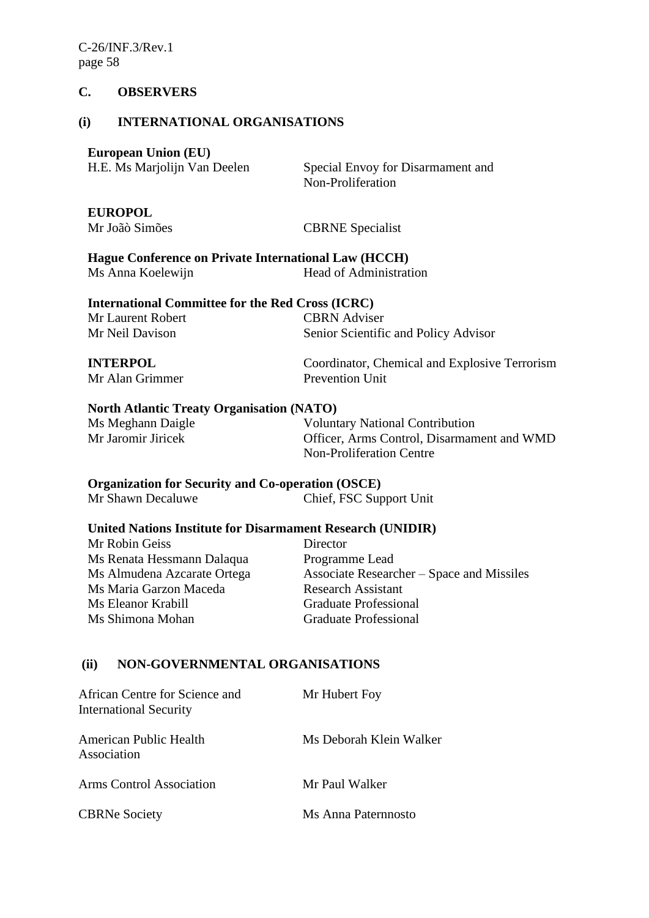### **C. OBSERVERS**

#### **(i) INTERNATIONAL ORGANISATIONS**

# **European Union (EU)**

| $\frac{1}{2}$                |  |
|------------------------------|--|
| H.E. Ms Marjolijn Van Deelen |  |

Special Envoy for Disarmament and Non-Proliferation

# **EUROPOL**

### Mr Joãò Simões CBRNE Specialist

**Hague Conference on Private International Law (HCCH)** Ms Anna Koelewijn Head of Administration

#### **International Committee for the Red Cross (ICRC)**

| Mr Laurent Robert | <b>CBRN</b> Adviser                  |
|-------------------|--------------------------------------|
| Mr Neil Davison   | Senior Scientific and Policy Advisor |

#### **INTERPOL** Mr Alan Grimmer

Coordinator, Chemical and Explosive Terrorism Prevention Unit

#### **North Atlantic Treaty Organisation (NATO)**

Ms Meghann Daigle Voluntary National Contribution Mr Jaromir Jiricek Officer, Arms Control, Disarmament and WMD Non-Proliferation Centre

### **Organization for Security and Co-operation (OSCE)**

Mr Shawn Decaluwe Chief, FSC Support Unit

### **United Nations Institute for Disarmament Research (UNIDIR)**

Mr Robin Geiss Director Ms Renata Hessmann Dalaqua Programme Lead Ms Maria Garzon Maceda Research Assistant Ms Eleanor Krabill Graduate Professional Ms Shimona Mohan Graduate Professional

Ms Almudena Azcarate Ortega Associate Researcher – Space and Missiles

### **(ii) NON-GOVERNMENTAL ORGANISATIONS**

| African Centre for Science and<br><b>International Security</b> | Mr Hubert Foy           |
|-----------------------------------------------------------------|-------------------------|
| American Public Health<br>Association                           | Ms Deborah Klein Walker |
| Arms Control Association                                        | Mr Paul Walker          |
| <b>CBRNe Society</b>                                            | Ms Anna Paternnosto     |